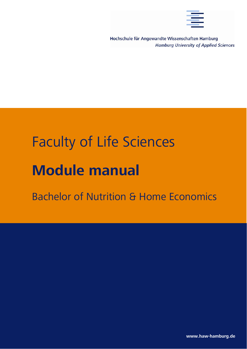

Hochschule für Angewandte Wissenschaften Hamburg **Hamburg University of Applied Sciences** 

# Faculty of Life Sciences **Module manual**

# Bachelor of Nutrition & Home Economics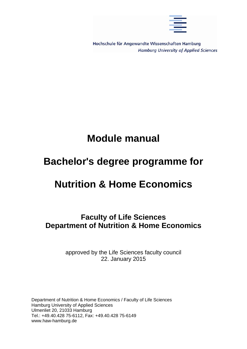

Hochschule für Angewandte Wissenschaften Hamburg **Hamburg University of Applied Sciences** 

# **Module manual**

# **Bachelor's degree programme for**

# **Nutrition & Home Economics**

**Faculty of Life Sciences Department of Nutrition & Home Economics** 

> approved by the Life Sciences faculty council 22. January 2015

Department of Nutrition & Home Economics / Faculty of Life Sciences Hamburg University of Applied Sciences Ulmenliet 20, 21033 Hamburg Tel.: +49.40.428 75-6112, Fax: +49.40.428 75-6149 www.haw-hamburg.de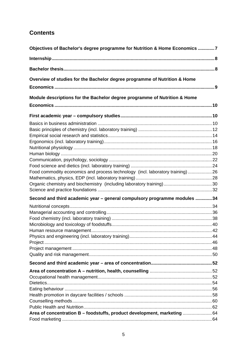# **Contents**

| Objectives of Bachelor's degree programme for Nutrition & Home Economics 7     |  |
|--------------------------------------------------------------------------------|--|
|                                                                                |  |
|                                                                                |  |
| Overview of studies for the Bachelor degree programme of Nutrition & Home      |  |
|                                                                                |  |
| Module descriptions for the Bachelor degree programme of Nutrition & Home      |  |
|                                                                                |  |
|                                                                                |  |
|                                                                                |  |
|                                                                                |  |
|                                                                                |  |
|                                                                                |  |
|                                                                                |  |
|                                                                                |  |
|                                                                                |  |
| Food commodity economics and process technology (incl. laboratory training) 26 |  |
|                                                                                |  |
|                                                                                |  |
|                                                                                |  |
| Second and third academic year - general compulsory programme modules 34       |  |
|                                                                                |  |
|                                                                                |  |
|                                                                                |  |
|                                                                                |  |
|                                                                                |  |
|                                                                                |  |
|                                                                                |  |
|                                                                                |  |
|                                                                                |  |
|                                                                                |  |
|                                                                                |  |
|                                                                                |  |
|                                                                                |  |
|                                                                                |  |
|                                                                                |  |
|                                                                                |  |
| Area of concentration B - foodstuffs, product development, marketing 64        |  |
|                                                                                |  |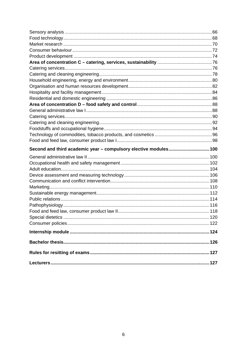| Second and third academic year - compulsory elective modules 100 |  |
|------------------------------------------------------------------|--|
|                                                                  |  |
|                                                                  |  |
|                                                                  |  |
|                                                                  |  |
|                                                                  |  |
|                                                                  |  |
|                                                                  |  |
|                                                                  |  |
|                                                                  |  |
|                                                                  |  |
|                                                                  |  |
|                                                                  |  |
|                                                                  |  |
|                                                                  |  |
|                                                                  |  |
|                                                                  |  |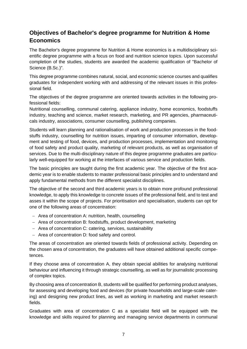# **Objectives of Bachelor's degree programme for Nutrition & Home Economics**

The Bachelor's degree programme for Nutrition & Home economics is a multidisciplinary scientific degree programme with a focus on food and nutrition science topics. Upon successful completion of the studies, students are awarded the academic qualification of "Bachelor of Science (B.Sc.)".

This degree programme combines natural, social, and economic science courses and qualifies graduates for independent working with and addressing of the relevant issues in this professional field.

The objectives of the degree programme are oriented towards activities in the following professional fields:

Nutritional counselling, communal catering, appliance industry, home economics, foodstuffs industry, teaching and science, market research, marketing, and PR agencies, pharmaceuticals industry, associations, consumer counselling, publishing companies.

Students will learn planning and rationalisation of work and production processes in the foodstuffs industry, counselling for nutrition issues, imparting of consumer information, development and testing of food, devices, and production processes, implementation and monitoring of food safety and product quality, marketing of relevant products, as well as organisation of services. Due to the multi-disciplinary nature of this degree programme graduates are particularly well-equipped for working at the interfaces of various service and production fields.

The basic principles are taught during the first academic year. The objective of the first academic year is to enable students to master professional basic principles and to understand and apply fundamental methods from the different specialist disciplines.

The objective of the second and third academic years is to obtain more profound professional knowledge, to apply this knowledge to concrete issues of the professional field, and to test and asses it within the scope of projects. For prioritisation and specialisation, students can opt for one of the following areas of concentration:

- Area of concentration A: nutrition, health, counselling
- Area of concentration B: foodstuffs, product development, marketing
- Area of concentration C: catering, services, sustainability
- Area of concentration D: food safety and control.

The areas of concentration are oriented towards fields of professional activity. Depending on the chosen area of concentration, the graduates will have obtained additional specific competences.

If they choose area of concentration A, they obtain special abilities for analysing nutritional behaviour and influencing it through strategic counselling, as well as for journalistic processing of complex topics.

By choosing area of concentration B, students will be qualified for performing product analyses, for assessing and developing food and devices (for private households and large-scale catering) and designing new product lines, as well as working in marketing and market research fields.

Graduates with area of concentration C as a specialist field will be equipped with the knowledge and skills required for planning and managing service departments in communal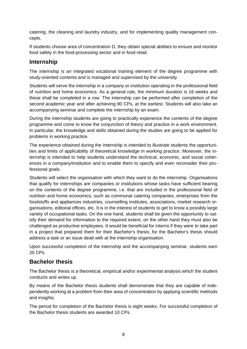catering, the cleaning and laundry industry, and for implementing quality management concepts.

If students choose area of concentration D, they obtain special abilities to ensure and monitor food safety in the food-processing sector and in food retail.

# **Internship**

The internship is an integrated vocational training element of the degree programme with study-oriented contents and is managed and supervised by the university.

Students will serve the internship in a company or institution operating in the professional field of nutrition and home economics. As a general rule, the minimum duration is 16 weeks and these shall be completed in a row. The internship can be performed after completion of the second academic year and after achieving 90 CPs, at the earliest. Students will also take an accompanying seminar and complete the internship by an exam.

During the internship students are going to practically experience the contents of the degree programme and come to know the conjunction of theory and practice in a work environment. In particular, the knowledge and skills obtained during the studies are going to be applied for problems in working practice.

The experience obtained during the internship is intended to illustrate students the opportunities and limits of applicability of theoretical knowledge in working practice. Moreover, the internship is intended to help students understand the technical, economic, and social coherences in a company/institution and to enable them to specify and even reconsider their professional goals.

Students will select the organisation with which they want to do the internship. Organisations that qualify for internships are companies or institutions whose tasks have sufficient bearing on the contents of the degree programme, i.e. that are included in the professional field of nutrition and home economics, such as communal catering companies, enterprises from the foodstuffs and appliances industries, counselling institutes, associations, market research organisations, editorial offices, etc. It is in the interest of students to get to know a possibly large variety of occupational tasks. On the one hand, students shall be given the opportunity to satisfy their demand for information to the required extent, on the other hand they must also be challenged as productive employees. It would be beneficial for interns if they were to take part in a project that prepared them for their Bachelor's thesis; for the Bachelor's thesis should address a task or an issue dealt with at the internship organisation.

Upon successful completion of the internship and the accompanying seminar, students earn 20 CPs.

# **Bachelor thesis**

The Bachelor thesis is a theoretical, empirical and/or experimental analysis which the student conducts and writes up.

By means of the Bachelor thesis students shall demonstrate that they are capable of independently working at a problem from their area of concentration by applying scientific methods and insights.

The period for completion of the Bachelor thesis is eight weeks. For successful completion of the Bachelor thesis students are awarded 10 CPs.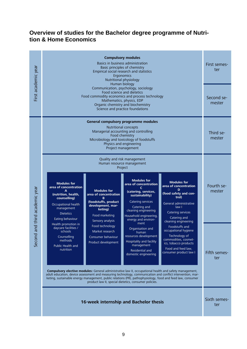## **Overview of studies for the Bachelor degree programme of Nutrition & Home Economics**

| First academic year     | <b>Compulsory modules</b><br>Basics in business administration<br>Basic principles of chemistry<br>Empirical social research and statistics<br>Ergonomics<br>Nutritional physiology                                                           |                                                                                                                                                | First semes-<br>ter                                                                                                                                                                                                   |                                                                                                                                                                                                                                                                                                                                    |                     |
|-------------------------|-----------------------------------------------------------------------------------------------------------------------------------------------------------------------------------------------------------------------------------------------|------------------------------------------------------------------------------------------------------------------------------------------------|-----------------------------------------------------------------------------------------------------------------------------------------------------------------------------------------------------------------------|------------------------------------------------------------------------------------------------------------------------------------------------------------------------------------------------------------------------------------------------------------------------------------------------------------------------------------|---------------------|
|                         | Human biology<br>Communication, psychology, sociology<br>Food science and dietetics<br>Food commodity economics and process technology<br>Mathematics, physics, EDP<br>Organic chemistry and biochemistry<br>Science and practice foundations |                                                                                                                                                |                                                                                                                                                                                                                       | Second se-<br>mester                                                                                                                                                                                                                                                                                                               |                     |
|                         |                                                                                                                                                                                                                                               |                                                                                                                                                | General compulsory programme modules<br>Nutritional concepts<br>Managerial accounting and controlling<br>Food chemistry<br>Microbiology and toxicology of foodstuffs<br>Physics and engineering<br>Project management |                                                                                                                                                                                                                                                                                                                                    | Third se-<br>mester |
|                         | Quality and risk management<br>Human resource management<br>Project<br><b>Modules for</b><br><b>Modules for</b><br><b>Modules for</b><br>area of concentration                                                                                |                                                                                                                                                |                                                                                                                                                                                                                       |                                                                                                                                                                                                                                                                                                                                    | Fourth se-          |
| and third academic year | area of concentration<br>A<br>(nutrition, health,<br>counselling)<br>Occupational health<br>management<br><b>Dietetics</b><br>Eating behaviour                                                                                                | <b>Modules for</b><br>area of concentration<br>B<br>(foodstuffs, product<br>development, mar-<br>keting)<br>Food marketing<br>Sensory analysis | C<br>(catering, services,<br>sustainability)<br>Catering services<br>Catering and<br>cleaning engineering<br>Household engineering,<br>energy and environ-                                                            | area of concentration<br>D<br>(food safety and con-<br>trol)<br>General administrative<br>law I<br>Catering services<br>Catering and<br>cleaning engineering                                                                                                                                                                       | mester              |
| Second                  | Health promotion in<br>daycare facilities /<br>schools<br>Counselling<br>methods<br>Public Health and<br>nutrition                                                                                                                            | Food technology<br>Market research<br>Consumer behaviour<br>Product development                                                                | ment<br>Organisation and<br>human<br>resources development<br>Hospitality and facility<br>management<br>Residential and<br>domestic engineering                                                                       | Foodstuffs and<br>occupational hygiene<br>Technology of<br>commodities, cosmet-<br>ics, tobacco products<br>Food and feed law,<br>consumer product law I                                                                                                                                                                           | Fifth semes-<br>ter |
|                         |                                                                                                                                                                                                                                               |                                                                                                                                                | product law II, special dietetics, consumer policies.                                                                                                                                                                 | Compulsory elective modules: General administrative law II, occupational health and safety management,<br>adult education, device assessment and measuring technology, communication and conflict intervention, mar-<br>keting, sustainable energy management, public relations (PR), pathophysiology, food and feed law, consumer |                     |
|                         |                                                                                                                                                                                                                                               | 16-week internship and Bachelor thesis                                                                                                         |                                                                                                                                                                                                                       |                                                                                                                                                                                                                                                                                                                                    | Sixth semes-<br>ter |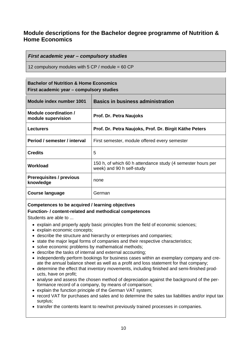# **Module descriptions for the Bachelor degree programme of Nutrition & Home Economics**

#### *First academic year – compulsory studies*

12 compulsory modules with 5 CP / module = 60 CP

#### **Bachelor of Nutrition & Home Economics First academic year – compulsory studies**

| Module index number 1001                     | <b>Basics in business administration</b>                                                 |  |
|----------------------------------------------|------------------------------------------------------------------------------------------|--|
| Module coordination /<br>module supervision  | Prof. Dr. Petra Naujoks                                                                  |  |
| <b>Lecturers</b>                             | Prof. Dr. Petra Naujoks, Prof. Dr. Birgit Käthe Peters                                   |  |
| Period / semester / interval                 | First semester, module offered every semester                                            |  |
| <b>Credits</b>                               | 5                                                                                        |  |
| Workload                                     | 150 h, of which 60 h attendance study (4 semester hours per<br>week) and 90 h self-study |  |
| <b>Prerequisites / previous</b><br>knowledge | none                                                                                     |  |
| <b>Course language</b>                       | German                                                                                   |  |

#### **Competences to be acquired / learning objectives**

#### **Function- / content-related and methodical competences**

Students are able to ...

- explain and properly apply basic principles from the field of economic sciences;
- explain economic concepts:
- describe the structure and hierarchy or enterprises and companies;
- state the major legal forms of companies and their respective characteristics;
- solve economic problems by mathematical methods;
- describe the tasks of internal and external accounting;
- independently perform bookings for business cases within an exemplary company and create the annual balance sheet as well as a profit and loss statement for that company;
- determine the effect that inventory movements, including finished and semi-finished products, have on profit;
- analyse and assess the chosen method of depreciation against the background of the performance record of a company, by means of comparison;
- explain the function principle of the German VAT system;
- record VAT for purchases and sales and to determine the sales tax liabilities and/or input tax surplus;
- transfer the contents learnt to new/not previously trained processes in companies.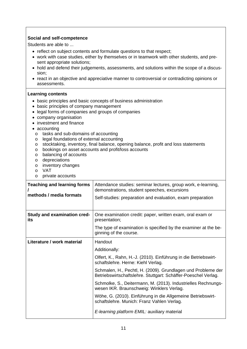#### **Social and self-competence**

Students are able to ...

- reflect on subject contents and formulate questions to that respect;
- work with case studies, either by themselves or in teamwork with other students, and present appropriate solutions;
- hold and defend their judgements, assessments, and solutions within the scope of a discussion;
- react in an objective and appreciative manner to controversial or contradicting opinions or assessments.

- basic principles and basic concepts of business administration
- basic principles of company management
- legal forms of companies and groups of companies
- company organisation
- investment and finance
- accounting
	- o tasks and sub-domains of accounting
	- o legal foundations of external accounting
	- o stocktaking, inventory, final balance, opening balance, profit and loss statements
	- o bookings on asset accounts and profit/loss accounts
	- o balancing of accounts
	- o depreciations
	- o inventory changes
	- o VAT
- o private accounts

| <b>Teaching and learning forms</b><br>methods / media formats | Attendance studies: seminar lectures, group work, e-learning,<br>demonstrations, student speeches, excursions<br>Self-studies: preparation and evaluation, exam preparation |
|---------------------------------------------------------------|-----------------------------------------------------------------------------------------------------------------------------------------------------------------------------|
| <b>Study and examination cred-</b><br>its                     | One examination credit: paper, written exam, oral exam or<br>presentation;                                                                                                  |
|                                                               | The type of examination is specified by the examiner at the be-<br>ginning of the course.                                                                                   |
| Literature / work material                                    | Handout                                                                                                                                                                     |
|                                                               | Additionally:                                                                                                                                                               |
|                                                               | Olfert, K., Rahn, H.-J. (2010). Einführung in die Betriebswirt-<br>schaftslehre. Herne: Kiehl Verlag.                                                                       |
|                                                               | Schmalen, H., Pechtl, H. (2009). Grundlagen und Probleme der<br>Betriebswirtschaftslehre. Stuttgart: Schäffer-Poeschel Verlag.                                              |
|                                                               | Schmolke, S., Deitermann, M. (2013). Industrielles Rechnungs-<br>wesen IKR. Braunschweig: Winklers Verlag.                                                                  |
|                                                               | Wöhe, G. (2010). Einführung in die Allgemeine Betriebswirt-<br>schaftslehre. Munich: Franz Vahlen Verlag.                                                                   |
|                                                               | E-learning platform EMIL: auxiliary material                                                                                                                                |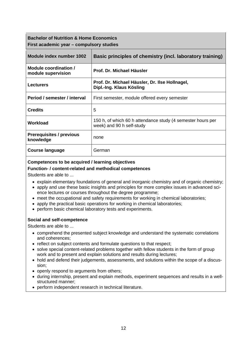# **Bachelor of Nutrition & Home Economics First academic year – compulsory studies**

| Module index number 1002                     | Basic principles of chemistry (incl. laboratory training)                                |
|----------------------------------------------|------------------------------------------------------------------------------------------|
| Module coordination /<br>module supervision  | Prof. Dr. Michael Häusler                                                                |
| <b>Lecturers</b>                             | Prof. Dr. Michael Häusler, Dr. Ilse Hollnagel,<br>Dipl.-Ing. Klaus Kösling               |
| Period / semester / interval                 | First semester, module offered every semester                                            |
| <b>Credits</b>                               | 5                                                                                        |
| Workload                                     | 150 h, of which 60 h attendance study (4 semester hours per<br>week) and 90 h self-study |
| <b>Prerequisites / previous</b><br>knowledge | none                                                                                     |
| Course language                              | German                                                                                   |

#### **Competences to be acquired / learning objectives**

#### **Function- / content-related and methodical competences**

Students are able to ...

- explain elementary foundations of general and inorganic chemistry and of organic chemistry;
- apply and use these basic insights and principles for more complex issues in advanced science lectures or courses throughout the degree programme;
- meet the occupational and safety requirements for working in chemical laboratories;
- apply the practical basic operations for working in chemical laboratories;
- perform basic chemical laboratory tests and experiments.

#### **Social and self-competence**

Students are able to ...

- comprehend the presented subject knowledge and understand the systematic correlations and coherences;
- reflect on subject contents and formulate questions to that respect;
- solve special content-related problems together with fellow students in the form of group work and to present and explain solutions and results during lectures;
- hold and defend their judgements, assessments, and solutions within the scope of a discussion;
- openly respond to arguments from others;
- during internship, present and explain methods, experiment sequences and results in a wellstructured manner;
- perform independent research in technical literature.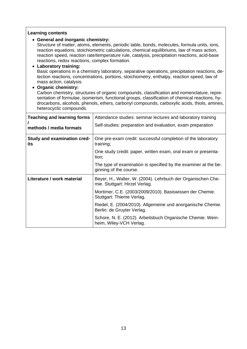#### **Learning contents**

#### **General and inorganic chemistry:**

Structure of matter, atoms, elements, periodic table, bonds, molecules, formula units, ions, reaction equations, stoichiometric calculations, chemical equilibriums, law of mass action, reaction speed, reaction rate/temperature rule, catalysis, precipitation reactions, acid-base reactions, redox reactions, complex formation.

#### **Laboratory training:**

Basic operations in a chemistry laboratory, separative operations, precipitation reactions, detection reactions, concentrations, portions, stoichiometry, enthalpy, reaction speed, law of mass action, catalysis.

#### **Organic chemistry:**

Carbon chemistry, structures of organic compounds, classification and nomenclature, representation of formulae, isomerism, functional groups, classification of chemical reactions, hydrocarbons, alcohols, phenols, ethers, carbonyl compounds, carboxylic acids, thiols, amines, heterocyclic compounds.

| <b>Teaching and learning forms</b><br>methods / media formats | Attendance studies: seminar lectures and laboratory training<br>Self-studies: preparation and evaluation, exam preparation |
|---------------------------------------------------------------|----------------------------------------------------------------------------------------------------------------------------|
| <b>Study and examination cred-</b><br>its                     | One pre-exam credit: successful completion of the laboratory<br>training;                                                  |
|                                                               | One study credit: paper, written exam, oral exam or presenta-<br>tion;                                                     |
|                                                               | The type of examination is specified by the examiner at the be-<br>ginning of the course.                                  |
| Literature / work material                                    | Beyer, H., Walter, W. (2004). Lehrbuch der Organischen Che-<br>mie. Stuttgart: Hirzel Verlag.                              |
|                                                               | Mortimer, C.E. (2003/2009/2010). Basiswissen der Chemie.<br>Stuttgart: Thieme Verlag.                                      |
|                                                               | Riedel, E. (2004/2010). Allgemeine und anorganische Chemie.<br>Berlin: de Gruyter Verlag.                                  |
|                                                               | Schore, N. E. (2012). Arbeitsbuch Organische Chemie. Wein-<br>heim, Wiley-VCH Verlag.                                      |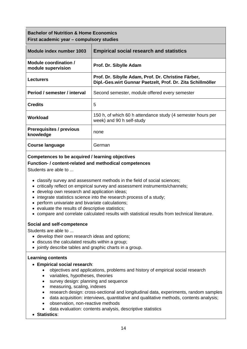| <b>Bachelor of Nutrition &amp; Home Economics</b><br>First academic year – compulsory studies |                                                                                                                    |  |
|-----------------------------------------------------------------------------------------------|--------------------------------------------------------------------------------------------------------------------|--|
| Module index number 1003                                                                      | <b>Empirical social research and statistics</b>                                                                    |  |
| Module coordination /<br>module supervision                                                   | Prof. Dr. Sibylle Adam                                                                                             |  |
| <b>Lecturers</b>                                                                              | Prof. Dr. Sibylle Adam, Prof. Dr. Christine Färber,<br>Dipl.-Ges.wirt Gunnar Paetzelt, Prof. Dr. Zita Schillmöller |  |
| Period / semester / interval                                                                  | Second semester, module offered every semester                                                                     |  |
| <b>Credits</b>                                                                                | 5                                                                                                                  |  |
| <b>Workload</b>                                                                               | 150 h, of which 60 h attendance study (4 semester hours per<br>week) and 90 h self-study                           |  |
| <b>Prerequisites / previous</b><br>knowledge                                                  | none                                                                                                               |  |
| Course language                                                                               | German                                                                                                             |  |

#### **Function- / content-related and methodical competences**

Students are able to ...

- classify survey and assessment methods in the field of social sciences;
- critically reflect on empirical survey and assessment instruments/channels;
- develop own research and application ideas;
- integrate statistics science into the research process of a study;
- perform univariate and bivariate calculations;
- evaluate the results of descriptive statistics;
- compare and correlate calculated results with statistical results from technical literature.

#### **Social and self-competence**

Students are able to ...

- develop their own research ideas and options;
- discuss the calculated results within a group;
- jointly describe tables and graphic charts in a group.

#### **Learning contents**

#### **Empirical social research**:

- objectives and applications, problems and history of empirical social research
- variables, hypotheses, theories
- survey design: planning and sequence
- measuring, scaling, indexes
- research design: cross-sectional and longitudinal data, experiments, random samples
- data acquisition: interviews, quantitative and qualitative methods, contents analysis;
- observation, non-reactive methods
- data evaluation: contents analysis, descriptive statistics
- **Statistics**: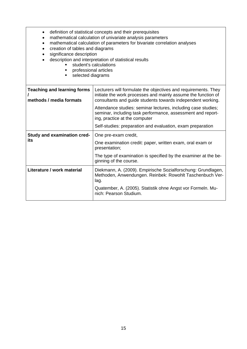| $\bullet$<br>creation of tables and diagrams<br>significance description<br>professional articles<br>selected diagrams<br>٠ | definition of statistical concepts and their prerequisites<br>mathematical calculation of univariate analysis parameters<br>mathematical calculation of parameters for bivariate correlation analyses<br>description and interpretation of statistical results<br>student's calculations |
|-----------------------------------------------------------------------------------------------------------------------------|------------------------------------------------------------------------------------------------------------------------------------------------------------------------------------------------------------------------------------------------------------------------------------------|
| <b>Teaching and learning forms</b><br>methods / media formats                                                               | Lecturers will formulate the objectives and requirements. They<br>initiate the work processes and mainly assume the function of<br>consultants and guide students towards independent working.                                                                                           |
|                                                                                                                             | Attendance studies: seminar lectures, including case studies;<br>seminar, including task performance, assessment and report-<br>ing, practice at the computer                                                                                                                            |
|                                                                                                                             | Self-studies: preparation and evaluation, exam preparation                                                                                                                                                                                                                               |
| <b>Study and examination cred-</b>                                                                                          | One pre-exam credit,                                                                                                                                                                                                                                                                     |
| its                                                                                                                         | One examination credit: paper, written exam, oral exam or<br>presentation;                                                                                                                                                                                                               |
|                                                                                                                             | The type of examination is specified by the examiner at the be-<br>ginning of the course.                                                                                                                                                                                                |
| Literature / work material                                                                                                  | Diekmann, A. (2009). Empirische Sozialforschung: Grundlagen,<br>Methoden, Anwendungen. Reinbek: Rowohlt Taschenbuch Ver-<br>lag.                                                                                                                                                         |
|                                                                                                                             | Quatember, A. (2005). Statistik ohne Angst vor Formeln. Mu-<br>nich: Pearson Studium.                                                                                                                                                                                                    |
|                                                                                                                             |                                                                                                                                                                                                                                                                                          |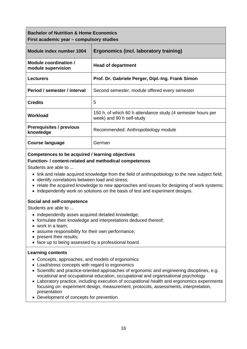| <b>Bachelor of Nutrition &amp; Home Economics</b><br>First academic year – compulsory studies |                                                                                          |  |
|-----------------------------------------------------------------------------------------------|------------------------------------------------------------------------------------------|--|
| Module index number 1004                                                                      | Ergonomics (incl. laboratory training)                                                   |  |
| Module coordination /<br>module supervision                                                   | <b>Head of department</b>                                                                |  |
| <b>Lecturers</b>                                                                              | Prof. Dr. Gabriele Perger, Dipl.-Ing. Frank Simon                                        |  |
| Period / semester / interval                                                                  | Second semester, module offered every semester                                           |  |
| <b>Credits</b>                                                                                | 5                                                                                        |  |
| Workload                                                                                      | 150 h, of which 60 h attendance study (4 semester hours per<br>week) and 90 h self-study |  |
| <b>Prerequisites / previous</b><br>knowledge                                                  | Recommended: Anthropobiology module                                                      |  |
| <b>Course language</b>                                                                        | German                                                                                   |  |

#### **Function- / content-related and methodical competences**

Students are able to ...

- link and relate acquired knowledge from the field of anthropobiology to the new subject field;
- identify correlations between load and stress;
- relate the acquired knowledge to new approaches and issues for designing of work systems;
- independently work on solutions on the basis of test and experiment designs.

#### **Social and self-competence**

Students are able to ...

- independently asses acquired detailed knowledge;
- formulate their knowledge and interpretations deduced thereof;
- work in a team;
- assume responsibility for their own performance;
- present their results:
- face up to being assessed by a professional board.

- Concepts, approaches, and models of ergonomics
- Load/stress concepts with regard to ergonomics
- Scientific and practice-oriented approaches of ergonomic and engineering disciplines, e.g. vocational and occupational education, occupational and organisational psychology
- Laboratory practice, including execution of occupational health and ergonomics experiments focusing on: experiment design, measurement, protocols, assessments, interpretation, presentation
- Development of concepts for prevention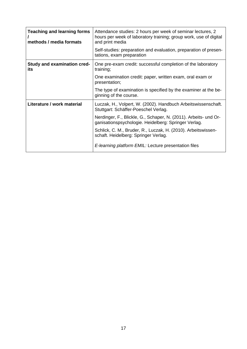| <b>Teaching and learning forms</b><br>methods / media formats | Attendance studies: 2 hours per week of seminar lectures, 2<br>hours per week of laboratory training; group work, use of digital<br>and print media |
|---------------------------------------------------------------|-----------------------------------------------------------------------------------------------------------------------------------------------------|
|                                                               | Self-studies: preparation and evaluation, preparation of presen-<br>tations, exam preparation                                                       |
| <b>Study and examination cred-</b><br>its                     | One pre-exam credit: successful completion of the laboratory<br>training;                                                                           |
|                                                               | One examination credit: paper, written exam, oral exam or<br>presentation;                                                                          |
|                                                               | The type of examination is specified by the examiner at the be-<br>ginning of the course.                                                           |
| Literature / work material                                    | Luczak, H., Volpert, W. (2002). Handbuch Arbeitswissenschaft.<br>Stuttgart: Schäffer-Poeschel Verlag.                                               |
|                                                               | Nerdinger, F., Blickle, G., Schaper, N. (2011). Arbeits- und Or-<br>ganisationspsychologie. Heidelberg: Springer Verlag.                            |
|                                                               | Schlick, C. M., Bruder, R., Luczak, H. (2010). Arbeitswissen-<br>schaft. Heidelberg: Springer Verlag.                                               |
|                                                               | E-learning platform EMIL: Lecture presentation files                                                                                                |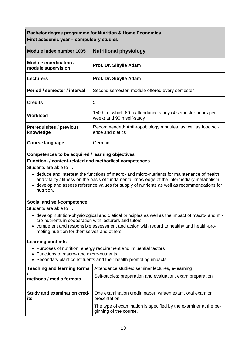## **Bachelor degree programme for Nutrition & Home Economics First academic year – compulsory studies**

| Module index number 1005                     | <b>Nutritional physiology</b>                                                            |
|----------------------------------------------|------------------------------------------------------------------------------------------|
| Module coordination /<br>module supervision  | Prof. Dr. Sibylle Adam                                                                   |
| <b>Lecturers</b>                             | Prof. Dr. Sibylle Adam                                                                   |
| Period / semester / interval                 | Second semester, module offered every semester                                           |
| <b>Credits</b>                               | 5                                                                                        |
| Workload                                     | 150 h, of which 60 h attendance study (4 semester hours per<br>week) and 90 h self-study |
| <b>Prerequisites / previous</b><br>knowledge | Recommended: Anthropobiology modules, as well as food sci-<br>ence and dietics           |
| Course language                              | German                                                                                   |

#### **Competences to be acquired / learning objectives**

#### **Function- / content-related and methodical competences**

Students are able to ...

- deduce and interpret the functions of macro- and micro-nutrients for maintenance of health and vitality / fitness on the basis of fundamental knowledge of the intermediary metabolism;
- develop and assess reference values for supply of nutrients as well as recommendations for nutrition.

#### **Social and self-competence**

Students are able to ...

- develop nutrition-physiological and dietical principles as well as the impact of macro- and micro-nutrients in cooperation with lecturers and tutors;
- competent and responsible assessment and action with regard to healthy and health-promoting nutrition for themselves and others.

- Purposes of nutrition, energy requirement and influential factors
- Functions of macro- and micro-nutrients
- Secondary plant constituents and their health-promoting impacts

| Teaching and learning forms | Attendance studies: seminar lectures, e-learning                                          |
|-----------------------------|-------------------------------------------------------------------------------------------|
| methods / media formats     | Self-studies: preparation and evaluation, exam preparation                                |
| Study and examination cred- | One examination credit: paper, written exam, oral exam or                                 |
| its                         | presentation;                                                                             |
|                             | The type of examination is specified by the examiner at the be-<br>ginning of the course. |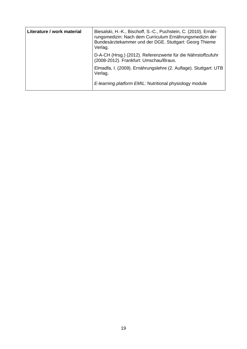| Literature / work material | Biesalski, H.-K., Bischoff, S.-C., Puchstein, C. (2010). Ernäh-<br>rungsmedizin: Nach dem Curriculum Ernährungsmedizin der<br>Bundesärztekammer und der DGE. Stuttgart: Georg Thieme<br>Verlag. |
|----------------------------|-------------------------------------------------------------------------------------------------------------------------------------------------------------------------------------------------|
|                            | D-A-CH (Hrsg.) (2012). Referenzwerte für die Nährstoffzufuhr<br>(2008-2012). Frankfurt: Umschau/Braus.                                                                                          |
|                            | Elmadfa, I. (2009). Ernährungslehre (2. Auflage). Stuttgart: UTB<br>Verlag.                                                                                                                     |
|                            | E-learning platform EMIL: Nutritional physiology module                                                                                                                                         |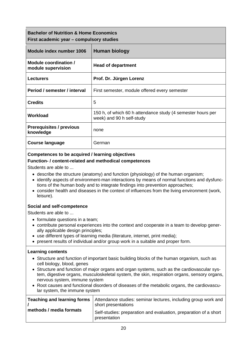| <b>Bachelor of Nutrition &amp; Home Economics</b><br>First academic year – compulsory studies |                                                                                          |
|-----------------------------------------------------------------------------------------------|------------------------------------------------------------------------------------------|
| Module index number 1006                                                                      | Human biology                                                                            |
| Module coordination /<br>module supervision                                                   | <b>Head of department</b>                                                                |
| <b>Lecturers</b>                                                                              | Prof. Dr. Jürgen Lorenz                                                                  |
| Period / semester / interval                                                                  | First semester, module offered every semester                                            |
| <b>Credits</b>                                                                                | 5                                                                                        |
| Workload                                                                                      | 150 h, of which 60 h attendance study (4 semester hours per<br>week) and 90 h self-study |
| <b>Prerequisites / previous</b><br>knowledge                                                  | none                                                                                     |
| Course language                                                                               | German                                                                                   |

#### **Function- / content-related and methodical competences**

Students are able to ...

- describe the structure (anatomy) and function (physiology) of the human organism;
- identify aspects of environment-man interactions by means of normal functions and dysfunctions of the human body and to integrate findings into prevention approaches;
- consider health and diseases in the context of influences from the living environment (work, leisure).

#### **Social and self-competence**

Students are able to ...

- formulate questions in a team;
- contribute personal experiences into the context and cooperate in a team to develop generally applicable design principles;
- use different types of learning media (literature, internet, print media);
- present results of individual and/or group work in a suitable and proper form.

- Structure and function of important basic building blocks of the human organism, such as cell biology, blood, genes
- Structure and function of major organs and organ systems, such as the cardiovascular system, digestive organs, musculoskeletal system, the skin, respiration organs, sensory organs, nervous system, immune system
- Root causes and functional disorders of diseases of the metabolic organs, the cardiovascular system, the immune system

| Teaching and learning forms | Attendance studies: seminar lectures, including group work and<br>short presentations |
|-----------------------------|---------------------------------------------------------------------------------------|
| methods / media formats     | Self-studies: preparation and evaluation, preparation of a short<br>presentation      |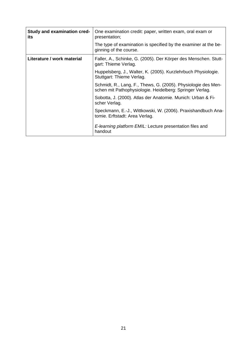| <b>Study and examination cred-</b><br>its | One examination credit: paper, written exam, oral exam or<br>presentation;                                                |
|-------------------------------------------|---------------------------------------------------------------------------------------------------------------------------|
|                                           | The type of examination is specified by the examiner at the be-<br>ginning of the course.                                 |
| Literature / work material                | Faller, A., Schinke, G. (2005). Der Körper des Menschen. Stutt-<br>gart: Thieme Verlag.                                   |
|                                           | Huppelsberg, J., Walter, K. (2005). Kurzlehrbuch Physiologie.<br>Stuttgart: Thieme Verlag.                                |
|                                           | Schmidt, R., Lang, F., Thews, G. (2005). Physiologie des Men-<br>schen mit Pathophysiologie. Heidelberg: Springer Verlag. |
|                                           | Sobotta, J. (2000). Atlas der Anatomie. Munich: Urban & Fi-<br>scher Verlag.                                              |
|                                           | Speckmann, E.-J., Wittkowski, W. (2006). Praxishandbuch Ana-<br>tomie. Erftstadt: Area Verlag.                            |
|                                           | E-learning platform EMIL: Lecture presentation files and<br>handout                                                       |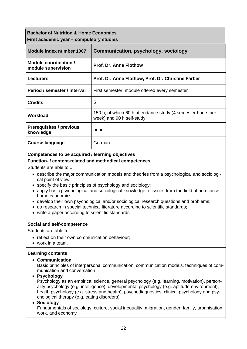# **Bachelor of Nutrition & Home Economics First academic year – compulsory studies**

| Module index number 1007                     | <b>Communication, psychology, sociology</b>                                              |
|----------------------------------------------|------------------------------------------------------------------------------------------|
| Module coordination /<br>module supervision  | <b>Prof. Dr. Anne Flothow</b>                                                            |
| <b>Lecturers</b>                             | Prof. Dr. Anne Flothow, Prof. Dr. Christine Färber                                       |
| Period / semester / interval                 | First semester, module offered every semester                                            |
| <b>Credits</b>                               | 5                                                                                        |
| Workload                                     | 150 h, of which 60 h attendance study (4 semester hours per<br>week) and 90 h self-study |
| <b>Prerequisites / previous</b><br>knowledge | none                                                                                     |
| <b>Course language</b>                       | German                                                                                   |

#### **Competences to be acquired / learning objectives**

#### **Function- / content-related and methodical competences**

Students are able to ...

- describe the major communication models and theories from a psychological and sociological point of view;
- specify the basic principles of psychology and sociology;
- apply basic psychological and sociological knowledge to issues from the field of nutrition & home economics
- develop their own psychological and/or sociological research questions and problems;
- do research in special technical literature according to scientific standards;
- write a paper according to scientific standards.

#### **Social and self-competence**

Students are able to ...

- reflect on their own communication behaviour;
- work in a team.

#### **Learning contents**

**Communication**

Basic principles of interpersonal communication, communication models, techniques of communication and conversation

**Psychology**

Psychology as an empirical science, general psychology (e.g. learning, motivation), personality psychology (e.g. intelligence), developmental psychology (e.g. aptitude-environment), health psychology (e.g. stress and health), psychodiagnostics, clinical psychology and psychological therapy (e.g. eating disorders)

#### **Sociology**

Fundamentals of sociology, culture, social inequality, migration, gender, family, urbanisation, work, and economy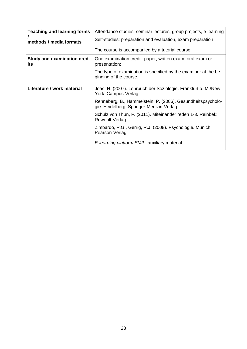| <b>Teaching and learning forms</b><br>methods / media formats | Attendance studies: seminar lectures, group projects, e-learning<br>Self-studies: preparation and evaluation, exam preparation<br>The course is accompanied by a tutorial course. |
|---------------------------------------------------------------|-----------------------------------------------------------------------------------------------------------------------------------------------------------------------------------|
| <b>Study and examination cred-</b><br>its                     | One examination credit: paper, written exam, oral exam or<br>presentation;                                                                                                        |
|                                                               | The type of examination is specified by the examiner at the be-<br>ginning of the course.                                                                                         |
| Literature / work material                                    | Joas, H. (2007). Lehrbuch der Soziologie. Frankfurt a. M./New<br>York: Campus-Verlag.                                                                                             |
|                                                               | Renneberg, B., Hammelstein, P. (2006). Gesundheitspsycholo-<br>gie. Heidelberg: Springer-Medizin-Verlag.                                                                          |
|                                                               | Schulz von Thun, F. (2011). Miteinander reden 1-3. Reinbek:<br>Rowohlt-Verlag.                                                                                                    |
|                                                               | Zimbardo, P.G., Gerrig, R.J. (2008). Psychologie. Munich:<br>Pearson-Verlag.                                                                                                      |
|                                                               | E-learning platform EMIL: auxiliary material                                                                                                                                      |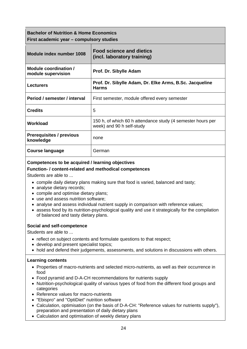**Bachelor of Nutrition & Home Economics First academic year – compulsory studies** 

| Module index number 1008                     | <b>Food science and dietics</b><br>(incl. laboratory training)                           |
|----------------------------------------------|------------------------------------------------------------------------------------------|
| Module coordination /<br>module supervision  | Prof. Dr. Sibylle Adam                                                                   |
| <b>Lecturers</b>                             | Prof. Dr. Sibylle Adam, Dr. Elke Arms, B.Sc. Jacqueline<br><b>Harms</b>                  |
| Period / semester / interval                 | First semester, module offered every semester                                            |
| <b>Credits</b>                               | 5                                                                                        |
| Workload                                     | 150 h, of which 60 h attendance study (4 semester hours per<br>week) and 90 h self-study |
| <b>Prerequisites / previous</b><br>knowledge | none                                                                                     |
| <b>Course language</b>                       | German                                                                                   |

#### **Competences to be acquired / learning objectives**

#### **Function- / content-related and methodical competences**

Students are able to ...

- compile daily dietary plans making sure that food is varied, balanced and tasty;
- analyse dietary records;
- compile and optimise dietary plans;
- use and assess nutrition software;
- analyse and assess individual nutrient supply in comparison with reference values;
- assess food by its nutrition-psychological quality and use it strategically for the compilation of balanced and tasty dietary plans.

#### **Social and self-competence**

Students are able to ...

- reflect on subject contents and formulate questions to that respect;
- develop and present specialist topics;
- hold and defend their judgements, assessments, and solutions in discussions with others.

- Properties of macro-nutrients and selected micro-nutrients, as well as their occurrence in food
- Food pyramid and D-A-CH recommendations for nutrients supply
- Nutrition-psychological quality of various types of food from the different food groups and categories
- Reference values for macro-nutrients
- "Ebispro" and "OptiDiet" nutrition software
- Calculation, optimisation (on the basis of D-A-CH: "Reference values for nutrients supply"), preparation and presentation of daily dietary plans
- Calculation and optimisation of weekly dietary plans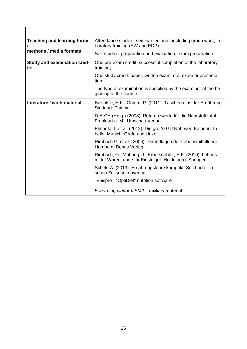| <b>Teaching and learning forms</b>        | Attendance studies: seminar lectures, including group work, la-<br>boratory training (EW and EDP)                       |
|-------------------------------------------|-------------------------------------------------------------------------------------------------------------------------|
| methods / media formats                   | Self-studies: preparation and evaluation, exam preparation                                                              |
| <b>Study and examination cred-</b><br>its | One pre-exam credit: successful completion of the laboratory<br>training;                                               |
|                                           | One study credit: paper, written exam, oral exam or presenta-<br>tion;                                                  |
|                                           | The type of examination is specified by the examiner at the be-<br>ginning of the course.                               |
| Literature / work material                | Biesalski, H.K., Grimm, P. (2011). Taschenatlas der Ernährung.<br>Stuttgart: Thieme.                                    |
|                                           | D-A-CH (Hrsg.) (2008). Referenzwerte für die Nährstoffzufuhr.<br>Frankfurt a. M.: Umschau Verlag.                       |
|                                           | Elmadfa, I. et al. (2012). Die große GU Nährwert Kalorien Ta-<br>belle. Munich: Gräfe und Unzer.                        |
|                                           | Rimbach G. et al. (2006).: Grundlagen der Lebensmittellehre.<br>Hamburg: Behr's Verlag.                                 |
|                                           | Rimbach, G., Möhring; J., Erbersdobler; H.F. (2010). Lebens-<br>mittel-Warenkunde für Einsteiger. Heidelberg: Springer. |
|                                           | Schek, A. (2013). Ernährungslehre kompakt. Sulzbach: Um-<br>schau Zeitschriftenverlag.                                  |
|                                           | "Ebispro", "OptiDiet" nutrition software                                                                                |
|                                           | E-learning platform EMIL: auxiliary material                                                                            |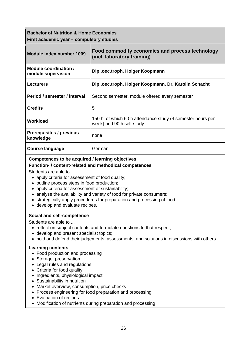## **Bachelor of Nutrition & Home Economics First academic year – compulsory studies**

| Module index number 1009                     | Food commodity economics and process technology<br>(incl. laboratory training)           |
|----------------------------------------------|------------------------------------------------------------------------------------------|
| Module coordination /<br>module supervision  | Dipl.oec.troph. Holger Koopmann                                                          |
| <b>Lecturers</b>                             | Dipl.oec.troph. Holger Koopmann, Dr. Karolin Schacht                                     |
| Period / semester / interval                 | Second semester, module offered every semester                                           |
| <b>Credits</b>                               | 5                                                                                        |
| Workload                                     | 150 h, of which 60 h attendance study (4 semester hours per<br>week) and 90 h self-study |
| <b>Prerequisites / previous</b><br>knowledge | none                                                                                     |
| Course language                              | German                                                                                   |

#### **Competences to be acquired / learning objectives**

#### **Function- / content-related and methodical competences**

Students are able to ...

- apply criteria for assessment of food quality;
- outline process steps in food production;
- apply criteria for assessment of sustainability;
- analyse the availability and variety of food for private consumers;
- strategically apply procedures for preparation and processing of food;
- develop and evaluate recipes.

#### **Social and self-competence**

Students are able to ...

- reflect on subject contents and formulate questions to that respect;
- develop and present specialist topics;
- hold and defend their judgements, assessments, and solutions in discussions with others.

- Food production and processing
- Storage, preservation
- Legal rules and regulations
- Criteria for food quality
- Ingredients, physiological impact
- Sustainability in nutrition
- Market overview, consumption, price checks
- Process engineering for food preparation and processing
- Evaluation of recipes
- Modification of nutrients during preparation and processing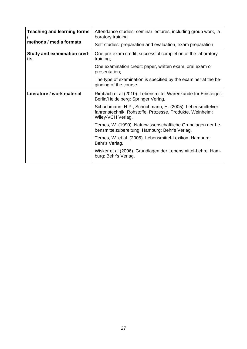| <b>Teaching and learning forms</b><br>methods / media formats | Attendance studies: seminar lectures, including group work, la-<br>boratory training                                                       |
|---------------------------------------------------------------|--------------------------------------------------------------------------------------------------------------------------------------------|
|                                                               | Self-studies: preparation and evaluation, exam preparation                                                                                 |
| <b>Study and examination cred-</b><br>its                     | One pre-exam credit: successful completion of the laboratory<br>training;                                                                  |
|                                                               | One examination credit: paper, written exam, oral exam or<br>presentation;                                                                 |
|                                                               | The type of examination is specified by the examiner at the be-<br>ginning of the course.                                                  |
| Literature / work material                                    | Rimbach et al (2010). Lebensmittel-Warenkunde für Einsteiger.<br>Berlin/Heidelberg: Springer Verlag.                                       |
|                                                               | Schuchmann, H.P., Schuchmann, H. (2005). Lebensmittelver-<br>fahrenstechnik. Rohstoffe, Prozesse, Produkte. Weinheim:<br>Wiley-VCH Verlag. |
|                                                               | Ternes, W. (1990). Naturwissenschaftliche Grundlagen der Le-<br>bensmittelzubereitung. Hamburg: Behr's Verlag.                             |
|                                                               | Ternes, W. et al. (2005). Lebensmittel-Lexikon. Hamburg:<br>Behr's Verlag.                                                                 |
|                                                               | Wisker et al (2006). Grundlagen der Lebensmittel-Lehre. Ham-<br>burg: Behr's Verlag.                                                       |
|                                                               |                                                                                                                                            |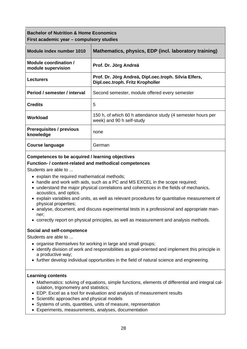## **Bachelor of Nutrition & Home Economics First academic year – compulsory studies**

| Module index number 1010                     | Mathematics, physics, EDP (incl. laboratory training)                                     |
|----------------------------------------------|-------------------------------------------------------------------------------------------|
| Module coordination /<br>module supervision  | Prof. Dr. Jörg Andreä                                                                     |
| <b>Lecturers</b>                             | Prof. Dr. Jörg Andreä, Dipl.oec.troph. Silvia Elfers,<br>Dipl.oec.troph. Fritz Kropholler |
| Period / semester / interval                 | Second semester, module offered every semester                                            |
| <b>Credits</b>                               | 5                                                                                         |
| Workload                                     | 150 h, of which 60 h attendance study (4 semester hours per<br>week) and 90 h self-study  |
| <b>Prerequisites / previous</b><br>knowledge | none                                                                                      |
| <b>Course language</b>                       | German                                                                                    |

#### **Competences to be acquired / learning objectives**

#### **Function- / content-related and methodical competences**

Students are able to ...

- explain the required mathematical methods;
- handle and work with aids, such as a PC and MS EXCEL in the scope required;
- understand the major physical correlations and coherences in the fields of mechanics, acoustics, and optics.
- explain variables and units, as well as relevant procedures for quantitative measurement of physical properties;
- analyse, document, and discuss experimental tests in a professional and appropriate manner;
- correctly report on physical principles, as well as measurement and analysis methods.

#### **Social and self-competence**

Students are able to ...

- organise themselves for working in large and small groups;
- identify division of work and responsibilities as goal-oriented and implement this principle in a productive way;
- further develop individual opportunities in the field of natural science and engineering.

- Mathematics: solving of equations, simple functions, elements of differential and integral calculation, trigonometry and statistics;
- EDP: Excel as a tool for evaluation and analysis of measurement results
- Scientific approaches and physical models
- Systems of units, quantities, units of measure, representation
- Experiments, measurements, analyses, documentation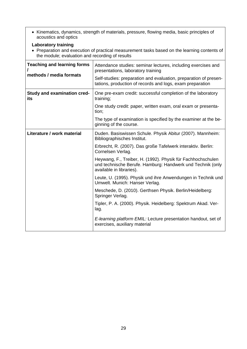• Kinematics, dynamics, strength of materials, pressure, flowing media, basic principles of acoustics and optics

# **Laboratory training**

 Preparation and execution of practical measurement tasks based on the learning contents of the module; evaluation and recording of results

| <b>Teaching and learning forms</b><br>methods / media formats | Attendance studies: seminar lectures, including exercises and<br>presentations, laboratory training<br>Self-studies: preparation and evaluation, preparation of presen-<br>tations, production of records and logs, exam preparation |
|---------------------------------------------------------------|--------------------------------------------------------------------------------------------------------------------------------------------------------------------------------------------------------------------------------------|
| <b>Study and examination cred-</b><br>its                     | One pre-exam credit: successful completion of the laboratory<br>training;                                                                                                                                                            |
|                                                               | One study credit: paper, written exam, oral exam or presenta-<br>tion;                                                                                                                                                               |
|                                                               | The type of examination is specified by the examiner at the be-<br>ginning of the course.                                                                                                                                            |
| Literature / work material                                    | Duden. Basiswissen Schule. Physik Abitur (2007). Mannheim:<br>Bibliographisches Institut.                                                                                                                                            |
|                                                               | Erbrecht, R. (2007). Das große Tafelwerk interaktiv. Berlin:<br>Cornelsen Verlag.                                                                                                                                                    |
|                                                               | Heywang, F., Treiber, H. (1992). Physik für Fachhochschulen<br>und technische Berufe. Hamburg: Handwerk und Technik (only<br>available in libraries).                                                                                |
|                                                               | Leute, U. (1995). Physik und ihre Anwendungen in Technik und<br>Umwelt. Munich: Hanser Verlag.                                                                                                                                       |
|                                                               | Meschede, D. (2010). Gerthsen Physik. Berlin/Heidelberg:<br>Springer Verlag.                                                                                                                                                         |
|                                                               | Tipler, P. A. (2000). Physik. Heidelberg: Spektrum Akad. Ver-<br>lag.                                                                                                                                                                |
|                                                               | E-learning platform EMIL: Lecture presentation handout, set of<br>exercises, auxiliary material                                                                                                                                      |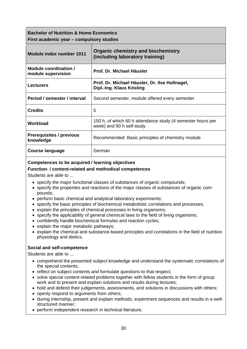| <b>Bachelor of Nutrition &amp; Home Economics</b> |                                          |
|---------------------------------------------------|------------------------------------------|
|                                                   | First academic year – compulsory studies |

| Module index number 1011                     | <b>Organic chemistry and biochemistry</b><br>(including laboratory training)             |
|----------------------------------------------|------------------------------------------------------------------------------------------|
| Module coordination /<br>module supervision  | Prof. Dr. Michael Häusler                                                                |
| <b>Lecturers</b>                             | Prof. Dr. Michael Häusler, Dr. Ilse Hollnagel,<br>Dipl.-Ing. Klaus Kösling               |
| Period / semester / interval                 | Second semester, module offered every semester                                           |
| <b>Credits</b>                               | 5                                                                                        |
| Workload                                     | 150 h, of which 60 h attendance study (4 semester hours per<br>week) and 90 h self-study |
| <b>Prerequisites / previous</b><br>knowledge | Recommended: Basic principles of chemistry module                                        |
| <b>Course language</b>                       | German                                                                                   |

#### **Function- / content-related and methodical competences**

Students are able to ...

- specify the major functional classes of substances of organic compounds;
- specify the properties and reactions of the major classes of substances of organic compounds;
- perform basic chemical and analytical laboratory experiments;
- specify the basic principles of biochemical metabolistic correlations and processes;
- explain the principles of chemical processes in living organisms;
- specify the applicability of general chemical laws to the field of living organisms;
- confidently handle biochemical formulas and reaction cycles;
- explain the major metabolic pathways;
- explain the chemical and substance-based principles and correlations in the field of nutrition physiology and dietics.

#### **Social and self-competence**

Students are able to ...

- comprehend the presented subject knowledge and understand the systematic correlations of the special contents;
- reflect on subject contents and formulate questions to that respect;
- solve special content-related problems together with fellow students in the form of group work and to present and explain solutions and results during lectures;
- hold and defend their judgements, assessments, and solutions in discussions with others;
- openly respond to arguments from others;
- during internship, present and explain methods, experiment sequences and results in a wellstructured manner;
- perform independent research in technical literature.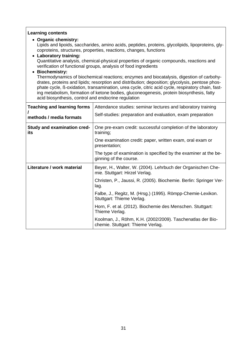#### **Learning contents**

#### **Organic chemistry:**

Lipids and lipoids, saccharides, amino acids, peptides, proteins, glycolipids, lipoproteins, glycoproteins, structures, properties, reactions, changes, functions

#### **Laboratory training:** Quantitative analysis, chemical-physical properties of organic compounds, reactions and verification of functional groups, analysis of food ingredients

#### **Biochemistry:**

Thermodynamics of biochemical reactions; enzymes and biocatalysis, digestion of carbohydrates, proteins and lipids; resorption and distribution; deposition; glycolysis, pentose phosphate cycle, ß-oxidation, transamination, urea cycle, citric acid cycle, respiratory chain, fasting metabolism, formation of ketone bodies, gluconeogenesis, protein biosynthesis, fatty acid biosynthesis, control and endocrine regulation

| <b>Teaching and learning forms</b><br>methods / media formats | Attendance studies: seminar lectures and laboratory training<br>Self-studies: preparation and evaluation, exam preparation |
|---------------------------------------------------------------|----------------------------------------------------------------------------------------------------------------------------|
| <b>Study and examination cred-</b><br>its                     | One pre-exam credit: successful completion of the laboratory<br>training;                                                  |
|                                                               | One examination credit: paper, written exam, oral exam or<br>presentation;                                                 |
|                                                               | The type of examination is specified by the examiner at the be-<br>ginning of the course.                                  |
| Literature / work material                                    | Beyer, H., Walter, W. (2004). Lehrbuch der Organischen Che-<br>mie. Stuttgart: Hirzel Verlag.                              |
|                                                               | Christen, P., Jaussi, R. (2005). Biochemie. Berlin: Springer Ver-<br>lag.                                                  |
|                                                               | Falbe, J., Regitz, M. (Hrsg.) (1995). Römpp-Chemie-Lexikon.<br>Stuttgart: Thieme Verlag.                                   |
|                                                               | Horn, F. et al. (2012). Biochemie des Menschen. Stuttgart:<br>Thieme Verlag.                                               |
|                                                               | Koolman, J., Röhm, K.H. (2002/2009). Taschenatlas der Bio-<br>chemie. Stuttgart: Thieme Verlag.                            |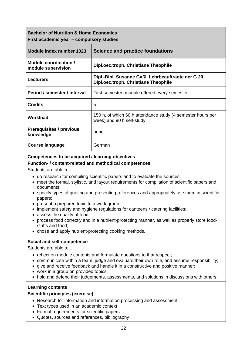| <b>Bachelor of Nutrition &amp; Home Economics</b><br>First academic year – compulsory studies |                                                                                             |
|-----------------------------------------------------------------------------------------------|---------------------------------------------------------------------------------------------|
| Module index number 1023                                                                      | Science and practice foundations                                                            |
| Module coordination /<br>module supervision                                                   | Dipl.oec.troph. Christiane Theophile                                                        |
| <b>Lecturers</b>                                                                              | Dipl.-Bibl. Susanne Gaßl, Lehrbeauftragte der G 20,<br>Dipl.oec.troph. Christiane Theophile |
| Period / semester / interval                                                                  | First semester, module offered every semester                                               |
| <b>Credits</b>                                                                                | 5                                                                                           |
| Workload                                                                                      | 150 h, of which 60 h attendance study (4 semester hours per<br>week) and 90 h self-study    |
| <b>Prerequisites / previous</b><br>knowledge                                                  | none                                                                                        |
| <b>Course language</b>                                                                        | German                                                                                      |

#### **Function- / content-related and methodical competences**

Students are able to ...

- do research for compiling scientific papers and to evaluate the sources;
- meet the formal, stylistic, and layout requirements for compilation of scientific papers and documents;
- specify types of quoting and presenting references and appropriately use them in scientific papers;
- present a prepared topic to a work group;
- implement safety and hygiene regulations for canteens / catering facilities:
- assess the quality of food;
- process food correctly and in a nutrient-protecting manner, as well as properly store foodstuffs and food;
- chose and apply nutrient-protecting cooking methods.

#### **Social and self-competence**

Students are able to ...

- reflect on module contents and formulate questions to that respect;
- communicate within a team, judge and evaluate their own role, and assume responsibility;
- give and receive feedback and handle it in a constructive and positive manner;
- work in a group on provided topics;
- hold and defend their judgements, assessments, and solutions in discussions with others;

#### **Learning contents**

#### **Scientific principles (exercise)**

- Research for information and information processing and assessment
- Text types used in an academic context
- Formal requirements for scientific papers
- Quotes, sources and references, bibliography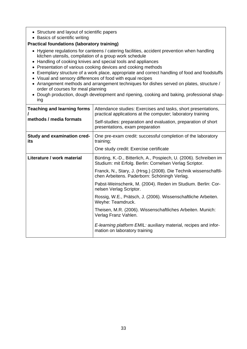- Structure and layout of scientific papers
- Basics of scientific writing

#### **Practical foundations (laboratory training)**

- Hygiene regulations for canteens / catering facilities, accident prevention when handling kitchen utensils, compilation of a group work schedule
- Handling of cooking knives and special tools and appliances
- Presentation of various cooking devices and cooking methods
- Exemplary structure of a work place, appropriate and correct handling of food and foodstuffs
- Visual and sensory differences of food with equal recipes
- Arrangement methods and arrangement techniques for dishes served on plates, structure / order of courses for meal planning
- Dough production, dough development and ripening, cooking and baking, professional shaping

| <b>Teaching and learning forms</b><br>methods / media formats | Attendance studies: Exercises and tasks, short presentations,<br>practical applications at the computer; laboratory training<br>Self-studies: preparation and evaluation, preparation of short<br>presentations, exam preparation                                                                                                                                                                                                                                                                                                                                                                                            |
|---------------------------------------------------------------|------------------------------------------------------------------------------------------------------------------------------------------------------------------------------------------------------------------------------------------------------------------------------------------------------------------------------------------------------------------------------------------------------------------------------------------------------------------------------------------------------------------------------------------------------------------------------------------------------------------------------|
| <b>Study and examination cred-</b><br>its                     | One pre-exam credit: successful completion of the laboratory<br>training;<br>One study credit: Exercise certificate                                                                                                                                                                                                                                                                                                                                                                                                                                                                                                          |
| Literature / work material                                    | Bünting, K.-D., Bitterlich, A., Pospiech, U. (2006). Schreiben im<br>Studium: mit Erfolg. Berlin: Cornelsen Verlag Scriptor.<br>Franck, N., Stary, J. (Hrsg.) (2008). Die Technik wissenschaftli-<br>chen Arbeitens. Paderborn: Schöningh Verlag.<br>Pabst-Weinschenk, M. (2004). Reden im Studium. Berlin: Cor-<br>nelsen Verlag Scriptor.<br>Rossig, W.E., Prätsch, J. (2006). Wissenschaftliche Arbeiten.<br>Weyhe: Teamdruck.<br>Theisen, M.R. (2006). Wissenschaftliches Arbeiten. Munich:<br>Verlag Franz Vahlen.<br>E-learning platform EMIL: auxiliary material, recipes and infor-<br>mation on laboratory training |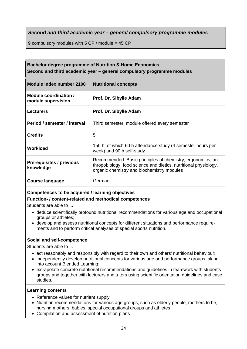*Second and third academic year – general compulsory programme modules* 

9 compulsory modules with 5 CP / module = 45 CP

#### **Bachelor degree programme of Nutrition & Home Economics Second and third academic year – general compulsory programme modules**

| Module index number 2100                     | <b>Nutritional concepts</b>                                                                                                                                                   |
|----------------------------------------------|-------------------------------------------------------------------------------------------------------------------------------------------------------------------------------|
| Module coordination /<br>module supervision  | Prof. Dr. Sibylle Adam                                                                                                                                                        |
| <b>Lecturers</b>                             | Prof. Dr. Sibylle Adam                                                                                                                                                        |
| Period / semester / interval                 | Third semester, module offered every semester                                                                                                                                 |
| <b>Credits</b>                               | 5                                                                                                                                                                             |
| Workload                                     | 150 h, of which 60 h attendance study (4 semester hours per<br>week) and 90 h self-study                                                                                      |
| <b>Prerequisites / previous</b><br>knowledge | Recommended: Basic principles of chemistry, ergonomics, an-<br>thropobiology, food science and dietics, nutritional physiology,<br>organic chemistry and biochemistry modules |
| Course language                              | German                                                                                                                                                                        |

#### **Competences to be acquired / learning objectives**

#### **Function- / content-related and methodical competences**

Students are able to ...

- deduce scientifically profound nutritional recommendations for various age and occupational groups or athletes;
- develop and assess nutritional concepts for different situations and performance requirements and to perform critical analyses of special sports nutrition.

#### **Social and self-competence**

Students are able to ...

- act reasonably and responsibly with regard to their own and others' nutritional behaviour;
- independently develop nutritional concepts for various age and performance groups taking into account Blended Learning;
- extrapolate concrete nutritional recommendations and guidelines in teamwork with students groups and together with lecturers and tutors using scientific orientation guidelines and case studies.

- Reference values for nutrient supply
- Nutrition recommendations for various age groups, such as elderly people, mothers to be, nursing mothers, babies, special occupational groups and athletes
- Compilation and assessment of nutrition plans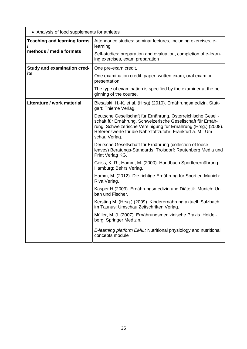| • Analysis of food supplements for athletes |                                                                                                                                                                                                                                                                                |
|---------------------------------------------|--------------------------------------------------------------------------------------------------------------------------------------------------------------------------------------------------------------------------------------------------------------------------------|
| <b>Teaching and learning forms</b>          | Attendance studies: seminar lectures, including exercises, e-<br>learning                                                                                                                                                                                                      |
| methods / media formats                     | Self-studies: preparation and evaluation, completion of e-learn-<br>ing exercises, exam preparation                                                                                                                                                                            |
| <b>Study and examination cred-</b>          | One pre-exam credit,                                                                                                                                                                                                                                                           |
| its                                         | One examination credit: paper, written exam, oral exam or<br>presentation;                                                                                                                                                                                                     |
|                                             | The type of examination is specified by the examiner at the be-<br>ginning of the course.                                                                                                                                                                                      |
| Literature / work material                  | Biesalski, H.-K. et al. (Hrsg) (2010). Ernährungsmedizin. Stutt-<br>gart: Thieme Verlag.                                                                                                                                                                                       |
|                                             | Deutsche Gesellschaft für Ernährung, Österreichische Gesell-<br>schaft für Ernährung, Schweizerische Gesellschaft für Ernäh-<br>rung, Schweizerische Vereinigung für Ernährung (Hrsg.) (2008).<br>Referenzwerte für die Nährstoffzufuhr. Frankfurt a. M.: Um-<br>schau Verlag. |
|                                             | Deutsche Gesellschaft für Ernährung (collection of loose<br>leaves) Beratungs-Standards. Troisdorf: Rautenberg Media und<br>Print Verlag KG.                                                                                                                                   |
|                                             | Geiss, K. R., Hamm, M. (2000). Handbuch Sportlerernährung.<br>Hamburg: Behrs Verlag.                                                                                                                                                                                           |
|                                             | Hamm, M. (2012). Die richtige Ernährung für Sportler. Munich:<br>Riva Verlag.                                                                                                                                                                                                  |
|                                             | Kasper H.(2009). Ernährungsmedizin und Diätetik. Munich: Ur-<br>ban und Fischer.                                                                                                                                                                                               |
|                                             | Kersting M. (Hrsg.) (2009). Kinderernährung aktuell. Sulzbach<br>im Taunus: Umschau Zeitschriften Verlag.                                                                                                                                                                      |
|                                             | Müller, M. J. (2007). Ernährungsmedizinische Praxis. Heidel-<br>berg: Springer Medizin.                                                                                                                                                                                        |
|                                             | E-learning platform EMIL: Nutritional physiology and nutritional<br>concepts module                                                                                                                                                                                            |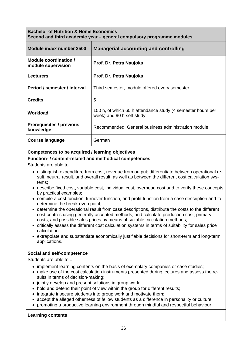| <b>Bachelor of Nutrition &amp; Home Economics</b> | Second and third academic year - general compulsory programme modules |
|---------------------------------------------------|-----------------------------------------------------------------------|
|                                                   |                                                                       |

| Module index number 2500                     | <b>Managerial accounting and controlling</b>                                             |
|----------------------------------------------|------------------------------------------------------------------------------------------|
| Module coordination /<br>module supervision  | Prof. Dr. Petra Naujoks                                                                  |
| <b>Lecturers</b>                             | <b>Prof. Dr. Petra Naujoks</b>                                                           |
| Period / semester / interval                 | Third semester, module offered every semester                                            |
| <b>Credits</b>                               | 5                                                                                        |
| Workload                                     | 150 h, of which 60 h attendance study (4 semester hours per<br>week) and 90 h self-study |
| <b>Prerequisites / previous</b><br>knowledge | Recommended: General business administration module                                      |
| Course language                              | German                                                                                   |

#### **Function- / content-related and methodical competences**

Students are able to ...

- distinguish expenditure from cost, revenue from output; differentiate between operational result, neutral result, and overall result, as well as between the different cost calculation systems;
- describe fixed cost, variable cost, individual cost, overhead cost and to verify these concepts by practical examples;
- compile a cost function, turnover function, and profit function from a case description and to determine the break-even point;
- determine the operational result from case descriptions, distribute the costs to the different cost centres using generally accepted methods, and calculate production cost, primary costs, and possible sales prices by means of suitable calculation methods;
- critically assess the different cost calculation systems in terms of suitability for sales price calculation;
- extrapolate and substantiate economically justifiable decisions for short-term and long-term applications.

#### **Social and self-competence**

Students are able to ...

- implement learning contents on the basis of exemplary companies or case studies;
- make use of the cost calculation instruments presented during lectures and assess the results in terms of decision-making;
- jointly develop and present solutions in group work;
- hold and defend their point of view within the group for different results;
- integrate insecure students into group work and motivate them;
- accept the alleged otherness of fellow students as a difference in personality or culture;
- promoting a productive learning environment through mindful and respectful behaviour.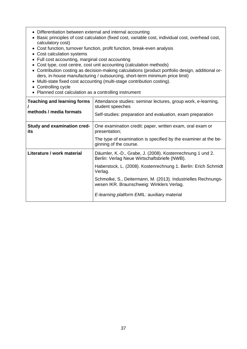- Differentiation between external and internal accounting
- Basic principles of cost calculation (fixed cost, variable cost, individual cost, overhead cost, calculatory cost)
- Cost function, turnover function, profit function, break-even analysis
- Cost calculation systems
- Full cost accounting, marginal cost accounting
- Cost type, cost centre, cost unit accounting (calculation methods)
- Contribution costing as decision-making calculations (product portfolio design, additional orders, in-house manufacturing / outsourcing, short-term minimum price limit)
- Multi-state fixed cost accounting (multi-stage contribution costing).
- Controlling cycle
- Planned cost calculation as a controlling instrument

| <b>Teaching and learning forms</b><br>methods / media formats | Attendance studies: seminar lectures, group work, e-learning,<br>student speeches<br>Self-studies: preparation and evaluation, exam preparation |
|---------------------------------------------------------------|-------------------------------------------------------------------------------------------------------------------------------------------------|
| Study and examination cred-<br>its                            | One examination credit: paper, written exam, oral exam or<br>presentation;                                                                      |
|                                                               | The type of examination is specified by the examiner at the be-<br>ginning of the course.                                                       |
| Literature / work material                                    | Däumler, K.-D., Grabe, J. (2008). Kostenrechnung 1 und 2.<br>Berlin: Verlag Neue Wirtschaftsbriefe (NWB).                                       |
|                                                               | Haberstock, L. (2008). Kostenrechnung 1. Berlin: Erich Schmidt<br>Verlag.                                                                       |
|                                                               | Schmolke, S., Deitermann, M. (2013). Industrielles Rechnungs-<br>wesen IKR. Braunschweig: Winklers Verlag.                                      |
|                                                               | E-learning platform EMIL: auxiliary material                                                                                                    |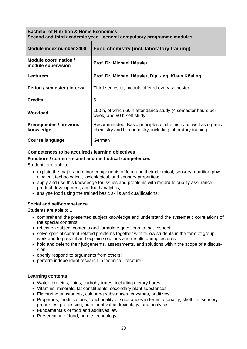| <b>Bachelor of Nutrition &amp; Home Economics</b><br>Second and third academic year – general compulsory programme modules |                                                                                                                            |
|----------------------------------------------------------------------------------------------------------------------------|----------------------------------------------------------------------------------------------------------------------------|
| Module index number 2400                                                                                                   | Food chemistry (incl. laboratory training)                                                                                 |
| Module coordination /<br>module supervision                                                                                | Prof. Dr. Michael Häusler                                                                                                  |
| <b>Lecturers</b>                                                                                                           | Prof. Dr. Michael Häusler, Dipl.-Ing. Klaus Kösling                                                                        |
| Period / semester / interval                                                                                               | Third semester, module offered every semester                                                                              |
| <b>Credits</b>                                                                                                             | 5                                                                                                                          |
| Workload                                                                                                                   | 150 h, of which 60 h attendance study (4 semester hours per<br>week) and 90 h self-study                                   |
| <b>Prerequisites / previous</b><br>knowledge                                                                               | Recommended: Basic principles of chemistry as well as organic<br>chemistry and biochemistry, including laboratory training |
| <b>Course language</b>                                                                                                     | German                                                                                                                     |

## **Competences to be acquired / learning objectives**

### **Function- / content-related and methodical competences**

Students are able to ...

- explain the major and minor components of food and their chemical, sensory, nutrition-physiological, technological, toxicological, and sensory properties;
- apply and use this knowledge for issues and problems with regard to quality assurance, product development, and food analytics;
- analyse food using the trained basic skills and qualifications;

### **Social and self-competence**

Students are able to ...

- comprehend the presented subject knowledge and understand the systematic correlations of the special contents;
- reflect on subject contents and formulate questions to that respect;
- solve special content-related problems together with fellow students in the form of group work and to present and explain solutions and results during lectures;
- hold and defend their judgements, assessments, and solutions within the scope of a discussion;
- openly respond to arguments from others;
- perform independent research in technical literature.

- Water, proteins, lipids, carbohydrates, including dietary fibres
- Vitamins, minerals, fat constituents, secondary plant substances
- Flavouring substances, colouring substances, enzymes, additives
- Properties, modifications, functionality of substances in terms of quality, shelf life, sensory properties, processing, nutritional value, toxicology, and analytics
- Fundamentals of food and additives law
- Preservation of food; hurdle technology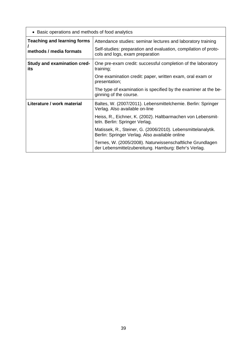| • Basic operations and methods of food analytics |                                                                                                                   |
|--------------------------------------------------|-------------------------------------------------------------------------------------------------------------------|
| <b>Teaching and learning forms</b>               | Attendance studies: seminar lectures and laboratory training                                                      |
| methods / media formats                          | Self-studies: preparation and evaluation, compilation of proto-<br>cols and logs, exam preparation                |
| <b>Study and examination cred-</b><br>its        | One pre-exam credit: successful completion of the laboratory<br>training;                                         |
|                                                  | One examination credit: paper, written exam, oral exam or<br>presentation;                                        |
|                                                  | The type of examination is specified by the examiner at the be-<br>ginning of the course.                         |
| Literature / work material                       | Baltes, W. (2007/2011). Lebensmittelchemie. Berlin: Springer<br>Verlag. Also available on-line                    |
|                                                  | Heiss, R., Eichner, K. (2002). Haltbarmachen von Lebensmit-<br>teln. Berlin: Springer Verlag.                     |
|                                                  | Matissek, R., Steiner, G. (2006/2010). Lebensmittelanalytik.<br>Berlin: Springer Verlag. Also available online    |
|                                                  | Ternes, W. (2005/2008). Naturwissenschaftliche Grundlagen<br>der Lebensmittelzubereitung. Hamburg: Behr's Verlag. |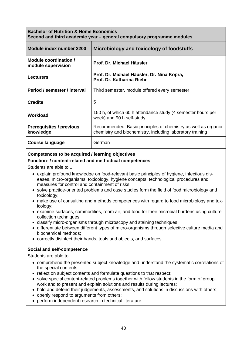| <b>Bachelor of Nutrition &amp; Home Economics</b><br>Second and third academic year – general compulsory programme modules |                                                                                                                            |
|----------------------------------------------------------------------------------------------------------------------------|----------------------------------------------------------------------------------------------------------------------------|
| Module index number 2200                                                                                                   | Microbiology and toxicology of foodstuffs                                                                                  |
| Module coordination /<br>module supervision                                                                                | Prof. Dr. Michael Häusler                                                                                                  |
| <b>Lecturers</b>                                                                                                           | Prof. Dr. Michael Häusler, Dr. Nina Kopra,<br>Prof. Dr. Katharina Riehn                                                    |
| Period / semester / interval                                                                                               | Third semester, module offered every semester                                                                              |
| <b>Credits</b>                                                                                                             | 5                                                                                                                          |
| Workload                                                                                                                   | 150 h, of which 60 h attendance study (4 semester hours per<br>week) and 90 h self-study                                   |
| <b>Prerequisites / previous</b><br>knowledge                                                                               | Recommended: Basic principles of chemistry as well as organic<br>chemistry and biochemistry, including laboratory training |
| <b>Course language</b>                                                                                                     | German                                                                                                                     |

## **Competences to be acquired / learning objectives**

### **Function- / content-related and methodical competences**

Students are able to ...

- explain profound knowledge on food-relevant basic principles of hygiene, infectious diseases, micro-organisms, toxicology, hygiene concepts, technological procedures and measures for control and containment of risks;
- solve practice-oriented problems and case studies form the field of food microbiology and toxicology;
- make use of consulting and methods competences with regard to food microbiology and toxicology;
- examine surfaces, commodities, room air, and food for their microbial burdens using culturecollection techniques;
- classify micro-organisms through microscopy and staining techniques;
- differentiate between different types of micro-organisms through selective culture media and biochemical methods;
- correctly disinfect their hands, tools and objects, and surfaces.

## **Social and self-competence**

Students are able to ...

- comprehend the presented subject knowledge and understand the systematic correlations of the special contents;
- reflect on subject contents and formulate questions to that respect;
- solve special content-related problems together with fellow students in the form of group work and to present and explain solutions and results during lectures;
- hold and defend their judgements, assessments, and solutions in discussions with others;
- openly respond to arguments from others;
- perform independent research in technical literature.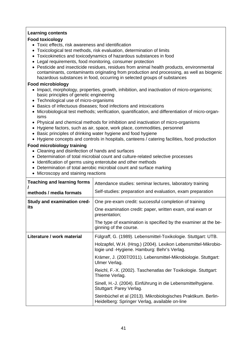## **Learning contents**

### **Food toxicology**

- Toxic effects, risk awareness and identification
- Toxicological test methods, risk evaluation, determination of limits
- Toxicokinetics and toxicodynamics of hazardous substances in food
- Legal requirements, food monitoring, consumer protection
- Pesticide and insecticide residues, residues from animal health products, environmental contaminants, contaminants originating from production and processing, as well as biogenic hazardous substances in food, occurring in selected groups of substances

## **Food microbiology**

- Impact, morphology, properties, growth, inhibition, and inactivation of micro-organisms; basic principles of genetic engineering
- Technological use of micro-organisms
- Basics of infectuous diseases; food infections and intoxications
- Microbiological test methods; verification, quantification, and differentiation of micro-organisms
- Physical and chemical methods for inhibition and inactivation of micro-organisms
- Hygiene factors, such as air, space, work place, commodities, personnel
- Basic principles of drinking water hygiene and food hygiene
- Hygiene concepts and controls in hospitals, canteens / catering facilities, food production

## **Food microbiology training**

- Cleaning and disinfection of hands and surfaces
- Determination of total microbial count and culture-related selective processes
- Identification of germs using enterotube and other methods
- Determination of total aerobic microbial count and surface marking
- Microscopy and staining reactions

| <b>Teaching and learning forms</b><br>methods / media formats | Attendance studies: seminar lectures, laboratory training<br>Self-studies: preparation and evaluation, exam preparation                                                                                                                                                                                                                                                                                                                                                                                                                                                |
|---------------------------------------------------------------|------------------------------------------------------------------------------------------------------------------------------------------------------------------------------------------------------------------------------------------------------------------------------------------------------------------------------------------------------------------------------------------------------------------------------------------------------------------------------------------------------------------------------------------------------------------------|
| <b>Study and examination cred-</b><br>its                     | One pre-exam credit: successful completion of training<br>One examination credit: paper, written exam, oral exam or<br>presentation;<br>The type of examination is specified by the examiner at the be-<br>ginning of the course.                                                                                                                                                                                                                                                                                                                                      |
| Literature / work material                                    | Fülgraff, G. (1989). Lebensmittel-Toxikologie. Stuttgart: UTB.<br>Holzapfel, W.H. (Hrsg.) (2004). Lexikon Lebensmittel-Mikrobio-<br>logie und -Hygiene. Hamburg: Behr's Verlag.<br>Krämer, J. (2007/2011). Lebensmittel-Mikrobiologie. Stuttgart:<br>Ulmer Verlag.<br>Reichl, F.-X. (2002). Taschenatlas der Toxikologie. Stuttgart:<br>Thieme Verlag.<br>Sinell, H.-J. (2004). Einführung in die Lebensmittelhygiene.<br>Stuttgart: Parey Verlag.<br>Steinbüchel et al (2013). Mikrobiologisches Praktikum. Berlin-<br>Heidelberg: Springer Verlag, available on-line |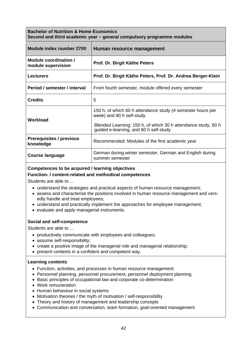## **Bachelor of Nutrition & Home Economics Second and third academic year – general compulsory programme modules**

| Module index number 2700                     | Human resource management                                                                                                                                                                           |
|----------------------------------------------|-----------------------------------------------------------------------------------------------------------------------------------------------------------------------------------------------------|
| Module coordination /<br>module supervision  | Prof. Dr. Birgit Käthe Peters                                                                                                                                                                       |
| <b>Lecturers</b>                             | Prof. Dr. Birgit Käthe Peters, Prof. Dr. Andrea Berger-Klein                                                                                                                                        |
| Period / semester / interval                 | From fourth semester, module offered every semester                                                                                                                                                 |
| <b>Credits</b>                               | 5                                                                                                                                                                                                   |
| Workload                                     | 150 h, of which 60 h attendance study (4 semester hours per<br>week) and 90 h self-study<br>Blended Learning: 150 h, of which 30 h attendance study, 60 h<br>guided e-learning, and 60 h self-study |
| <b>Prerequisites / previous</b><br>knowledge | Recommended: Modules of the first academic year                                                                                                                                                     |
| <b>Course language</b>                       | German during winter semester, German and English during<br>summer semester                                                                                                                         |

# **Competences to be acquired / learning objectives**

### **Function- / content-related and methodical competences**

Students are able to ...

- understand the strategies and practical aspects of human resource management;
- assess and characterise the positions involved in human resource management and versedly handle and treat employees;
- understand and practically implement the approaches for employee management;
- evaluate and apply managerial instruments.

## **Social and self-competence**

Students are able to ...

- productively communicate with employees and colleagues;
- assume self-responsibility;
- create a positive image of the managerial role and managerial relationship;
- present contents in a confident and competent way.

- Function, activities, and processes in human resource management
- Personnel planning, personnel procurement, personnel deployment planning
- Basic principles of occupational law and corporate co-determination
- Work remuneration
- Human behaviour in social systems
- Motivation theories / the myth of motivation / self-responsibility
- Theory and history of management and leadership concepts
- Communication and conversation, team formation, goal-oriented management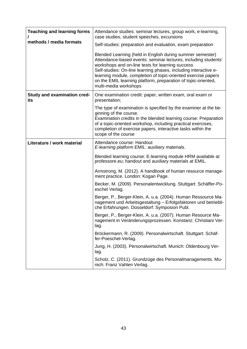| <b>Teaching and learning forms</b>        | Attendance studies: seminar lectures, group work, e-learning,<br>case studies, student speeches, excursions                                                                                                                                                                                                                                                                                                   |
|-------------------------------------------|---------------------------------------------------------------------------------------------------------------------------------------------------------------------------------------------------------------------------------------------------------------------------------------------------------------------------------------------------------------------------------------------------------------|
| methods / media formats                   | Self-studies: preparation and evaluation, exam preparation                                                                                                                                                                                                                                                                                                                                                    |
|                                           | Blended Learning (held in English during summer semester)<br>Attendance-based events: seminar lectures, including students'<br>workshops and on-line tests for learning success<br>Self-studies: On-line learning phases, including interactive e-<br>learning module, completion of topic-oriented exercise papers<br>on the EMIL learning platform, preparation of topic-oriented,<br>multi-media workshops |
| <b>Study and examination cred-</b><br>its | One examination credit: paper, written exam, oral exam or<br>presentation;                                                                                                                                                                                                                                                                                                                                    |
|                                           | The type of examination is specified by the examiner at the be-<br>ginning of the course.<br>Examination credits in the blended learning course: Preparation<br>of a topic-oriented workshop, including practical exercises,<br>completion of exercise papers, interactive tasks within the<br>scope of the course                                                                                            |
| Literature / work material                | Attendance course: Handout<br>E-learning platform EMIL: auxiliary materials.                                                                                                                                                                                                                                                                                                                                  |
|                                           | Blended learning course: E-learning module HRM available at<br>professore.eu; handout and auxiliary materials at EMIL.                                                                                                                                                                                                                                                                                        |
|                                           | Armstrong, M. (2012). A handbook of human resource manage-<br>ment practice. London: Kogan Page.                                                                                                                                                                                                                                                                                                              |
|                                           | Becker, M. (2009). Personalentwicklung. Stuttgart: Schäffer-Po-<br>eschel Verlag.                                                                                                                                                                                                                                                                                                                             |
|                                           | Berger, P., Berger-Klein, A. u.a. (2004). Human Ressource Ma-<br>nagement und Arbeitsgestaltung - Erfolgsfaktoren und betriebli-<br>che Erfahrungen. Düsseldorf: Symposion Publ.                                                                                                                                                                                                                              |
|                                           | Berger, P., Berger-Klein, A. u.a. (2007). Human Resource Ma-<br>nagement in Veränderungsprozessen. Konstanz: Christiani Ver-<br>lag.                                                                                                                                                                                                                                                                          |
|                                           | Bröckermann, R. (2009). Personalwirtschaft. Stuttgart: Schäf-<br>fer-Poeschel-Verlag.                                                                                                                                                                                                                                                                                                                         |
|                                           | Jung, H. (2003). Personalwirtschaft. Munich: Oldenbourg Ver-<br>lag.                                                                                                                                                                                                                                                                                                                                          |
|                                           | Scholz, C. (2011). Grundzüge des Personalmanagements. Mu-<br>nich: Franz Vahlen Verlag.                                                                                                                                                                                                                                                                                                                       |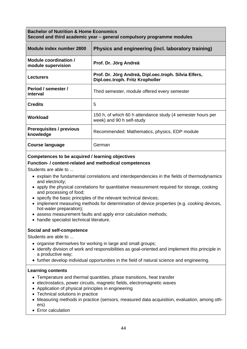| <b>Bachelor of Nutrition &amp; Home Economics</b>                     |  |
|-----------------------------------------------------------------------|--|
| Second and third academic year – general compulsory programme modules |  |

| Module index number 2800                     | Physics and engineering (incl. laboratory training)                                       |
|----------------------------------------------|-------------------------------------------------------------------------------------------|
| Module coordination /<br>module supervision  | Prof. Dr. Jörg Andreä                                                                     |
| <b>Lecturers</b>                             | Prof. Dr. Jörg Andreä, Dipl.oec.troph. Silvia Elfers,<br>Dipl.oec.troph. Fritz Kropholler |
| Period / semester /<br>interval              | Third semester, module offered every semester                                             |
| <b>Credits</b>                               | 5                                                                                         |
| Workload                                     | 150 h, of which 60 h attendance study (4 semester hours per<br>week) and 90 h self-study  |
| <b>Prerequisites / previous</b><br>knowledge | Recommended: Mathematics, physics, EDP module                                             |
| Course language                              | German                                                                                    |

### **Competences to be acquired / learning objectives**

### **Function- / content-related and methodical competences**

Students are able to ...

- explain the fundamental correlations and interdependencies in the fields of thermodynamics and electricity;
- apply the physical correlations for quantitative measurement required for storage, cooking and processing of food;
- specify the basic principles of the relevant technical devices;
- implement measuring methods for determination of device properties (e.g. cooking devices, hot-water preparation);
- assess measurement faults and apply error calculation methods;
- handle specialist technical literature.

## **Social and self-competence**

Students are able to ...

- organise themselves for working in large and small groups;
- identify division of work and responsibilities as goal-oriented and implement this principle in a productive way;
- further develop individual opportunities in the field of natural science and engineering.

- Temperature and thermal quantities, phase transitions, heat transfer
- electrostatics, power circuits, magnetic fields, electromagnetic waves
- Application of physical principles in engineering
- Technical solutions in practice
- Measuring methods in practice (sensors, measured data acquisition, evaluation, among others)
- Error calculation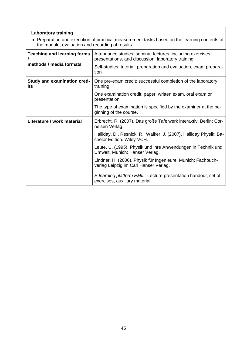# **Laboratory training**

 Preparation and execution of practical measurement tasks based on the learning contents of the module; evaluation and recording of results

| <b>Teaching and learning forms</b><br>methods / media formats | Attendance studies: seminar lectures, including exercises,<br>presentations, and discussion, laboratory training<br>Self-studies: tutorial, preparation and evaluation, exam prepara-<br>tion |
|---------------------------------------------------------------|-----------------------------------------------------------------------------------------------------------------------------------------------------------------------------------------------|
| <b>Study and examination cred-</b><br>its                     | One pre-exam credit: successful completion of the laboratory<br>training;                                                                                                                     |
|                                                               | One examination credit: paper, written exam, oral exam or<br>presentation;                                                                                                                    |
|                                                               | The type of examination is specified by the examiner at the be-<br>ginning of the course.                                                                                                     |
| Literature / work material                                    | Erbrecht, R. (2007). Das große Tafelwerk interaktiv. Berlin: Cor-<br>nelsen Verlag.                                                                                                           |
|                                                               | Halliday, D., Resnick, R., Walker, J. (2007). Halliday Physik: Ba-<br>chelor Edition. Wiley-VCH.                                                                                              |
|                                                               | Leute, U. (1995). Physik und ihre Anwendungen in Technik und<br>Umwelt. Munich: Hanser Verlag.                                                                                                |
|                                                               | Lindner, H. (2006). Physik für Ingenieure. Munich: Fachbuch-<br>verlag Leipzig im Carl Hanser Verlag.                                                                                         |
|                                                               | E-learning platform EMIL: Lecture presentation handout, set of<br>exercises, auxiliary material                                                                                               |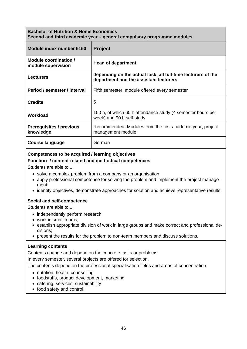## **Bachelor of Nutrition & Home Economics Second and third academic year – general compulsory programme modules**

| Module index number 5150                     | <b>Project</b>                                                                                         |
|----------------------------------------------|--------------------------------------------------------------------------------------------------------|
| Module coordination /<br>module supervision  | <b>Head of department</b>                                                                              |
| <b>Lecturers</b>                             | depending on the actual task, all full-time lecturers of the<br>department and the assistant lecturers |
| Period / semester / interval                 | Fifth semester, module offered every semester                                                          |
| <b>Credits</b>                               | 5                                                                                                      |
| Workload                                     | 150 h, of which 60 h attendance study (4 semester hours per<br>week) and 90 h self-study               |
| <b>Prerequisites / previous</b><br>knowledge | Recommended: Modules from the first academic year, project<br>management module                        |
| <b>Course language</b>                       | German                                                                                                 |

## **Competences to be acquired / learning objectives**

### **Function- / content-related and methodical competences**

Students are able to ...

- solve a complex problem from a company or an organisation;
- apply professional competence for solving the problem and implement the project management;
- identify objectives, demonstrate approaches for solution and achieve representative results.

### **Social and self-competence**

Students are able to ...

- independently perform research;
- work in small teams;
- establish appropriate division of work in large groups and make correct and professional decisions;
- present the results for the problem to non-team members and discuss solutions.

### **Learning contents**

Contents change and depend on the concrete tasks or problems.

In every semester, several projects are offered for selection.

The contents depend on the professional specialisation fields and areas of concentration

- nutrition, health, counselling
- foodstuffs, product development, marketing
- catering, services, sustainability
- food safety and control.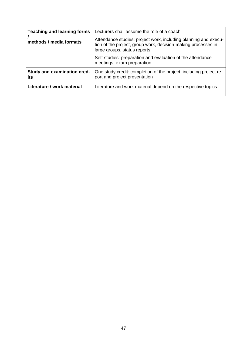| <b>Teaching and learning forms</b><br>methods / media formats | Lecturers shall assume the role of a coach<br>Attendance studies: project work, including planning and execu-<br>tion of the project, group work, decision-making processes in<br>large groups, status reports<br>Self-studies: preparation and evaluation of the attendance |
|---------------------------------------------------------------|------------------------------------------------------------------------------------------------------------------------------------------------------------------------------------------------------------------------------------------------------------------------------|
|                                                               | meetings, exam preparation                                                                                                                                                                                                                                                   |
| Study and examination cred-<br>its                            | One study credit: completion of the project, including project re-<br>port and project presentation                                                                                                                                                                          |
| Literature / work material                                    | Literature and work material depend on the respective topics                                                                                                                                                                                                                 |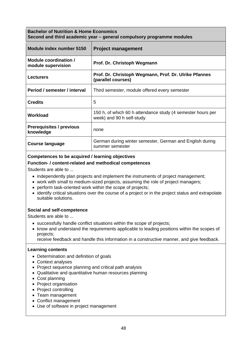| <b>Bachelor of Nutrition &amp; Home Economics</b>                     |  |
|-----------------------------------------------------------------------|--|
| Second and third academic year – general compulsory programme modules |  |

| Module index number 5150                     | <b>Project management</b>                                                                |
|----------------------------------------------|------------------------------------------------------------------------------------------|
| Module coordination /<br>module supervision  | Prof. Dr. Christoph Wegmann                                                              |
| <b>Lecturers</b>                             | Prof. Dr. Christoph Wegmann, Prof. Dr. Ulrike Pfannes<br>(parallel courses)              |
| Period / semester / interval                 | Third semester, module offered every semester                                            |
| <b>Credits</b>                               | 5                                                                                        |
| Workload                                     | 150 h, of which 60 h attendance study (4 semester hours per<br>week) and 90 h self-study |
| <b>Prerequisites / previous</b><br>knowledge | none                                                                                     |
| <b>Course language</b>                       | German during winter semester, German and English during<br>summer semester              |

### **Competences to be acquired / learning objectives**

### **Function- / content-related and methodical competences**

Students are able to ...

- independently plan projects and implement the instruments of project management;
- work with small to medium-sized projects, assuming the role of project managers;
- perform task-oriented work within the scope of projects;
- identify critical situations over the course of a project or in the project status and extrapolate suitable solutions.

## **Social and self-competence**

Students are able to ...

- successfully handle conflict situations within the scope of projects;
- know and understand the requirements applicable to leading positions within the scopes of projects;
	- receive feedback and handle this information in a constructive manner, and give feedback.

- Determination and definition of goals
- Context analyses
- Project sequence planning and critical path analysis
- Qualitative and quantitative human resources planning
- Cost planning
- Project organisation
- Project controlling
- Team management
- Conflict management
- Use of software in project management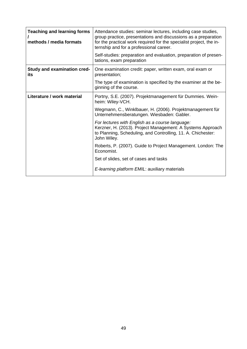| <b>Teaching and learning forms</b><br>methods / media formats | Attendance studies: seminar lectures, including case studies,<br>group practice, presentations and discussions as a preparation<br>for the practical work required for the specialist project, the in-<br>ternship and for a professional career.<br>Self-studies: preparation and evaluation, preparation of presen-<br>tations, exam preparation |
|---------------------------------------------------------------|----------------------------------------------------------------------------------------------------------------------------------------------------------------------------------------------------------------------------------------------------------------------------------------------------------------------------------------------------|
| <b>Study and examination cred-</b><br>its                     | One examination credit: paper, written exam, oral exam or<br>presentation;                                                                                                                                                                                                                                                                         |
|                                                               | The type of examination is specified by the examiner at the be-<br>ginning of the course.                                                                                                                                                                                                                                                          |
| Literature / work material                                    | Portny, S.E. (2007). Projektmanagement für Dummies. Wein-<br>heim: Wiley-VCH.                                                                                                                                                                                                                                                                      |
|                                                               | Wegmann, C., Winklbauer, H. (2006). Projektmanagement für<br>Unternehmensberatungen. Wiesbaden: Gabler.                                                                                                                                                                                                                                            |
|                                                               | For lectures with English as a course language:<br>Kerzner, H. (2013). Project Management: A Systems Approach<br>to Planning, Scheduling, and Controlling, 11. A. Chichester:<br>John Wiley.                                                                                                                                                       |
|                                                               | Roberts, P. (2007). Guide to Project Management. London: The<br>Economist.                                                                                                                                                                                                                                                                         |
|                                                               | Set of slides, set of cases and tasks                                                                                                                                                                                                                                                                                                              |
|                                                               | E-learning platform EMIL: auxiliary materials                                                                                                                                                                                                                                                                                                      |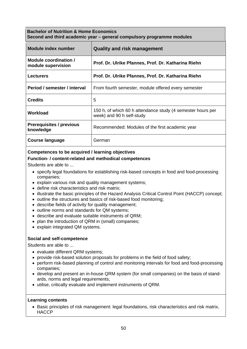## **Bachelor of Nutrition & Home Economics Second and third academic year – general compulsory programme modules**

| Module index number                          | <b>Quality and risk management</b>                                                       |
|----------------------------------------------|------------------------------------------------------------------------------------------|
| Module coordination /<br>module supervision  | Prof. Dr. Ulrike Pfannes, Prof. Dr. Katharina Riehn                                      |
| <b>Lecturers</b>                             | Prof. Dr. Ulrike Pfannes, Prof. Dr. Katharina Riehn                                      |
| Period / semester / interval                 | From fourth semester, module offered every semester                                      |
| <b>Credits</b>                               | 5                                                                                        |
| Workload                                     | 150 h, of which 60 h attendance study (4 semester hours per<br>week) and 90 h self-study |
| <b>Prerequisites / previous</b><br>knowledge | Recommended: Modules of the first academic year                                          |
| Course language                              | German                                                                                   |

# **Competences to be acquired / learning objectives**

## **Function- / content-related and methodical competences**

Students are able to ...

- specify legal foundations for establishing risk-based concepts in food and food-processing companies;
- explain various risk and quality management systems;
- define risk characteristics and risk matrix;
- illustrate the basic principles of the Hazard Analysis Critical Control Point (HACCP) concept:
- outline the structures and basics of risk-based food monitoring;
- describe fields of activity for quality management;
- outline norms and standards for QM systems;
- describe and evaluate suitable instruments of QRM;
- plan the introduction of QRM in (small) companies;
- explain integrated QM systems.

## **Social and self-competence**

Students are able to ...

- evaluate different QRM systems;
- provide risk-based solution proposals for problems in the field of food safety;
- perform risk-based planning of control and monitoring intervals for food and food-processing companies;
- develop and present an in-house QRM system (for small companies) on the basis of standards, norms and legal requirements;
- utilise, critically evaluate and implement instruments of QRM.

### **Learning contents**

• Basic principles of risk management: legal foundations, risk characteristics and risk matrix, **HACCP**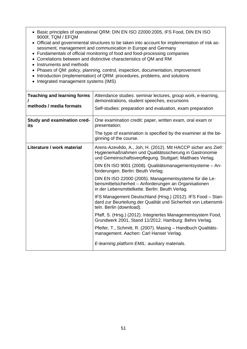- Basic principles of operational QRM: DIN EN ISO 22000:2005, IFS Food, DIN EN ISO 9000f, TQM / EFQM
- Official and governmental structures to be taken into account for implementation of risk assessment, management and communication in Europe and Germany
- Fundamentals of official monitoring of food and food-processing companies
- Correlations between and distinctive characteristics of QM and RM
- Instruments and methods
- Phases of QM: policy, planning, control, inspection, documentation, improvement
- Introduction (implementation) of QRM: procedures, problems, and solutions
- Integrated management systems (IMS)

| <b>Teaching and learning forms</b><br>methods / media formats | Attendance studies: seminar lectures, group work, e-learning,<br>demonstrations, student speeches, excursions<br>Self-studies: preparation and evaluation, exam preparation           |
|---------------------------------------------------------------|---------------------------------------------------------------------------------------------------------------------------------------------------------------------------------------|
| <b>Study and examination cred-</b><br>its                     | One examination credit: paper, written exam, oral exam or<br>presentation;                                                                                                            |
|                                                               | The type of examination is specified by the examiner at the be-<br>ginning of the course.                                                                                             |
| Literature / work material                                    | Arens-Azevêdo, A., Joh, H. (2012). Mit HACCP sicher ans Ziel!:<br>Hygienemaßnahmen und Qualitätssicherung in Gastronomie<br>und Gemeinschaftsverpflegung. Stuttgart: Matthaes Verlag. |
|                                                               | DIN EN ISO 9001 (2008). Qualitätsmanagementsysteme – An-<br>forderungen. Berlin: Beuth Verlag.                                                                                        |
|                                                               | DIN EN ISO 22000 (2005). Managementsysteme für die Le-<br>bensmittelsicherheit - Anforderungen an Organisationen<br>in der Lebensmittelkette. Berlin: Beuth Verlag.                   |
|                                                               | IFS Management Deutschland (Hrsg.) (2012). IFS Food - Stan-<br>dard zur Beurteilung der Qualität und Sicherheit von Lebensmit-<br>teln. Berlin (download).                            |
|                                                               | Pfaff, S. (Hrsg.) (2012). Integriertes Managementsystem Food,<br>Grundwerk 2001, Stand 11/2012. Hamburg: Behrs Verlag.                                                                |
|                                                               | Pfeifer, T., Schmitt, R. (2007). Masing - Handbuch Qualitäts-<br>management. Aachen: Carl Hanser Verlag.                                                                              |
|                                                               | E-learning platform EMIL: auxiliary materials.                                                                                                                                        |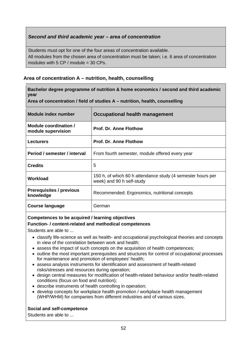# *Second and third academic year – area of concentration*

Students must opt for one of the four areas of concentration available. All modules from the chosen area of concentration must be taken; i.e. 6 area of concentration modules with  $5$  CP / module = 30 CPs.

# **Area of concentration A – nutrition, health, counselling**

| Bachelor degree programme of nutrition & home economics / second and third academic<br>year |                                                                                          |
|---------------------------------------------------------------------------------------------|------------------------------------------------------------------------------------------|
| Area of concentration / field of studies $A$ – nutrition, health, counselling               |                                                                                          |
| <b>Module index number</b>                                                                  | Occupational health management                                                           |
| Module coordination /<br>module supervision                                                 | <b>Prof. Dr. Anne Flothow</b>                                                            |
| <b>Lecturers</b>                                                                            | <b>Prof. Dr. Anne Flothow</b>                                                            |
| Period / semester / interval                                                                | From fourth semester, module offered every year                                          |
| <b>Credits</b>                                                                              | 5                                                                                        |
| <b>Workload</b>                                                                             | 150 h, of which 60 h attendance study (4 semester hours per<br>week) and 90 h self-study |
| <b>Prerequisites / previous</b><br>knowledge                                                | Recommended: Ergonomics, nutritional concepts                                            |
| <b>Course language</b>                                                                      | German                                                                                   |

## **Competences to be acquired / learning objectives**

## **Function- / content-related and methodical competences**

Students are able to ...

- classify life-science as well as health- and occupational psychological theories and concepts in view of the correlation between work and health;
- assess the impact of such concepts on the acquisition of health competences;
- outline the most important prerequisites and structures for control of occupational processes for maintenance and promotion of employees' health;
- assess analysis instruments for identification and assessment of health-related risks/stresses and resources during operation;
- design central measures for modification of health-related behaviour and/or health-related conditions (focus on food and nutrition);
- describe instruments of health controlling in operation;
- develop concepts for workplace health promotion / workplace health management (WHP/WHM) for companies from different industries and of various sizes.

# **Social and self-competence**

Students are able to ...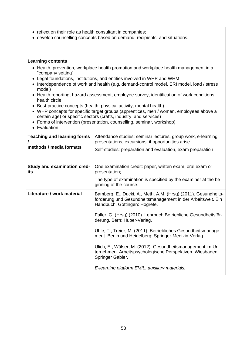- reflect on their role as health consultant in companies;
- develop counselling concepts based on demand, recipients, and situations.

- Health, prevention, workplace health promotion and workplace health management in a "company setting"
- Legal foundations, institutions, and entities involved in WHP and WHM
- Interdependence of work and health (e.g. demand-control model, ERI model, load / stress model)
- Health reporting, hazard assessment, employee survey, identification of work conditions, health circle
- Best-practice concepts (health, physical activity, mental health)
- WHP concepts for specific target groups (apprentices, men / women, employees above a certain age) or specific sectors (crafts, industry, and services)
- Forms of intervention (presentation, counselling, seminar, workshop)
- Evaluation

| <b>Teaching and learning forms</b><br>methods / media formats | Attendance studies: seminar lectures, group work, e-learning,<br>presentations, excursions, if opportunities arise<br>Self-studies: preparation and evaluation, exam preparation                                                                                                                                                                                                                                                                                                                                                                                                            |
|---------------------------------------------------------------|---------------------------------------------------------------------------------------------------------------------------------------------------------------------------------------------------------------------------------------------------------------------------------------------------------------------------------------------------------------------------------------------------------------------------------------------------------------------------------------------------------------------------------------------------------------------------------------------|
| <b>Study and examination cred-</b><br>its                     | One examination credit: paper, written exam, oral exam or<br>presentation;<br>The type of examination is specified by the examiner at the be-<br>ginning of the course.                                                                                                                                                                                                                                                                                                                                                                                                                     |
| Literature / work material                                    | Bamberg, E., Ducki, A., Meth, A.M. (Hrsg) (2011). Gesundheits-<br>förderung und Gesundheitsmanagement in der Arbeitswelt. Ein<br>Handbuch. Göttingen: Hogrefe.<br>Faller, G. (Hrsg) (2010). Lehrbuch Betriebliche Gesundheitsför-<br>derung. Bern: Huber-Verlag.<br>Uhle, T., Treier, M. (2011). Betriebliches Gesundheitsmanage-<br>ment. Berlin und Heidelberg: Springer-Medizin-Verlag.<br>Ulich, E., Wülser, M. (2012). Gesundheitsmanagement im Un-<br>ternehmen. Arbeitspsychologische Perspektiven. Wiesbaden:<br>Springer Gabler.<br>E-learning platform EMIL: auxiliary materials. |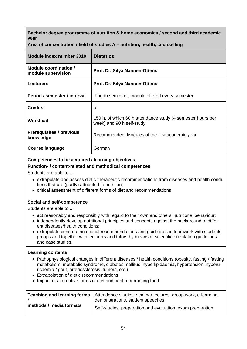| Module index number 3010                     | <b>Dietetics</b>                                                                         |
|----------------------------------------------|------------------------------------------------------------------------------------------|
| Module coordination /<br>module supervision  | Prof. Dr. Silya Nannen-Ottens                                                            |
| <b>Lecturers</b>                             | <b>Prof. Dr. Silya Nannen-Ottens</b>                                                     |
| Period / semester / interval                 | Fourth semester, module offered every semester                                           |
| <b>Credits</b>                               | 5                                                                                        |
| Workload                                     | 150 h, of which 60 h attendance study (4 semester hours per<br>week) and 90 h self-study |
| <b>Prerequisites / previous</b><br>knowledge | Recommended: Modules of the first academic year                                          |
| <b>Course language</b>                       | German                                                                                   |

## **Competences to be acquired / learning objectives**

### **Function- / content-related and methodical competences**

Students are able to ...

- extrapolate and assess dietic-therapeutic recommendations from diseases and health conditions that are (partly) attributed to nutrition;
- critical assessment of different forms of diet and recommendations

## **Social and self-competence**

Students are able to ...

- act reasonably and responsibly with regard to their own and others' nutritional behaviour;
- independently develop nutritional principles and concepts against the background of different diseases/health conditions;
- extrapolate concrete nutritional recommendations and guidelines in teamwork with students groups and together with lecturers and tutors by means of scientific orientation guidelines and case studies.

- Pathophysiological changes in different diseases / health conditions (obesity, fasting / fasting metabolism, metabolic syndrome, diabetes mellitus, hyperlipidaemia, hypertension, hyperuricaemia / gout, arteriosclerosis, tumors, etc.)
- Extrapolation of dietic recommendations
- Impact of alternative forms of diet and health-promoting food

|                         | <b>Teaching and learning forms</b> Attendance studies: seminar lectures, group work, e-learning, |
|-------------------------|--------------------------------------------------------------------------------------------------|
|                         | demonstrations, student speeches                                                                 |
| methods / media formats | Self-studies: preparation and evaluation, exam preparation                                       |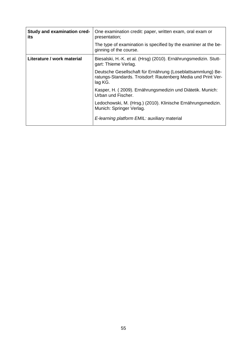| Study and examination cred-<br>its | One examination credit: paper, written exam, oral exam or<br>presentation;                                                              |
|------------------------------------|-----------------------------------------------------------------------------------------------------------------------------------------|
|                                    | The type of examination is specified by the examiner at the be-<br>ginning of the course.                                               |
| Literature / work material         | Biesalski, H.-K. et al. (Hrsg) (2010). Ernährungsmedizin. Stutt-<br>gart: Thieme Verlag.                                                |
|                                    | Deutsche Gesellschaft für Ernährung (Loseblattsammlung) Be-<br>ratungs-Standards. Troisdorf: Rautenberg Media und Print Ver-<br>lag KG. |
|                                    | Kasper, H. (2009). Ernährungsmedizin und Diätetik. Munich:<br>Urban und Fischer.                                                        |
|                                    | Ledochowski, M. (Hrsg.) (2010). Klinische Ernährungsmedizin.<br>Munich: Springer Verlag.                                                |
|                                    | E-learning platform EMIL: auxiliary material                                                                                            |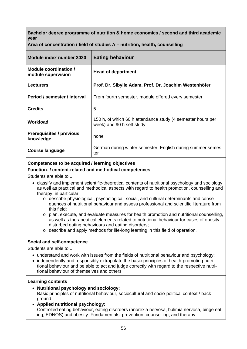**Area of concentration / field of studies A – nutrition, health, counselling** 

| Module index number 3020                     | <b>Eating behaviour</b>                                                                  |
|----------------------------------------------|------------------------------------------------------------------------------------------|
| Module coordination /<br>module supervision  | <b>Head of department</b>                                                                |
| <b>Lecturers</b>                             | Prof. Dr. Sibylle Adam, Prof. Dr. Joachim Westenhöfer                                    |
| Period / semester / interval                 | From fourth semester, module offered every semester                                      |
| <b>Credits</b>                               | 5                                                                                        |
| <b>Workload</b>                              | 150 h, of which 60 h attendance study (4 semester hours per<br>week) and 90 h self-study |
| <b>Prerequisites / previous</b><br>knowledge | none                                                                                     |
| Course language                              | German during winter semester, English during summer semes-<br>ter                       |

## **Competences to be acquired / learning objectives**

## **Function- / content-related and methodical competences**

Students are able to ...

- classify and implement scientific-theoretical contents of nutritional psychology and sociology as well as practical and methodical aspects with regard to health promotion, counselling and therapy; in particular:
	- o describe physiological, psychological, social, and cultural determinants and consequences of nutritional behaviour and assess professional and scientific literature from this field;
	- o plan, execute, and evaluate measures for health promotion and nutritional counselling, as well as therapeutical elements related to nutritional behaviour for cases of obesity, disturbed eating behaviours and eating disorders;
	- o describe and apply methods for life-long learning in this field of operation.

## **Social and self-competence**

Students are able to ...

- understand and work with issues from the fields of nutritional behaviour and psychology;
- independently and responsibly extrapolate the basic principles of health-promoting nutritional behaviour and be able to act and judge correctly with regard to the respective nutritional behaviour of themselves and others

- **Nutritional psychology and sociology:** Basic principles of nutritional behaviour, sociocultural and socio-political context / background
- **Applied nutritional psychology:** Controlled eating behaviour, eating disorders (anorexia nervosa, bulimia nervosa, binge eating, EDNOS) and obesity: Fundamentals, prevention, counselling, and therapy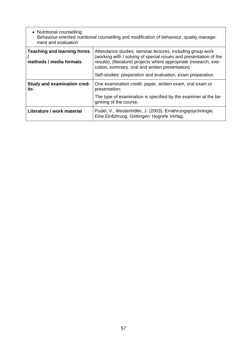| • Nutritional counselling:<br>Behaviour-oriented nutritional counselling and modification of behaviour, quality manage-<br>ment and evaluation |                                                                                                                                                                                                                                                         |
|------------------------------------------------------------------------------------------------------------------------------------------------|---------------------------------------------------------------------------------------------------------------------------------------------------------------------------------------------------------------------------------------------------------|
| <b>Teaching and learning forms</b><br>methods / media formats                                                                                  | Attendance studies: seminar lectures, including group work<br>(working with / solving of special issues and presentation of the<br>results), (literature) projects where appropriate (research, exe-<br>cution, summary, oral and written presentation) |
|                                                                                                                                                | Self-studies: preparation and evaluation, exam preparation                                                                                                                                                                                              |
| Study and examination cred-<br>its                                                                                                             | One examination credit: paper, written exam, oral exam or<br>presentation;                                                                                                                                                                              |
|                                                                                                                                                | The type of examination is specified by the examiner at the be-<br>ginning of the course.                                                                                                                                                               |
| Literature / work material                                                                                                                     | Pudel, V., Westenhöfer, J. (2003). Ernährungspsychologie.<br>Eine Einführung. Göttingen: Hogrefe Verlag.                                                                                                                                                |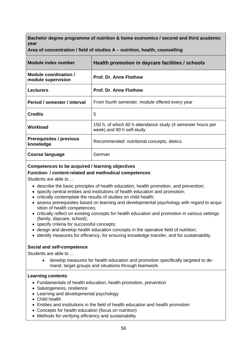**Area of concentration / field of studies A – nutrition, health, counselling** 

| <b>Module index number</b>                   | Health promotion in daycare facilities / schools                                         |
|----------------------------------------------|------------------------------------------------------------------------------------------|
| Module coordination /<br>module supervision  | <b>Prof. Dr. Anne Flothow</b>                                                            |
| <b>Lecturers</b>                             | <b>Prof. Dr. Anne Flothow</b>                                                            |
| Period / semester / interval                 | From fourth semester, module offered every year                                          |
| <b>Credits</b>                               | 5                                                                                        |
| Workload                                     | 150 h, of which 60 h attendance study (4 semester hours per<br>week) and 90 h self-study |
| <b>Prerequisites / previous</b><br>knowledge | Recommended: nutritional concepts, dietics                                               |
| <b>Course language</b>                       | German                                                                                   |

## **Competences to be acquired / learning objectives**

### **Function- / content-related and methodical competences**

Students are able to ...

- describe the basic principles of health education, health promotion, and prevention;
- specify central entities and institutions of health education and promotion;
- critically contemplate the results of studies on child health;
- assess prerequisites based on learning and developmental psychology with regard to acquisition of health competences;
- critically reflect on existing concepts for health education and promotion in various settings (family, daycare, school);
- specify criteria for successful concepts;
- design and develop health education concepts in the operative field of nutrition;
- identify measures for efficiency, for ensuring knowledge transfer, and for sustainability.

### **Social and self-competence**

Students are able to ...

 develop measures for health education and promotion specifically targeted to demand, target groups and situations through teamwork.

- Fundamentals of health education, health promotion, prevention
- Salutogenesis, resilience
- Learning and developmental psychology
- Child health
- Entities and institutions in the field of health education and health promotion
- Concepts for health education (focus on nutrition)
- Methods for verifying efficiency and sustainability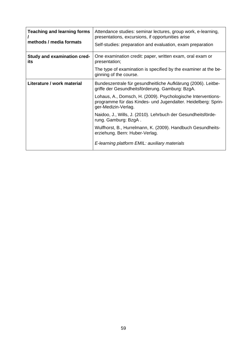| <b>Teaching and learning forms</b><br>methods / media formats | Attendance studies: seminar lectures, group work, e-learning,<br>presentations, excursions, if opportunities arise<br>Self-studies: preparation and evaluation, exam preparation                                                                                                                                                                                                                                                                                                                                   |
|---------------------------------------------------------------|--------------------------------------------------------------------------------------------------------------------------------------------------------------------------------------------------------------------------------------------------------------------------------------------------------------------------------------------------------------------------------------------------------------------------------------------------------------------------------------------------------------------|
| <b>Study and examination cred-</b><br>its                     | One examination credit: paper, written exam, oral exam or<br>presentation;<br>The type of examination is specified by the examiner at the be-<br>ginning of the course.                                                                                                                                                                                                                                                                                                                                            |
| Literature / work material                                    | Bundeszentrale für gesundheitliche Aufklärung (2006). Leitbe-<br>griffe der Gesundheitsförderung. Gamburg: BzgA.<br>Lohaus, A., Domsch, H. (2009). Psychologische Interventions-<br>programme für das Kindes- und Jugendalter. Heidelberg: Sprin-<br>ger-Medizin-Verlag.<br>Naidoo, J., Wills, J. (2010). Lehrbuch der Gesundheitsförde-<br>rung. Gamburg: BzgA.<br>Wulfhorst, B., Hurrelmann, K. (2009). Handbuch Gesundheits-<br>erziehung. Bern: Huber-Verlag.<br>E-learning platform EMIL: auxiliary materials |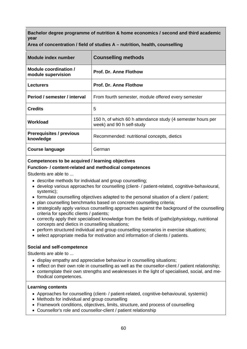**Area of concentration / field of studies A – nutrition, health, counselling** 

| Module index number                          | <b>Counselling methods</b>                                                               |
|----------------------------------------------|------------------------------------------------------------------------------------------|
| Module coordination /<br>module supervision  | <b>Prof. Dr. Anne Flothow</b>                                                            |
| <b>Lecturers</b>                             | <b>Prof. Dr. Anne Flothow</b>                                                            |
| Period / semester / interval                 | From fourth semester, module offered every semester                                      |
| <b>Credits</b>                               | 5                                                                                        |
| Workload                                     | 150 h, of which 60 h attendance study (4 semester hours per<br>week) and 90 h self-study |
| <b>Prerequisites / previous</b><br>knowledge | Recommended: nutritional concepts, dietics                                               |
| Course language                              | German                                                                                   |

## **Competences to be acquired / learning objectives**

## **Function- / content-related and methodical competences**

Students are able to ...

- describe methods for individual and group counselling;
- develop various approaches for counselling (client- / patient-related, cognitive-behavioural, systemic);
- formulate counselling objectives adapted to the personal situation of a client / patient;
- plan counselling benchmarks based on concrete counselling criteria;
- strategically apply various counselling approaches against the background of the counselling criteria for specific clients / patients;
- correctly apply their specialised knowledge from the fields of (patho)physiology, nutritional concepts and dietics in counselling situations;
- perform structured individual and group counselling scenarios in exercise situations;
- select appropriate media for motivation and information of clients / patients.

### **Social and self-competence**

Students are able to ...

- display empathy and appreciative behaviour in counselling situations;
- reflect on their own role in counselling as well as the counsellor-client / patient relationship;
- contemplate their own strengths and weaknesses in the light of specialised, social, and methodical competences.

- Approaches for counselling (client- / patient-related, cognitive-behavioural, systemic)
- Methods for individual and group counselling
- Framework conditions, objectives, limits, structure, and process of counselling
- Counsellor's role and counsellor-client / patient relationship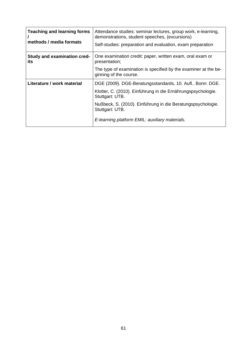| <b>Teaching and learning forms</b><br>methods / media formats | Attendance studies: seminar lectures, group work, e-learning,<br>demonstrations, student speeches, (excursions)<br>Self-studies: preparation and evaluation, exam preparation                                                |
|---------------------------------------------------------------|------------------------------------------------------------------------------------------------------------------------------------------------------------------------------------------------------------------------------|
| <b>Study and examination cred-</b><br>its                     | One examination credit: paper, written exam, oral exam or<br>presentation;                                                                                                                                                   |
|                                                               | The type of examination is specified by the examiner at the be-<br>ginning of the course.                                                                                                                                    |
| Literature / work material                                    | DGE (2009). DGE-Beratungsstandards, 10. Aufl Bonn: DGE.<br>Klotter, C. (2010). Einführung in die Ernährungspsychologie.<br>Stuttgart: UTB.<br>Nußbeck, S. (2010). Einführung in die Beratungspsychologie.<br>Stuttgart: UTB. |
|                                                               | E-learning platform EMIL: auxiliary materials.                                                                                                                                                                               |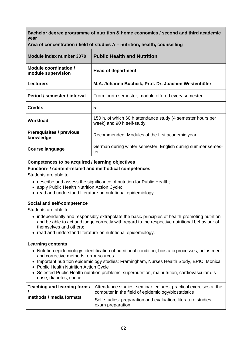| Module index number 3070                     | <b>Public Health and Nutrition</b>                                                       |
|----------------------------------------------|------------------------------------------------------------------------------------------|
| Module coordination /<br>module supervision  | <b>Head of department</b>                                                                |
| <b>Lecturers</b>                             | M.A. Johanna Buchcik, Prof. Dr. Joachim Westenhöfer                                      |
| Period / semester / interval                 | From fourth semester, module offered every semester                                      |
| <b>Credits</b>                               | 5                                                                                        |
| Workload                                     | 150 h, of which 60 h attendance study (4 semester hours per<br>week) and 90 h self-study |
| <b>Prerequisites / previous</b><br>knowledge | Recommended: Modules of the first academic year                                          |
| <b>Course language</b>                       | German during winter semester, English during summer semes-<br>ter                       |

**Area of concentration / field of studies A – nutrition, health, counselling** 

## **Competences to be acquired / learning objectives**

### **Function- / content-related and methodical competences**

Students are able to ...

- describe and assess the significance of nutrition for Public Health;
- apply Public Health Nutrition Action Cycle;
- read and understand literature on nutritional epidemiology.

## **Social and self-competence**

Students are able to ...

- independently and responsibly extrapolate the basic principles of health-promoting nutrition and be able to act and judge correctly with regard to the respective nutritional behaviour of themselves and others;
- read and understand literature on nutritional epidemiology.

- Nutrition epidemiology: identification of nutritional condition, biostatic processes, adjustment and corrective methods, error sources
- Important nutrition epidemiology studies: Framingham, Nurses Health Study, EPIC, Monica
- Public Health Nutrition Action Cycle
- Selected Public Health nutrition problems: supernutrition, malnutrition, cardiovascular disease, diabetes, cancer

| Teaching and learning forms | Attendance studies: seminar lectures, practical exercises at the<br>computer in the field of epidemiology/biostatistics |
|-----------------------------|-------------------------------------------------------------------------------------------------------------------------|
| methods / media formats     | Self-studies: preparation and evaluation, literature studies,<br>exam preparation                                       |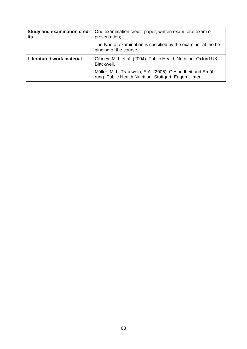| Study and examination cred-<br>its | One examination credit: paper, written exam, oral exam or<br>presentation;                                            |
|------------------------------------|-----------------------------------------------------------------------------------------------------------------------|
|                                    | The type of examination is specified by the examiner at the be-<br>ginning of the course.                             |
| Literature / work material         | Gibney, M.J. et al. (2004). Public Health Nutrition. Oxford UK:<br>Blackwell.                                         |
|                                    | Müller, M.J., Trautwein, E.A. (2005). Gesundheit und Ernäh-<br>rung. Public Health Nutrition. Stuttgart: Eugen Ulmer. |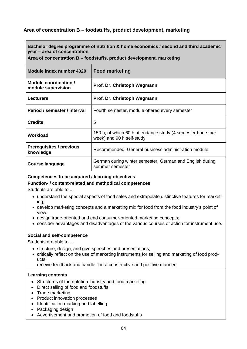# **Area of concentration B – foodstuffs, product development, marketing**

**Bachelor degree programme of nutrition & home economics / second and third academic year – area of concentration** 

**Area of concentration B – foodstuffs, product development, marketing** 

| Module index number 4020                     | <b>Food marketing</b>                                                                    |
|----------------------------------------------|------------------------------------------------------------------------------------------|
| Module coordination /<br>module supervision  | Prof. Dr. Christoph Wegmann                                                              |
| <b>Lecturers</b>                             | Prof. Dr. Christoph Wegmann                                                              |
| Period / semester / interval                 | Fourth semester, module offered every semester                                           |
| <b>Credits</b>                               | 5                                                                                        |
| Workload                                     | 150 h, of which 60 h attendance study (4 semester hours per<br>week) and 90 h self-study |
| <b>Prerequisites / previous</b><br>knowledge | Recommended: General business administration module                                      |
| Course language                              | German during winter semester, German and English during<br>summer semester              |

### **Competences to be acquired / learning objectives**

### **Function- / content-related and methodical competences**

Students are able to ...

- understand the special aspects of food sales and extrapolate distinctive features for marketing;
- develop marketing concepts and a marketing mix for food from the food industry's point of view.
- design trade-oriented and end consumer-oriented marketing concepts;
- consider advantages and disadvantages of the various courses of action for instrument use.

### **Social and self-competence**

Students are able to ...

- structure, design, and give speeches and presentations;
- critically reflect on the use of marketing instruments for selling and marketing of food products;

receive feedback and handle it in a constructive and positive manner;

- Structures of the nutrition industry and food marketing
- Direct selling of food and foodstuffs
- Trade marketing
- Product innovation processes
- Identification marking and labelling
- Packaging design
- Advertisement and promotion of food and foodstuffs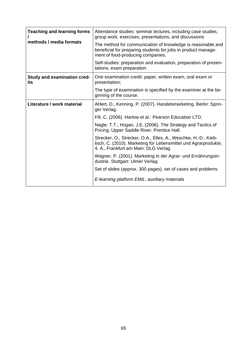| <b>Teaching and learning forms</b><br>methods / media formats | Attendance studies: seminar lectures, including case studies,<br>group work, exercises, presentations, and discussions                                                     |
|---------------------------------------------------------------|----------------------------------------------------------------------------------------------------------------------------------------------------------------------------|
|                                                               | The method for communication of knowledge is reasonable and<br>beneficial for preparing students for jobs in product manage-<br>ment of food-producing companies.          |
|                                                               | Self-studies: preparation and evaluation, preparation of presen-<br>tations, exam preparation                                                                              |
| <b>Study and examination cred-</b><br>its                     | One examination credit: paper, written exam, oral exam or<br>presentation;                                                                                                 |
|                                                               | The type of examination is specified by the examiner at the be-<br>ginning of the course.                                                                                  |
| Literature / work material                                    | Ahlert, D., Kenning, P. (2007). Handelsmarketing. Berlin: Sprin-<br>ger Verlag.                                                                                            |
|                                                               | Fill, C. (2006). Harlow et al.: Pearson Education LTD.                                                                                                                     |
|                                                               | Nagle, T.T., Hogan, J.E. (2006). The Strategy and Tactics of<br>Pricing. Upper Saddle River: Prentice Hall.                                                                |
|                                                               | Strecker, O., Strecker, O.A., Elles, A., Weschke, H.-D., Kieb-<br>lisch, C. (2010). Marketing für Lebensmittel und Agrarprodukte,<br>4. A., Frankfurt am Main: DLG Verlag. |
|                                                               | Wagner, P. (2001). Marketing in der Agrar- und Ernährungsin-<br>dustrie. Stuttgart: Ulmer Verlag.                                                                          |
|                                                               | Set of slides (approx. 300 pages), set of cases and problems                                                                                                               |
|                                                               | E-learning platform EMIL: auxiliary materials                                                                                                                              |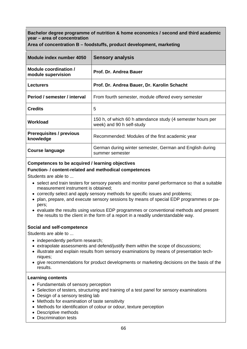**Area of concentration B – foodstuffs, product development, marketing** 

| Module index number 4050                     | <b>Sensory analysis</b>                                                                  |
|----------------------------------------------|------------------------------------------------------------------------------------------|
| Module coordination /<br>module supervision  | Prof. Dr. Andrea Bauer                                                                   |
| <b>Lecturers</b>                             | Prof. Dr. Andrea Bauer, Dr. Karolin Schacht                                              |
| Period / semester / interval                 | From fourth semester, module offered every semester                                      |
| <b>Credits</b>                               | 5                                                                                        |
| Workload                                     | 150 h, of which 60 h attendance study (4 semester hours per<br>week) and 90 h self-study |
| <b>Prerequisites / previous</b><br>knowledge | Recommended: Modules of the first academic year                                          |
| <b>Course language</b>                       | German during winter semester, German and English during<br>summer semester              |

## **Competences to be acquired / learning objectives**

## **Function- / content-related and methodical competences**

Students are able to ...

- select and train testers for sensory panels and monitor panel performance so that a suitable measurement instrument is obtained;
- correctly select and apply sensory methods for specific issues and problems;
- plan, prepare, and execute sensory sessions by means of special EDP programmes or papers;
- evaluate the results using various EDP programmes or conventional methods and present the results to the client in the form of a report in a readily understandable way.

### **Social and self-competence**

Students are able to ...

- independently perform research;
- extrapolate assessments and defend/justify them within the scope of discussions;
- illustrate and explain results from sensory examinations by means of presentation techniques;
- give recommendations for product developments or marketing decisions on the basis of the results.

- Fundamentals of sensory perception
- Selection of testers, structuring and training of a test panel for sensory examinations
- Design of a sensory testing lab
- Methods for examination of taste sensitivity
- Methods for identification of colour or odour, texture perception
- Descriptive methods
- Discrimination tests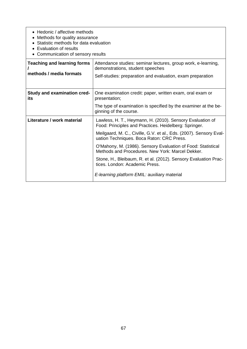| • Hedonic / affective methods<br>Methods for quality assurance<br>Statistic methods for data evaluation<br>Evaluation of results<br>Communication of sensory results |                                                                                                                                                                                                                                                                                                                                                                                                                                                                                                                |
|----------------------------------------------------------------------------------------------------------------------------------------------------------------------|----------------------------------------------------------------------------------------------------------------------------------------------------------------------------------------------------------------------------------------------------------------------------------------------------------------------------------------------------------------------------------------------------------------------------------------------------------------------------------------------------------------|
| <b>Teaching and learning forms</b><br>methods / media formats                                                                                                        | Attendance studies: seminar lectures, group work, e-learning,<br>demonstrations, student speeches<br>Self-studies: preparation and evaluation, exam preparation                                                                                                                                                                                                                                                                                                                                                |
| Study and examination cred-<br>its                                                                                                                                   | One examination credit: paper, written exam, oral exam or<br>presentation;<br>The type of examination is specified by the examiner at the be-<br>ginning of the course.                                                                                                                                                                                                                                                                                                                                        |
| Literature / work material                                                                                                                                           | Lawless, H. T., Heymann, H. (2010). Sensory Evaluation of<br>Food: Principles and Practices. Heidelberg: Springer.<br>Meilgaard, M. C., Civille, G.V. et al., Eds. (2007). Sensory Eval-<br>uation Techniques. Boca Raton: CRC Press.<br>O'Mahony, M. (1986). Sensory Evaluation of Food: Statistical<br>Methods and Procedures. New York: Marcel Dekker.<br>Stone, H., Bleibaum, R. et al. (2012). Sensory Evaluation Prac-<br>tices. London: Academic Press.<br>E-learning platform EMIL: auxiliary material |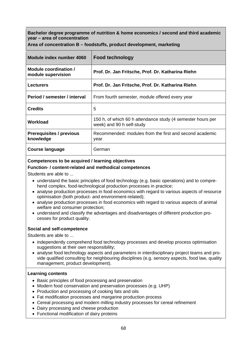**Area of concentration B – foodstuffs, product development, marketing** 

| Module index number 4060                     | <b>Food technology</b>                                                                   |
|----------------------------------------------|------------------------------------------------------------------------------------------|
| Module coordination /<br>module supervision  | Prof. Dr. Jan Fritsche, Prof. Dr. Katharina Riehn                                        |
| <b>Lecturers</b>                             | Prof. Dr. Jan Fritsche, Prof. Dr. Katharina Riehn                                        |
| Period / semester / interval                 | From fourth semester, module offered every year                                          |
| <b>Credits</b>                               | 5                                                                                        |
| Workload                                     | 150 h, of which 60 h attendance study (4 semester hours per<br>week) and 90 h self-study |
| <b>Prerequisites / previous</b><br>knowledge | Recommended: modules from the first and second academic<br>year                          |
| Course language                              | German                                                                                   |

### **Competences to be acquired / learning objectives**

### **Function- / content-related and methodical competences**

Students are able to ...

- understand the basic principles of food technology (e.g. basic operations) and to comprehend complex, food-technological production processes in practice;
- analyse production processes in food economics with regard to various aspects of resource optimisation (both product- and environment-related);
- analyse production processes in food economics with regard to various aspects of animal welfare and consumer protection;
- understand and classify the advantages and disadvantages of different production processes for product quality.

### **Social and self-competence**

Students are able to ...

- independently comprehend food technology processes and develop process optimisation suggestions at their own responsibility;
- analyse food technology aspects and parameters in interdisciplinary project teams and provide qualified consulting for neighbouring disciplines (e.g. sensory aspects, food law, quality management, product development).

- Basic principles of food processing and preservation
- Modern food conservation and preservation processes (e.g. UHP)
- Production and processing of cooking fats and oils
- Fat modification processes and margarine production process
- Cereal processing and modern milling industry processes for cereal refinement
- Dairy processing and cheese production
- Functional modification of dairy proteins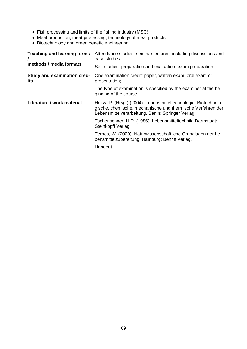- Fish processing and limits of the fishing industry (MSC)
- Meat production, meat processing, technology of meat products
- Biotechnology and green genetic engineering

| <b>Teaching and learning forms</b><br>methods / media formats | Attendance studies: seminar lectures, including discussions and<br>case studies                                                                                                      |
|---------------------------------------------------------------|--------------------------------------------------------------------------------------------------------------------------------------------------------------------------------------|
|                                                               | Self-studies: preparation and evaluation, exam preparation                                                                                                                           |
| <b>Study and examination cred-</b><br>its                     | One examination credit: paper, written exam, oral exam or<br>presentation;                                                                                                           |
|                                                               | The type of examination is specified by the examiner at the be-<br>ginning of the course.                                                                                            |
| Literature / work material                                    | Heiss, R. (Hrsg.) (2004). Lebensmitteltechnologie: Biotechnolo-<br>gische, chemische, mechanische und thermische Verfahren der<br>Lebensmittelverarbeitung. Berlin: Springer Verlag. |
|                                                               | Tscheuschner, H.D. (1986). Lebensmitteltechnik. Darmstadt:<br>Steinkopff Verlag.                                                                                                     |
|                                                               | Ternes, W. (2000). Naturwissenschaftliche Grundlagen der Le-<br>bensmittelzubereitung. Hamburg: Behr's Verlag.                                                                       |
|                                                               | Handout                                                                                                                                                                              |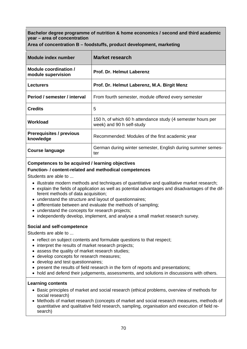| Module index number                          | Market research                                                                          |
|----------------------------------------------|------------------------------------------------------------------------------------------|
| Module coordination /<br>module supervision  | <b>Prof. Dr. Helmut Laberenz</b>                                                         |
| <b>Lecturers</b>                             | Prof. Dr. Helmut Laberenz, M.A. Birgit Menz                                              |
| Period / semester / interval                 | From fourth semester, module offered every semester                                      |
| <b>Credits</b>                               | 5                                                                                        |
| Workload                                     | 150 h, of which 60 h attendance study (4 semester hours per<br>week) and 90 h self-study |
| <b>Prerequisites / previous</b><br>knowledge | Recommended: Modules of the first academic year                                          |
| <b>Course language</b>                       | German during winter semester, English during summer semes-<br>ter                       |

**Area of concentration B – foodstuffs, product development, marketing** 

## **Competences to be acquired / learning objectives**

### **Function- / content-related and methodical competences**

Students are able to ...

- illustrate modern methods and techniques of quantitative and qualitative market research;
- explain the fields of application as well as potential advantages and disadvantages of the different methods of data acquisition;
- understand the structure and layout of questionnaires;
- differentiate between and evaluate the methods of sampling;
- understand the concepts for research projects:
- independently develop, implement, and analyse a small market research survey.

### **Social and self-competence**

Students are able to ...

- reflect on subject contents and formulate questions to that respect;
- interpret the results of market research projects;
- assess the quality of market research studies;
- develop concepts for research measures;
- develop and test questionnaires;
- present the results of field research in the form of reports and presentations;
- hold and defend their judgements, assessments, and solutions in discussions with others.

- Basic principles of market and social research (ethical problems, overview of methods for social research)
- Methods of market research (concepts of market and social research measures, methods of quantitative and qualitative field research, sampling, organisation and execution of field research)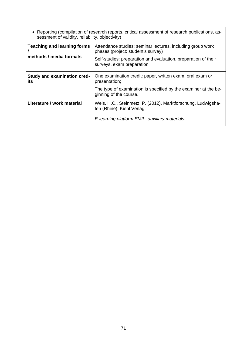| • Reporting (compilation of research reports, critical assessment of research publications, as-<br>sessment of validity, reliability, objectivity) |                                                                                                                                                                                                 |  |
|----------------------------------------------------------------------------------------------------------------------------------------------------|-------------------------------------------------------------------------------------------------------------------------------------------------------------------------------------------------|--|
| <b>Teaching and learning forms</b><br>methods / media formats                                                                                      | Attendance studies: seminar lectures, including group work<br>phases (project: student's survey)<br>Self-studies: preparation and evaluation, preparation of their<br>surveys, exam preparation |  |
| Study and examination cred-<br>its                                                                                                                 | One examination credit: paper, written exam, oral exam or<br>presentation;<br>The type of examination is specified by the examiner at the be-<br>ginning of the course.                         |  |
| Literature / work material                                                                                                                         | Weis, H.C., Steinmetz, P. (2012). Marktforschung. Ludwigsha-<br>fen (Rhine): Kiehl Verlag.<br>E-learning platform EMIL: auxiliary materials.                                                    |  |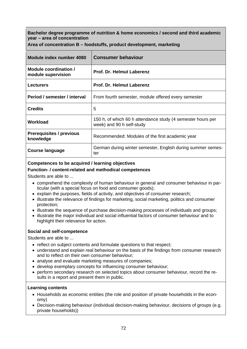**Area of concentration B – foodstuffs, product development, marketing** 

| Module index number 4080                     | <b>Consumer behaviour</b>                                                                |
|----------------------------------------------|------------------------------------------------------------------------------------------|
| Module coordination /<br>module supervision  | Prof. Dr. Helmut Laberenz                                                                |
| <b>Lecturers</b>                             | Prof. Dr. Helmut Laberenz                                                                |
| Period / semester / interval                 | From fourth semester, module offered every semester                                      |
| <b>Credits</b>                               | 5                                                                                        |
| Workload                                     | 150 h, of which 60 h attendance study (4 semester hours per<br>week) and 90 h self-study |
| <b>Prerequisites / previous</b><br>knowledge | Recommended: Modules of the first academic year                                          |
| <b>Course language</b>                       | German during winter semester, English during summer semes-<br>ter                       |

## **Competences to be acquired / learning objectives**

## **Function- / content-related and methodical competences**

Students are able to ...

- comprehend the complexity of human behaviour in general and consumer behaviour in particular (with a special focus on food and consumer goods);
- explain the purposes, fields of activity, and objectives of consumer research;
- illustrate the relevance of findings for marketing, social marketing, politics and consumer protection;
- illustrate the sequence of purchase decision-making processes of individuals and groups;
- illustrate the major individual and social influential factors of consumer behaviour and to highlight their relevance for action.

## **Social and self-competence**

Students are able to ...

- reflect on subject contents and formulate questions to that respect;
- understand and explain real behaviour on the basis of the findings from consumer research and to reflect on their own consumer behaviour;
- analyse and evaluate marketing measures of companies;
- develop exemplary concepts for influencing consumer behaviour;
- perform secondary research on selected topics about consumer behaviour, record the results in a report and present them in public.

- Households as economic entities (the role and position of private households in the economy)
- Decision-making behaviour (individual decision-making behaviour, decisions of groups (e.g. private households))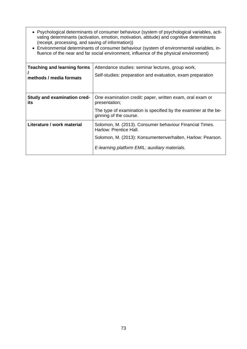- Psychological determinants of consumer behaviour (system of psychological variables, activating determinants (activation, emotion, motivation, attitude) and cognitive determinants (receipt, processing, and saving of information))
- Environmental determinants of consumer behaviour (system of environmental variables, influence of the near and far social environment, influence of the physical environment)

| <b>Teaching and learning forms</b><br>methods / media formats | Attendance studies: seminar lectures, group work,<br>Self-studies: preparation and evaluation, exam preparation                                                                                   |
|---------------------------------------------------------------|---------------------------------------------------------------------------------------------------------------------------------------------------------------------------------------------------|
| Study and examination cred-<br>its                            | One examination credit: paper, written exam, oral exam or<br>presentation;<br>The type of examination is specified by the examiner at the be-<br>ginning of the course.                           |
| Literature / work material                                    | Solomon, M. (2013). Consumer behaviour Financial Times.<br>Harlow: Prentice Hall.<br>Solomon, M. (2013): Konsumentenverhalten, Harlow: Pearson.<br>E-learning platform EMIL: auxiliary materials. |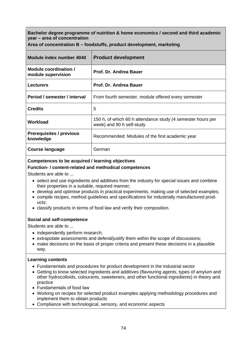**Area of concentration B – foodstuffs, product development, marketing** 

| Module index number 4040                     | <b>Product development</b>                                                               |
|----------------------------------------------|------------------------------------------------------------------------------------------|
| Module coordination /<br>module supervision  | Prof. Dr. Andrea Bauer                                                                   |
| <b>Lecturers</b>                             | Prof. Dr. Andrea Bauer                                                                   |
| Period / semester / interval                 | From fourth semester, module offered every semester                                      |
| <b>Credits</b>                               | 5                                                                                        |
| Workload                                     | 150 h, of which 60 h attendance study (4 semester hours per<br>week) and 90 h self-study |
| <b>Prerequisites / previous</b><br>knowledge | Recommended: Modules of the first academic year                                          |
| Course language                              | German                                                                                   |

## **Competences to be acquired / learning objectives**

### **Function- / content-related and methodical competences**

Students are able to ...

- select and use ingredients and additives from the industry for special issues and combine their properties in a suitable, required manner;
- develop and optimise products in practical experiments, making use of selected examples;
- compile recipes, method guidelines and specifications for industrially manufactured products;
- classify products in terms of food law and verify their composition.

## **Social and self-competence**

Students are able to ...

- independently perform research;
- extrapolate assessments and defend/justify them within the scope of discussions;
- make decisions on the basis of proper criteria and present these decisions in a plausible way.

- Fundamentals and procedures for product development in the industrial sector
- Getting to know selected ingredients and additives (flavouring agents, types of amylum and other hydrocolloids, colourants, sweeteners, and other functional ingredients) in theory and practice
- Fundamentals of food law
- Working on recipes for selected product examples applying methodology procedures and implement them to obtain products
- Compliance with technological, sensory, and economic aspects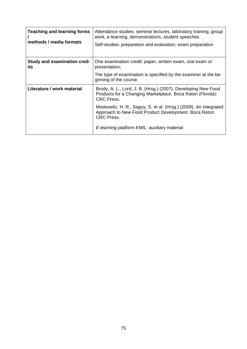| <b>Teaching and learning forms</b><br>methods / media formats | Attendance studies: seminar lectures, laboratory training, group<br>work, e-learning, demonstrations, student speeches<br>Self-studies: preparation and evaluation, exam preparation |
|---------------------------------------------------------------|--------------------------------------------------------------------------------------------------------------------------------------------------------------------------------------|
| <b>Study and examination cred-</b><br>its                     | One examination credit: paper, written exam, oral exam or<br>presentation;                                                                                                           |
|                                                               | The type of examination is specified by the examiner at the be-<br>ginning of the course.                                                                                            |
| Literature / work material                                    | Brody, A. L., Lord, J. B. (Hrsg.) (2007). Developing New Food<br>Products for a Changing Marketplace. Boca Raton (Florida):<br><b>CRC</b> Press.                                     |
|                                                               | Moskowitz, H. R., Saguy, S. et al. (Hrsg.) (2009). An Integrated<br>Approach to New Food Product Development. Boca Raton:<br><b>CRC</b> Press.                                       |
|                                                               | E-learning platform EMIL: auxiliary material                                                                                                                                         |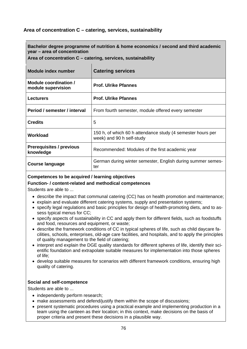# **Area of concentration C – catering, services, sustainability**

**Bachelor degree programme of nutrition & home economics / second and third academic year – area of concentration** 

**Area of concentration C – catering, services, sustainability** 

| Module index number                          | <b>Catering services</b>                                                                 |
|----------------------------------------------|------------------------------------------------------------------------------------------|
| Module coordination /<br>module supervision  | <b>Prof. Ulrike Pfannes</b>                                                              |
| <b>Lecturers</b>                             | <b>Prof. Ulrike Pfannes</b>                                                              |
| Period / semester / interval                 | From fourth semester, module offered every semester                                      |
| <b>Credits</b>                               | 5                                                                                        |
| Workload                                     | 150 h, of which 60 h attendance study (4 semester hours per<br>week) and 90 h self-study |
| <b>Prerequisites / previous</b><br>knowledge | Recommended: Modules of the first academic year                                          |
| <b>Course language</b>                       | German during winter semester, English during summer semes-<br>ter                       |

## **Competences to be acquired / learning objectives**

## **Function- / content-related and methodical competences**

Students are able to ...

- describe the impact that communal catering (CC) has on health promotion and maintenance;
- explain and evaluate different catering systems, supply and presentation systems;
- specify legal regulations and basic principles for design of health-promoting diets, and to assess typical menus for CC;
- specify aspects of sustainability in CC and apply them for different fields, such as foodstuffs and food, resources and equipment, or waste;
- describe the framework conditions of CC in typical spheres of life, such as child daycare facilities, schools, enterprises, old-age care facilities, and hospitals, and to apply the principles of quality management to the field of catering;
- interpret and explain the DGE quality standards for different spheres of life, identify their scientific foundation and extrapolate suitable measures for implementation into those spheres of life;
- develop suitable measures for scenarios with different framework conditions, ensuring high quality of catering.

## **Social and self-competence**

- independently perform research;
- make assessments and defend/justify them within the scope of discussions;
- present systematic procedures using a practical example and implementing production in a team using the canteen as their location; in this context, make decisions on the basis of proper criteria and present these decisions in a plausible way.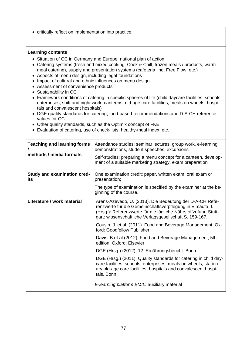• critically reflect on implementation into practice.

- Situation of CC in Germany and Europe, national plan of action
- Catering systems (fresh and mixed cooking, Cook & Chill, frozen meals / products, warm meal catering), supply and presentation systems (cafeteria line, Free Flow, etc.)
- Aspects of menu design, including legal foundations
- Impact of cultural and ethnic influences on menu design
- Assessment of convenience products
- Sustainability in CC
- Framework conditions of catering in specific spheres of life (child daycare facilities, schools, enterprises, shift and night work, canteens, old-age care facilities, meals on wheels, hospitals and convalescent hospitals)
- DGE quality standards for catering, food-based recommendations and D-A-CH reference values for CC
- Other quality standards, such as the Optimix concept of FKE
- Evaluation of catering, use of check-lists, healthy-meal index, etc.

| <b>Teaching and learning forms</b><br>methods / media formats | Attendance studies: seminar lectures, group work, e-learning,<br>demonstrations, student speeches, excursions<br>Self-studies: preparing a menu concept for a canteen, develop-<br>ment of a suitable marketing strategy, exam preparation          |
|---------------------------------------------------------------|-----------------------------------------------------------------------------------------------------------------------------------------------------------------------------------------------------------------------------------------------------|
| <b>Study and examination cred-</b><br>its                     | One examination credit: paper, written exam, oral exam or<br>presentation;<br>The type of examination is specified by the examiner at the be-<br>ginning of the course.                                                                             |
| Literature / work material                                    | Arens-Azevedo, U. (2013). Die Bedeutung der D-A-CH Refe-<br>renzwerte für die Gemeinschaftsverpflegung in Elmadfa, I.<br>(Hrsg.): Referenzwerte für die tägliche Nährstoffzufuhr, Stutt-<br>gart: wissenschaftliche Verlagsgesellschaft S. 159-167. |
|                                                               | Cousin, J. et.al. (2011). Food and Beverage Management. Ox-<br>ford: Goodfellow Publisher.                                                                                                                                                          |
|                                                               | Davis, B.et.al (2012). Food and Beverage Management, 5th<br>edition. Oxford: Elsevier.                                                                                                                                                              |
|                                                               | DGE (Hrsg.) (2012). 12. Ernährungsbericht. Bonn.                                                                                                                                                                                                    |
|                                                               | DGE (Hrsg.) (2011). Quality standards for catering in child day-<br>care facilities, schools, enterprises, meals on wheels, station-<br>ary old-age care facilities, hospitals and convalescent hospi-<br>tals. Bonn.                               |
|                                                               | E-learning platform EMIL: auxiliary material                                                                                                                                                                                                        |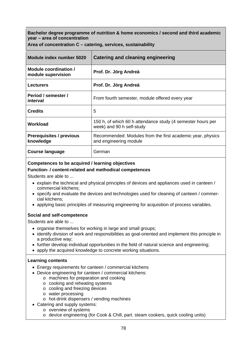**Area of concentration C – catering, services, sustainability** 

| Module index number 5020                     | Catering and cleaning engineering                                                        |
|----------------------------------------------|------------------------------------------------------------------------------------------|
| Module coordination /<br>module supervision  | Prof. Dr. Jörg Andreä                                                                    |
| <b>Lecturers</b>                             | Prof. Dr. Jörg Andreä                                                                    |
| Period / semester /<br>interval              | From fourth semester, module offered every year                                          |
| <b>Credits</b>                               | 5                                                                                        |
| Workload                                     | 150 h, of which 60 h attendance study (4 semester hours per<br>week) and 90 h self-study |
| <b>Prerequisites / previous</b><br>knowledge | Recommended: Modules from the first academic year, physics<br>and engineering module     |
| Course language                              | German                                                                                   |

## **Competences to be acquired / learning objectives**

### **Function- / content-related and methodical competences**

Students are able to ...

- explain the technical and physical principles of devices and appliances used in canteen / commercial kitchens;
- specify and evaluate the devices and technologies used for cleaning of canteen / commercial kitchens;
- applying basic principles of measuring engineering for acquisition of process variables.

## **Social and self-competence**

Students are able to ...

- organise themselves for working in large and small groups;
- identify division of work and responsibilities as goal-oriented and implement this principle in a productive way;
- further develop individual opportunities in the field of natural science and engineering;
- apply the acquired knowledge to concrete working situations.

- Energy requirements for canteen / commercial kitchens
- Device engineering for canteen / commercial kitchens:
	- o machines for preparation and cooking
	- o cooking and reheating systems
	- o cooling and freezing devices
	- o water processing
	- o hot-drink dispensers / vending machines
- Catering and supply systems:
	- o overview of systems
		- o device engineering (for Cook & Chill, part. steam cookers, quick cooling units)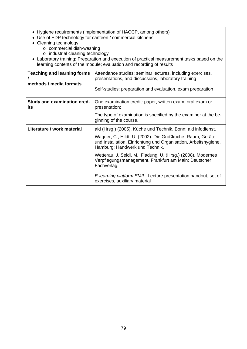- Hygiene requirements (implementation of HACCP, among others)
- Use of EDP technology for canteen / commercial kitchens
- Cleaning technology:
	- o commercial dish-washing
	- o industrial cleaning technology
- Laboratory training: Preparation and execution of practical measurement tasks based on the learning contents of the module; evaluation and recording of results

| <b>Teaching and learning forms</b><br>methods / media formats | Attendance studies: seminar lectures, including exercises,<br>presentations, and discussions, laboratory training<br>Self-studies: preparation and evaluation, exam preparation |
|---------------------------------------------------------------|---------------------------------------------------------------------------------------------------------------------------------------------------------------------------------|
| <b>Study and examination cred-</b><br>its                     | One examination credit: paper, written exam, oral exam or<br>presentation;                                                                                                      |
|                                                               | The type of examination is specified by the examiner at the be-<br>ginning of the course.                                                                                       |
| Literature / work material                                    | aid (Hrsg.) (2005). Küche und Technik. Bonn: aid infodienst.                                                                                                                    |
|                                                               | Wagner, C., Hildt, U. (2002). Die Großküche: Raum, Geräte<br>und Installation, Einrichtung und Organisation, Arbeitshygiene.<br>Hamburg: Handwerk und Technik.                  |
|                                                               | Wetterau, J. Seidl, M., Fladung, U. (Hrsg.) (2008). Modernes<br>Verpflegungsmanagement. Frankfurt am Main: Deutscher<br>Fachverlag.                                             |
|                                                               | E-learning platform EMIL: Lecture presentation handout, set of<br>exercises, auxiliary material                                                                                 |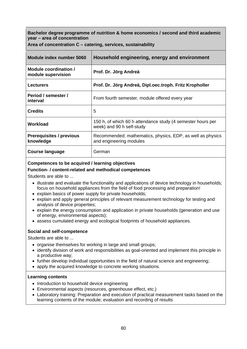**Area of concentration C – catering, services, sustainability** 

| Module index number 5060                     | Household engineering, energy and environment                                            |
|----------------------------------------------|------------------------------------------------------------------------------------------|
| Module coordination /<br>module supervision  | Prof. Dr. Jörg Andreä                                                                    |
| <b>Lecturers</b>                             | Prof. Dr. Jörg Andreä, Dipl.oec.troph. Fritz Kropholler                                  |
| Period / semester /<br>interval              | From fourth semester, module offered every year                                          |
| <b>Credits</b>                               | 5                                                                                        |
| Workload                                     | 150 h, of which 60 h attendance study (4 semester hours per<br>week) and 90 h self-study |
| <b>Prerequisites / previous</b><br>knowledge | Recommended: mathematics, physics, EDP, as well as physics<br>and engineering modules    |
| Course language                              | German                                                                                   |

## **Competences to be acquired / learning objectives**

## **Function- / content-related and methodical competences**

Students are able to ...

- illustrate and evaluate the functionality and applications of device technology in households; focus on household appliances from the field of food processing and preparation!
- explain basics of power supply for private households;
- explain and apply general principles of relevant measurement technology for testing and analysis of device properties;
- explain the energy consumption and application in private households (generation and use of energy, environmental aspects);
- assess cumulated energy and ecological footprints of household appliances.

## **Social and self-competence**

Students are able to ...

- organise themselves for working in large and small groups;
- identify division of work and responsibilities as goal-oriented and implement this principle in a productive way;
- further develop individual opportunities in the field of natural science and engineering;
- apply the acquired knowledge to concrete working situations.

- Introduction to household device engineering
- Environmental aspects (resources, greenhouse effect, etc.)
- Laboratory training: Preparation and execution of practical measurement tasks based on the learning contents of the module; evaluation and recording of results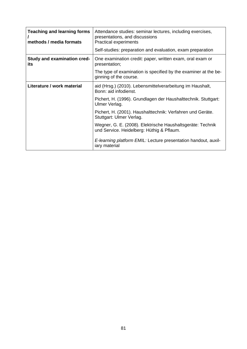| <b>Teaching and learning forms</b><br>methods / media formats | Attendance studies: seminar lectures, including exercises,<br>presentations, and discussions<br><b>Practical experiments</b><br>Self-studies: preparation and evaluation, exam preparation |
|---------------------------------------------------------------|--------------------------------------------------------------------------------------------------------------------------------------------------------------------------------------------|
| <b>Study and examination cred-</b><br>its                     | One examination credit: paper, written exam, oral exam or<br>presentation;                                                                                                                 |
|                                                               | The type of examination is specified by the examiner at the be-<br>ginning of the course.                                                                                                  |
| Literature / work material                                    | aid (Hrsg.) (2010). Lebensmittelverarbeitung im Haushalt,<br>Bonn: aid infodienst.                                                                                                         |
|                                                               | Pichert, H. (1996). Grundlagen der Haushalttechnik. Stuttgart:<br>Ulmer Verlag.                                                                                                            |
|                                                               | Pichert, H. (2001). Haushalttechnik: Verfahren und Geräte.<br>Stuttgart: Ulmer Verlag.                                                                                                     |
|                                                               | Wegner, G. E. (2008). Elektrische Haushaltsgeräte: Technik<br>und Service. Heidelberg: Hüthig & Pflaum.                                                                                    |
|                                                               | E-learning platform EMIL: Lecture presentation handout, auxil-<br>iary material                                                                                                            |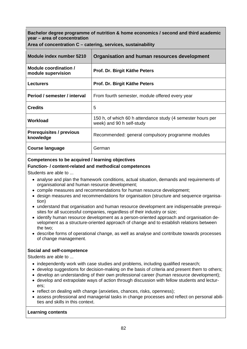| Module index number 5210                     | Organisation and human resources development                                             |
|----------------------------------------------|------------------------------------------------------------------------------------------|
| Module coordination /<br>module supervision  | Prof. Dr. Birgit Käthe Peters                                                            |
| <b>Lecturers</b>                             | Prof. Dr. Birgit Käthe Peters                                                            |
| Period / semester / interval                 | From fourth semester, module offered every year                                          |
| <b>Credits</b>                               | 5                                                                                        |
| Workload                                     | 150 h, of which 60 h attendance study (4 semester hours per<br>week) and 90 h self-study |
| <b>Prerequisites / previous</b><br>knowledge | Recommended: general compulsory programme modules                                        |
| <b>Course language</b>                       | German                                                                                   |

**Area of concentration C – catering, services, sustainability** 

## **Competences to be acquired / learning objectives**

#### **Function- / content-related and methodical competences**

Students are able to ...

- analyse and plan the framework conditions, actual situation, demands and requirements of organisational and human resource development;
- compile measures and recommendations for human resource development;
- design measures and recommendations for organisation (structure and sequence organisation)
- understand that organisation and human resource development are indispensable prerequisites for all successful companies, regardless of their industry or size;
- identify human resource development as a person-oriented approach and organisation development as a structure-oriented approach of change and to establish relations between the two;
- describe forms of operational change, as well as analyse and contribute towards processes of change management.

## **Social and self-competence**

Students are able to ...

- independently work with case studies and problems, including qualified research;
- develop suggestions for decision-making on the basis of criteria and present them to others;
- develop an understanding of their own professional career (human resource development);
- develop and extrapolate ways of action through discussion with fellow students and lecturers;
- reflect on dealing with change (anxieties, chances, risks, openness);
- assess professional and managerial tasks in change processes and reflect on personal abilities and skills in this context.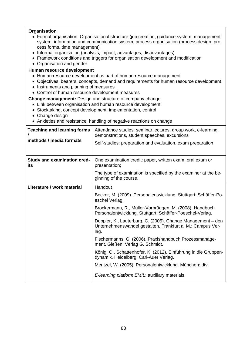#### **Organisation**

- Formal organisation: Organisational structure (job creation, guidance system, management system, information and communication system, process organisation (process design, process forms, time management)
- Informal organisation (analysis, impact, advantages, disadvantages)
- Framework conditions and triggers for organisation development and modification
- Organisation and gender

**Human resource development**

- Human resource development as part of human resource management
- Objectives, bearers, concepts, demand and requirements for human resource development
- Instruments and planning of measures
- Control of human resource development measures

**Change management:** Design and structure of company change

- Link between organisation and human resource development
- Stocktaking, concept development, implementation, control
- Change design
- Anxieties and resistance; handling of negative reactions on change

| <b>Teaching and learning forms</b>        | Attendance studies: seminar lectures, group work, e-learning,<br>demonstrations, student speeches, excursions                     |
|-------------------------------------------|-----------------------------------------------------------------------------------------------------------------------------------|
| methods / media formats                   | Self-studies: preparation and evaluation, exam preparation                                                                        |
|                                           |                                                                                                                                   |
| <b>Study and examination cred-</b><br>its | One examination credit: paper, written exam, oral exam or<br>presentation;                                                        |
|                                           | The type of examination is specified by the examiner at the be-<br>ginning of the course.                                         |
| Literature / work material                | Handout                                                                                                                           |
|                                           | Becker, M. (2009). Personalentwicklung, Stuttgart: Schäffer-Po-<br>eschel Verlag.                                                 |
|                                           | Bröckermann, R., Müller-Vorbrüggen, M. (2008). Handbuch<br>Personalentwicklung. Stuttgart: Schäffer-Poeschel-Verlag.              |
|                                           | Doppler, K., Lauterburg, C. (2005). Change Management - den<br>Unternehmenswandel gestalten. Frankfurt a. M.: Campus Ver-<br>lag. |
|                                           | Fischermanns, G. (2006). Praxishandbuch Prozessmanage-<br>ment. Gießen: Verlag G. Schmidt.                                        |
|                                           | König, O., Schattenhofer, K. (2012), Einführung in die Gruppen-<br>dynamik. Heidelberg: Carl-Auer Verlag.                         |
|                                           | Mentzel, W. (2005). Personalentwicklung. München: dtv.                                                                            |
|                                           | E-learning platform EMIL: auxiliary materials.                                                                                    |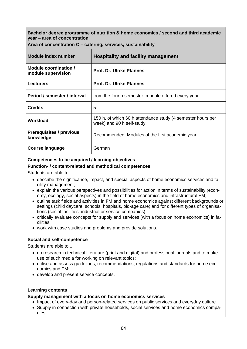| Module index number                          | <b>Hospitality and facility management</b>                                               |
|----------------------------------------------|------------------------------------------------------------------------------------------|
| Module coordination /<br>module supervision  | <b>Prof. Dr. Ulrike Pfannes</b>                                                          |
| <b>Lecturers</b>                             | <b>Prof. Dr. Ulrike Pfannes</b>                                                          |
| Period / semester / interval                 | from the fourth semester, module offered every year                                      |
| <b>Credits</b>                               | 5                                                                                        |
| Workload                                     | 150 h, of which 60 h attendance study (4 semester hours per<br>week) and 90 h self-study |
| <b>Prerequisites / previous</b><br>knowledge | Recommended: Modules of the first academic year                                          |
| <b>Course language</b>                       | German                                                                                   |

**Area of concentration C – catering, services, sustainability** 

## **Competences to be acquired / learning objectives**

#### **Function- / content-related and methodical competences**

Students are able to ...

- describe the significance, impact, and special aspects of home economics services and facility management;
- explain the various perspectives and possibilities for action in terms of sustainability (economy, ecology, social aspects) in the field of home economics and infrastructural FM;
- outline task fields and activities in FM and home economics against different backgrounds or settings (child daycare, schools, hospitals, old-age care) and for different types of organisations (social facilities, industrial or service companies);
- critically evaluate concepts for supply and services (with a focus on home economics) in facilities;
- work with case studies and problems and provide solutions.

#### **Social and self-competence**

Students are able to ...

- do research in technical literature (print and digital) and professional journals and to make use of such media for working on relevant topics;
- utilise and assess guidelines, recommendations, regulations and standards for home economics and FM;
- develop and present service concepts.

#### **Learning contents**

#### **Supply management with a focus on home economics services**

• Impact of every-day and person-related services on public services and everyday culture

• Supply in connection with private households, social services and home economics companies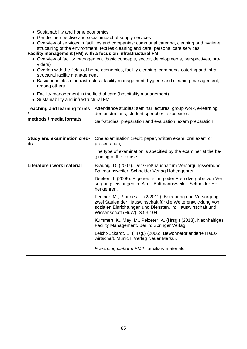- Sustainability and home economics
- Gender perspective and social impact of supply services
- Overview of services in facilities and companies: communal catering, cleaning and hygiene, structuring of the environment, textiles cleaning and care, personal care services

**Facility management (FM) with a focus on infrastructural FM** 

- Overview of facility management (basic concepts, sector, developments, perspectives, providers)
- Overlap with the fields of home economics, facility cleaning, communal catering and infrastructural facility management
- Basic principles of infrastructural facility management: hygiene and cleaning management, among others
- Facility management in the field of care (hospitality management)
- Sustainability and infrastructural FM

| <b>Teaching and learning forms</b><br>methods / media formats | Attendance studies: seminar lectures, group work, e-learning,<br>demonstrations, student speeches, excursions<br>Self-studies: preparation and evaluation, exam preparation                                                  |
|---------------------------------------------------------------|------------------------------------------------------------------------------------------------------------------------------------------------------------------------------------------------------------------------------|
| <b>Study and examination cred-</b><br>its                     | One examination credit: paper, written exam, oral exam or<br>presentation;                                                                                                                                                   |
|                                                               | The type of examination is specified by the examiner at the be-<br>ginning of the course.                                                                                                                                    |
| Literature / work material                                    | Bräunig, D. (2007). Der Großhaushalt im Versorgungsverbund,<br>Baltmannsweiler: Schneider Verlag Hohengehren.                                                                                                                |
|                                                               | Deeken, I. (2009). Eigenerstellung oder Fremdvergabe von Ver-<br>sorgungsleistungen im Alter. Baltmannsweiler: Schneider Ho-<br>hengehren.                                                                                   |
|                                                               | Feulner, M., Pfannes U. (2/2012), Betreuung und Versorgung -<br>zwei Säulen der Hauswirtschaft für die Weiterentwicklung von<br>sozialen Einrichtungen und Diensten, in: Hauswirtschaft und<br>Wissenschaft (HuW), S.93-104. |
|                                                               | Kummert, K., May, M., Pelzeter, A. (Hrsg.) (2013). Nachhaltiges<br>Facility Management. Berlin: Springer Verlag.                                                                                                             |
|                                                               | Leicht-Eckardt, E. (Hrsg.) (2006). Bewohnerorientierte Haus-<br>wirtschaft. Munich: Verlag Neuer Merkur.                                                                                                                     |
|                                                               | E-learning platform EMIL: auxiliary materials.                                                                                                                                                                               |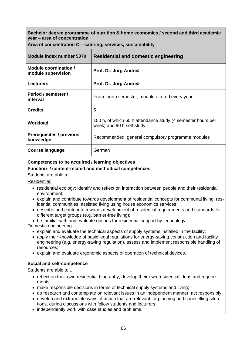|  |  |  |  |  | Area of concentration C – catering, services, sustainability |
|--|--|--|--|--|--------------------------------------------------------------|
|--|--|--|--|--|--------------------------------------------------------------|

| Module index number 5070                     | <b>Residential and domestic engineering</b>                                              |
|----------------------------------------------|------------------------------------------------------------------------------------------|
| Module coordination /<br>module supervision  | Prof. Dr. Jörg Andreä                                                                    |
| <b>Lecturers</b>                             | Prof. Dr. Jörg Andreä                                                                    |
| Period / semester /<br>interval              | From fourth semester, module offered every year                                          |
| <b>Credits</b>                               | 5                                                                                        |
| Workload                                     | 150 h, of which 60 h attendance study (4 semester hours per<br>week) and 90 h self-study |
| <b>Prerequisites / previous</b><br>knowledge | Recommended: general compulsory programme modules                                        |
| <b>Course language</b>                       | German                                                                                   |

## **Competences to be acquired / learning objectives**

## **Function- / content-related and methodical competences**

Students are able to ...

Residential:

- residential ecology: identify and reflect on interaction between people and their residential environment;
- explain and contribute towards development of residential concepts for communal living, residential communities, assisted living using house economics services;
- describe and contribute towards development of residential requirements and standards for different target groups (e.g. barrier-free living);
- be familiar with and evaluate options for residential support by technology.

#### Domestic engineering

- explain and evaluate the technical aspects of supply systems installed in the facility;
- apply their knowledge of basic legal regulations for energy-saving construction and facility engineering (e.g. energy-saving regulation), assess and implement responsible handling of resources;
- explain and evaluate ergonomic aspects of operation of technical devices.

## **Social and self-competence**

- reflect on their own residential biography, develop their own residential ideas and requirements;
- make responsible decisions in terms of technical supply systems and living;
- do research and contemplate on relevant issues in an independent manner, act responsibly;
- develop and extrapolate ways of action that are relevant for planning and counselling situations, during discussions with fellow students and lecturers;
- independently work with case studies and problems.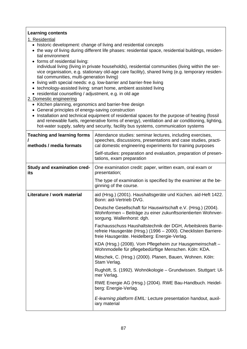## **Learning contents**

1. Residential

- historic development: change of living and residential concepts
- the way of living during different life phases: residential space, residential buildings, residential environment
- forms of residential living: individual living (living in private households), residential communities (living within the service organisation, e.g. stationary old-age care facility), shared living (e.g. temporary residential communities, multi-generation living)
- living with special needs: e.g. low-barrier and barrier-free living
- technology-assisted living: smart home, ambient assisted living
- residential counselling / adjustment, e.g. in old age

### 2. Domestic engineering

- Kitchen planning, ergonomics and barrier-free design
- General principles of energy-saving construction
- Installation and technical equipment of residential spaces for the purpose of heating (fossil and renewable fuels, regenerative forms of energy), ventilation and air conditioning, lighting, hot-water supply, safety and security, facility bus systems, communication systems

| <b>Teaching and learning forms</b><br>methods / media formats | Attendance studies: seminar lectures, including exercises,<br>speeches, discussions, presentations and case studies, practi-<br>cal domestic engineering experiments for training purposes<br>Self-studies: preparation and evaluation, preparation of presen-<br>tations, exam preparation |
|---------------------------------------------------------------|---------------------------------------------------------------------------------------------------------------------------------------------------------------------------------------------------------------------------------------------------------------------------------------------|
| <b>Study and examination cred-</b><br>its                     | One examination credit: paper, written exam, oral exam or<br>presentation;                                                                                                                                                                                                                  |
|                                                               | The type of examination is specified by the examiner at the be-<br>ginning of the course.                                                                                                                                                                                                   |
| Literature / work material                                    | aid (Hrsg.) (2001). Haushaltsgeräte und Küchen. aid-Heft 1422.<br>Bonn: aid-Vertrieb DVG.                                                                                                                                                                                                   |
|                                                               | Deutsche Gesellschaft für Hauswirtschaft e.V. (Hrsg.) (2004).<br>Wohnformen - Beiträge zu einer zukunftsorientierten Wohnver-<br>sorgung. Wallenhorst: dgh.                                                                                                                                 |
|                                                               | Fachausschuss Haushaltstechnik der DGH, Arbeitskreis Barrie-<br>refreie Hausgeräte (Hrsg.) (1996 - 2000). Checklisten Barriere-<br>freie Hausgeräte. Heidelberg: Energie-Verlag.                                                                                                            |
|                                                               | KDA (Hrsg.) (2008). Vom Pflegeheim zur Hausgemeinschaft -<br>Wohnmodelle für pflegebedürftige Menschen. Köln: KDA.                                                                                                                                                                          |
|                                                               | Mitschek, C. (Hrsg.) (2000). Planen, Bauen, Wohnen. Köln:<br>Stam Verlag.                                                                                                                                                                                                                   |
|                                                               | Rughöft, S. (1992). Wohnökologie – Grundwissen. Stuttgart: UI-<br>mer Verlag.                                                                                                                                                                                                               |
|                                                               | RWE Energie AG (Hrsg.) (2004). RWE Bau-Handbuch. Heidel-<br>berg: Energie-Verlag.                                                                                                                                                                                                           |
|                                                               | E-learning platform EMIL: Lecture presentation handout, auxil-<br>iary material                                                                                                                                                                                                             |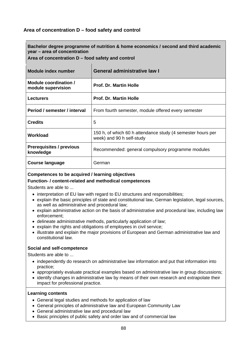# **Area of concentration D – food safety and control**

**Bachelor degree programme of nutrition & home economics / second and third academic year – area of concentration** 

**Area of concentration D – food safety and control** 

| Module index number                          | <b>General administrative law I</b>                                                      |
|----------------------------------------------|------------------------------------------------------------------------------------------|
| Module coordination /<br>module supervision  | <b>Prof. Dr. Martin Holle</b>                                                            |
| <b>Lecturers</b>                             | <b>Prof. Dr. Martin Holle</b>                                                            |
| Period / semester / interval                 | From fourth semester, module offered every semester                                      |
| <b>Credits</b>                               | 5                                                                                        |
| Workload                                     | 150 h, of which 60 h attendance study (4 semester hours per<br>week) and 90 h self-study |
| <b>Prerequisites / previous</b><br>knowledge | Recommended: general compulsory programme modules                                        |
| <b>Course language</b>                       | German                                                                                   |

#### **Competences to be acquired / learning objectives**

#### **Function- / content-related and methodical competences**

Students are able to ...

- interpretation of EU law with regard to EU structures and responsibilities;
- explain the basic principles of state and constitutional law, German legislation, legal sources, as well as administrative and procedural law;
- explain administrative action on the basis of administrative and procedural law, including law enforcement;
- delineate administrative methods, particularly application of law;
- explain the rights and obligations of employees in civil service;
- illustrate and explain the major provisions of European and German administrative law and constitutional law.

#### **Social and self-competence**

Students are able to ...

- independently do research on administrative law information and put that information into practice;
- appropriately evaluate practical examples based on administrative law in group discussions;
- identify changes in administrative law by means of their own research and extrapolate their impact for professional practice.

- General legal studies and methods for application of law
- General principles of administrative law and European Community Law
- General administrative law and procedural law
- Basic principles of public safety and order law and of commercial law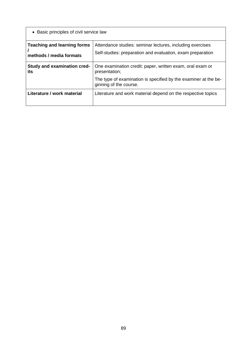| • Basic principles of civil service law                       |                                                                                                                         |  |
|---------------------------------------------------------------|-------------------------------------------------------------------------------------------------------------------------|--|
| <b>Teaching and learning forms</b><br>methods / media formats | Attendance studies: seminar lectures, including exercises<br>Self-studies: preparation and evaluation, exam preparation |  |
| <b>Study and examination cred-</b><br>its                     | One examination credit: paper, written exam, oral exam or<br>presentation;                                              |  |
|                                                               | The type of examination is specified by the examiner at the be-<br>ginning of the course.                               |  |
| Literature / work material                                    | Literature and work material depend on the respective topics                                                            |  |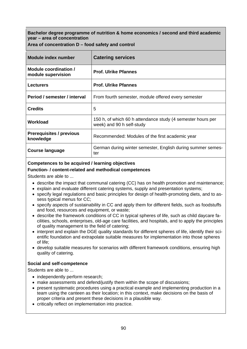| $A$ rea or concentration $D = 1000$ salety and control |                                                                                          |  |
|--------------------------------------------------------|------------------------------------------------------------------------------------------|--|
| Module index number                                    | <b>Catering services</b>                                                                 |  |
| Module coordination /<br>module supervision            | <b>Prof. Ulrike Pfannes</b>                                                              |  |
| <b>Lecturers</b>                                       | <b>Prof. Ulrike Pfannes</b>                                                              |  |
| Period / semester / interval                           | From fourth semester, module offered every semester                                      |  |
| <b>Credits</b>                                         | 5                                                                                        |  |
| Workload                                               | 150 h, of which 60 h attendance study (4 semester hours per<br>week) and 90 h self-study |  |
| <b>Prerequisites / previous</b><br>knowledge           | Recommended: Modules of the first academic year                                          |  |
| <b>Course language</b>                                 | German during winter semester, English during summer semes-<br>ter                       |  |

**Area of concentration D – food safety and control** 

## **Competences to be acquired / learning objectives**

#### **Function- / content-related and methodical competences**

Students are able to ...

- describe the impact that communal catering (CC) has on health promotion and maintenance;
- explain and evaluate different catering systems, supply and presentation systems;
- specify legal regulations and basic principles for design of health-promoting diets, and to assess typical menus for CC;
- specify aspects of sustainability in CC and apply them for different fields, such as foodstuffs and food, resources and equipment, or waste;
- describe the framework conditions of CC in typical spheres of life, such as child daycare facilities, schools, enterprises, old-age care facilities, and hospitals, and to apply the principles of quality management to the field of catering;
- interpret and explain the DGE quality standards for different spheres of life, identify their scientific foundation and extrapolate suitable measures for implementation into those spheres of life;
- develop suitable measures for scenarios with different framework conditions, ensuring high quality of catering.

#### **Social and self-competence**

- independently perform research;
- make assessments and defend/justify them within the scope of discussions;
- present systematic procedures using a practical example and implementing production in a team using the canteen as their location; in this context, make decisions on the basis of proper criteria and present these decisions in a plausible way.
- critically reflect on implementation into practice.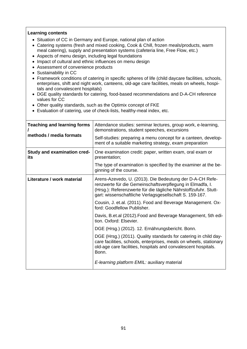- Situation of CC in Germany and Europe, national plan of action
- Catering systems (fresh and mixed cooking, Cook & Chill, frozen meals/products, warm meal catering), supply and presentation systems (cafeteria line, Free Flow, etc.)
- Aspects of menu design, including legal foundations
- Impact of cultural and ethnic influences on menu design
- Assessment of convenience products
- Sustainability in CC
- Framework conditions of catering in specific spheres of life (child daycare facilities, schools, enterprises, shift and night work, canteens, old-age care facilities, meals on wheels, hospitals and convalescent hospitals)
- DGE quality standards for catering, food-based recommendations and D-A-CH reference values for CC
- Other quality standards, such as the Optimix concept of FKE
- Evaluation of catering, use of check-lists, healthy-meal index, etc.

| <b>Teaching and learning forms</b><br>methods / media formats | Attendance studies: seminar lectures, group work, e-learning,<br>demonstrations, student speeches, excursions<br>Self-studies: preparing a menu concept for a canteen, develop-<br>ment of a suitable marketing strategy, exam preparation          |
|---------------------------------------------------------------|-----------------------------------------------------------------------------------------------------------------------------------------------------------------------------------------------------------------------------------------------------|
| <b>Study and examination cred-</b><br>its                     | One examination credit: paper, written exam, oral exam or<br>presentation;<br>The type of examination is specified by the examiner at the be-<br>ginning of the course.                                                                             |
| Literature / work material                                    | Arens-Azevedo, U. (2013). Die Bedeutung der D-A-CH Refe-<br>renzwerte für die Gemeinschaftsverpflegung in Elmadfa, I.<br>(Hrsg.): Referenzwerte für die tägliche Nährstoffzufuhr. Stutt-<br>gart: wissenschaftliche Verlagsgesellschaft S. 159-167. |
|                                                               | Cousin, J. et.al. (2011). Food and Beverage Management. Ox-<br>ford: Goodfellow Publisher.                                                                                                                                                          |
|                                                               | Davis, B.et.al (2012). Food and Beverage Management, 5th edi-<br>tion. Oxford: Elsevier.                                                                                                                                                            |
|                                                               | DGE (Hrsg.) (2012). 12. Ernährungsbericht. Bonn.                                                                                                                                                                                                    |
|                                                               | DGE (Hrsg.) (2011). Quality standards for catering in child day-<br>care facilities, schools, enterprises, meals on wheels, stationary<br>old-age care facilities, hospitals and convalescent hospitals.<br>Bonn.                                   |
|                                                               | E-learning platform EMIL: auxiliary material                                                                                                                                                                                                        |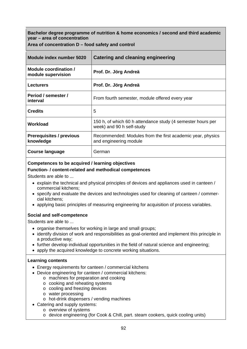|  | Area of concentration D – food safety and control |  |  |  |
|--|---------------------------------------------------|--|--|--|
|--|---------------------------------------------------|--|--|--|

| Module index number 5020                     | Catering and cleaning engineering                                                        |
|----------------------------------------------|------------------------------------------------------------------------------------------|
| Module coordination /<br>module supervision  | Prof. Dr. Jörg Andreä                                                                    |
| <b>Lecturers</b>                             | Prof. Dr. Jörg Andreä                                                                    |
| Period / semester /<br>interval              | From fourth semester, module offered every year                                          |
| <b>Credits</b>                               | 5                                                                                        |
| Workload                                     | 150 h, of which 60 h attendance study (4 semester hours per<br>week) and 90 h self-study |
| <b>Prerequisites / previous</b><br>knowledge | Recommended: Modules from the first academic year, physics<br>and engineering module     |
| Course language                              | German                                                                                   |

## **Competences to be acquired / learning objectives**

#### **Function- / content-related and methodical competences**

Students are able to ...

- explain the technical and physical principles of devices and appliances used in canteen / commercial kitchens;
- specify and evaluate the devices and technologies used for cleaning of canteen / commercial kitchens;
- applying basic principles of measuring engineering for acquisition of process variables.

## **Social and self-competence**

Students are able to ...

- organise themselves for working in large and small groups;
- identify division of work and responsibilities as goal-oriented and implement this principle in a productive way;
- further develop individual opportunities in the field of natural science and engineering;
- apply the acquired knowledge to concrete working situations.

- Energy requirements for canteen / commercial kitchens
- Device engineering for canteen / commercial kitchens:
	- o machines for preparation and cooking
	- o cooking and reheating systems
	- o cooling and freezing devices
	- o water processing
	- o hot-drink dispensers / vending machines
- Catering and supply systems:
	- o overview of systems
		- o device engineering (for Cook & Chill, part. steam cookers, quick cooling units)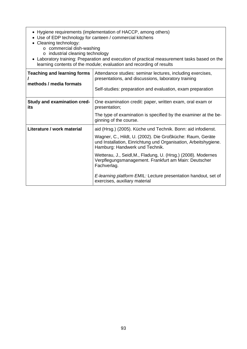- Hygiene requirements (implementation of HACCP, among others)
- Use of EDP technology for canteen / commercial kitchens
- Cleaning technology:
	- o commercial dish-washing
	- o industrial cleaning technology
- Laboratory training: Preparation and execution of practical measurement tasks based on the learning contents of the module; evaluation and recording of results

| <b>Teaching and learning forms</b><br>methods / media formats | Attendance studies: seminar lectures, including exercises,<br>presentations, and discussions, laboratory training<br>Self-studies: preparation and evaluation, exam preparation |
|---------------------------------------------------------------|---------------------------------------------------------------------------------------------------------------------------------------------------------------------------------|
| <b>Study and examination cred-</b><br>its                     | One examination credit: paper, written exam, oral exam or<br>presentation;                                                                                                      |
|                                                               | The type of examination is specified by the examiner at the be-<br>ginning of the course.                                                                                       |
| Literature / work material                                    | aid (Hrsg.) (2005). Küche und Technik. Bonn: aid infodienst.                                                                                                                    |
|                                                               | Wagner, C., Hildt, U. (2002). Die Großküche: Raum, Geräte<br>und Installation, Einrichtung und Organisation, Arbeitshygiene.<br>Hamburg: Handwerk und Technik.                  |
|                                                               | Wetterau, J., Seidl, M., Fladung, U. (Hrsg.) (2008). Modernes<br>Verpflegungsmanagement. Frankfurt am Main: Deutscher<br>Fachverlag.                                            |
|                                                               | E-learning platform EMIL: Lecture presentation handout, set of<br>exercises, auxiliary material                                                                                 |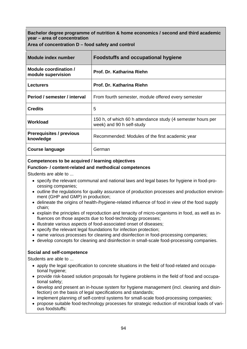**Area of concentration D – food safety and control** 

| Module index number                          | <b>Foodstuffs and occupational hygiene</b>                                               |
|----------------------------------------------|------------------------------------------------------------------------------------------|
| Module coordination /<br>module supervision  | Prof. Dr. Katharina Riehn                                                                |
| <b>Lecturers</b>                             | Prof. Dr. Katharina Riehn                                                                |
| Period / semester / interval                 | From fourth semester, module offered every semester                                      |
| <b>Credits</b>                               | 5                                                                                        |
| Workload                                     | 150 h, of which 60 h attendance study (4 semester hours per<br>week) and 90 h self-study |
| <b>Prerequisites / previous</b><br>knowledge | Recommended: Modules of the first academic year                                          |
| Course language                              | German                                                                                   |

### **Competences to be acquired / learning objectives**

#### **Function- / content-related and methodical competences**

Students are able to ...

- specify the relevant communal and national laws and legal bases for hygiene in food-processing companies;
- outline the regulations for quality assurance of production processes and production environment (GHP and GMP) in production;
- delineate the origins of health-/hygiene-related influence of food in view of the food supply chain;
- explain the principles of reproduction and tenacity of micro-organisms in food, as well as influences on those aspects due to food-technology processes;
- illustrate various aspects of food-associated onset of diseases;
- specify the relevant legal foundations for infection protection:
- name various processes for cleaning and disinfection in food-processing companies;
- develop concepts for cleaning and disinfection in small-scale food-processing companies.

## **Social and self-competence**

- apply the legal specification to concrete situations in the field of food-related and occupational hygiene;
- provide risk-based solution proposals for hygiene problems in the field of food and occupational safety;
- develop and present an in-house system for hygiene management (incl. cleaning and disinfection) on the basis of legal specifications and standards;
- implement planning of self-control systems for small-scale food-processing companies;
- propose suitable food-technology processes for strategic reduction of microbial loads of various foodstuffs: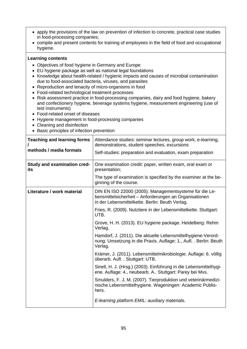- apply the provisions of the law on prevention of infection to concrete, practical case studies in food-processing companies;
- compile and present contents for training of employees in the field of food and occupational hygiene.

- Objectives of food hygiene in Germany and Europe
- EU hygiene package as well as national legal foundations
- Knowledge about health-related / hygienic impacts and causes of microbial contamination due to food-associated bacteria, viruses, and parasites
- Reproduction and tenacity of micro-organisms in food
- Food-related technological treatment processes
- Risk assessment practice in food-processing companies, dairy and food hygiene, bakery and confectionery hygiene, beverage systems hygiene, measurement engineering (use of test instruments)
- Food-related onset of diseases
- Hygiene management in food-processing companies
- Cleaning and disinfection
- Basic principles of infection prevention

| <b>Teaching and learning forms</b><br>methods / media formats | Attendance studies: seminar lectures, group work, e-learning,<br>demonstrations, student speeches, excursions<br>Self-studies: preparation and evaluation, exam preparation |
|---------------------------------------------------------------|-----------------------------------------------------------------------------------------------------------------------------------------------------------------------------|
| Study and examination cred-<br>its                            | One examination credit: paper, written exam, oral exam or<br>presentation;                                                                                                  |
|                                                               | The type of examination is specified by the examiner at the be-<br>ginning of the course.                                                                                   |
| Literature / work material                                    | DIN EN ISO 22000 (2005). Managementsysteme für die Le-<br>bensmittelsicherheit - Anforderungen an Organisationen<br>in der Lebensmittelkette. Berlin: Beuth Verlag.         |
|                                                               | Fries, R. (2009). Nutztiere in der Lebensmittelkette. Stuttgart:<br>UTB.                                                                                                    |
|                                                               | Grove, H. H. (2013). EU hygiene package. Heidelberg: Rehm<br>Verlag.                                                                                                        |
|                                                               | Hamdorf, J. (2011). Die aktuelle Lebensmittelhygiene-Verord-<br>nung: Umsetzung in die Praxis. Auflage: 1., Aufl. . Berlin: Beuth<br>Verlag.                                |
|                                                               | Krämer, J. (2011). Lebensmittelmikrobiologie. Auflage: 6. völlig<br>überarb. Aufl. . Stuttgart: UTB.                                                                        |
|                                                               | Sinell, H. J. (Hrsg.) (2003). Einführung in die Lebensmittelhygi-<br>ene. Auflage: 4., neubearb. A Stuttgart: Parey bei Mvs.                                                |
|                                                               | Smulders, F. J. M. (2007). Tierproduktion und veterinärmedizi-<br>nische Lebensmittelhygiene. Wageningen: Academic Publis-<br>hers.                                         |
|                                                               | E-learning platform EMIL: auxiliary materials.                                                                                                                              |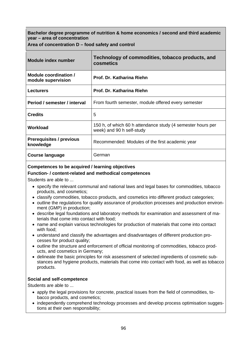**Area of concentration D – food safety and control** 

| <b>Module index number</b>                   | Technology of commodities, tobacco products, and<br>cosmetics                            |
|----------------------------------------------|------------------------------------------------------------------------------------------|
| Module coordination /<br>module supervision  | Prof. Dr. Katharina Riehn                                                                |
| <b>Lecturers</b>                             | Prof. Dr. Katharina Riehn                                                                |
| Period / semester / interval                 | From fourth semester, module offered every semester                                      |
| <b>Credits</b>                               | 5                                                                                        |
| Workload                                     | 150 h, of which 60 h attendance study (4 semester hours per<br>week) and 90 h self-study |
| <b>Prerequisites / previous</b><br>knowledge | Recommended: Modules of the first academic year                                          |
| <b>Course language</b>                       | German                                                                                   |

# **Competences to be acquired / learning objectives**

## **Function- / content-related and methodical competences**

Students are able to ...

- specify the relevant communal and national laws and legal bases for commodities, tobacco products, and cosmetics;
- classify commodities, tobacco products, and cosmetics into different product categories;
- outline the regulations for quality assurance of production processes and production environment (GMP) in production;
- describe legal foundations and laboratory methods for examination and assessment of materials that come into contact with food;
- name and explain various technologies for production of materials that come into contact with food;
- understand and classify the advantages and disadvantages of different production processes for product quality;
- outline the structure and enforcement of official monitoring of commodities, tobacco products, and cosmetics in Germany;
- delineate the basic principles for risk assessment of selected ingredients of cosmetic substances and hygiene products, materials that come into contact with food, as well as tobacco products.

## **Social and self-competence**

- apply the legal provisions for concrete, practical issues from the field of commodities, tobacco products, and cosmetics;
- independently comprehend technology processes and develop process optimisation suggestions at their own responsibility;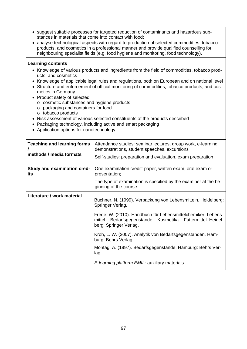- suggest suitable processes for targeted reduction of contaminants and hazardous substances in materials that come into contact with food;
- analyse technological aspects with regard to production of selected commodities, tobacco products, and cosmetics in a professional manner and provide qualified counselling for neighbouring specialist fields (e.g. food hygiene and monitoring, food technology).

- Knowledge of various products and ingredients from the field of commodities, tobacco products, and cosmetics
- Knowledge of applicable legal rules and regulations, both on European and on national level
- Structure and enforcement of official monitoring of commodities, tobacco products, and cosmetics in Germany
- Product safety of selected
	- o cosmetic substances and hygiene products
	- o packaging and containers for food
	- o tobacco products
- Risk assessment of various selected constituents of the products described
- Packaging technology, including active and smart packaging
- Application options for nanotechnology

| <b>Teaching and learning forms</b><br>methods / media formats | Attendance studies: seminar lectures, group work, e-learning,<br>demonstrations, student speeches, excursions<br>Self-studies: preparation and evaluation, exam preparation                                                                                                                                                                                                                                                                                 |
|---------------------------------------------------------------|-------------------------------------------------------------------------------------------------------------------------------------------------------------------------------------------------------------------------------------------------------------------------------------------------------------------------------------------------------------------------------------------------------------------------------------------------------------|
| Study and examination cred-<br>its                            | One examination credit: paper, written exam, oral exam or<br>presentation;<br>The type of examination is specified by the examiner at the be-<br>ginning of the course.                                                                                                                                                                                                                                                                                     |
| Literature / work material                                    | Buchner, N. (1999). Verpackung von Lebensmitteln. Heidelberg:<br>Springer Verlag.<br>Frede, W. (2010). Handbuch für Lebensmittelchemiker: Lebens-<br>mittel – Bedarfsgegenstände – Kosmetika – Futtermittel. Heidel-<br>berg: Springer Verlag.<br>Kroh, L. W. (2007). Analytik von Bedarfsgegenständen. Ham-<br>burg: Behrs Verlag.<br>Montag, A. (1997). Bedarfsgegenstände. Hamburg: Behrs Ver-<br>lag.<br>E-learning platform EMIL: auxiliary materials. |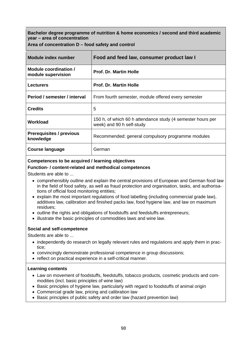**Area of concentration D – food safety and control** 

| Module index number                          | Food and feed law, consumer product law I                                                |
|----------------------------------------------|------------------------------------------------------------------------------------------|
| Module coordination /<br>module supervision  | <b>Prof. Dr. Martin Holle</b>                                                            |
| <b>Lecturers</b>                             | <b>Prof. Dr. Martin Holle</b>                                                            |
| Period / semester / interval                 | From fourth semester, module offered every semester                                      |
| <b>Credits</b>                               | 5                                                                                        |
| Workload                                     | 150 h, of which 60 h attendance study (4 semester hours per<br>week) and 90 h self-study |
| <b>Prerequisites / previous</b><br>knowledge | Recommended: general compulsory programme modules                                        |
| <b>Course language</b>                       | German                                                                                   |

## **Competences to be acquired / learning objectives**

#### **Function- / content-related and methodical competences**

Students are able to ...

- comprehensibly outline and explain the central provisions of European and German food law in the field of food safety, as well as fraud protection and organisation, tasks, and authorisations of official food monitoring entities;
- explain the most important regulations of food labelling (including commercial grade law), additives law, calibration and finished packs law, food hygiene law, and law on maximum residues;
- outline the rights and obligations of foodstuffs and feedstuffs entrepreneurs;
- illustrate the basic principles of commodities laws and wine law.

## **Social and self-competence**

Students are able to ...

- independently do research on legally relevant rules and regulations and apply them in practice;
- convincingly demonstrate professional competence in group discussions;
- reflect on practical experience in a self-critical manner.

- Law on movement of foodstuffs, feedstuffs, tobacco products, cosmetic products and commodities (incl. basic principles of wine law)
- Basic principles of hygiene law, particularly with regard to foodstuffs of animal origin
- Commercial grade law, pricing and calibration law
- Basic principles of public safety and order law (hazard prevention law)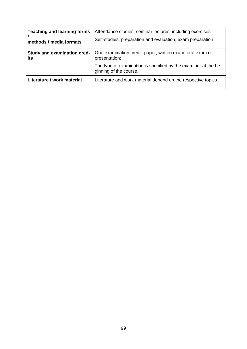| <b>Teaching and learning forms</b> | Attendance studies: seminar lectures, including exercises                                 |
|------------------------------------|-------------------------------------------------------------------------------------------|
| methods / media formats            | Self-studies: preparation and evaluation, exam preparation                                |
| Study and examination cred-        | One examination credit: paper, written exam, oral exam or                                 |
| its                                | presentation;                                                                             |
|                                    | The type of examination is specified by the examiner at the be-<br>ginning of the course. |
| Literature / work material         | Literature and work material depend on the respective topics                              |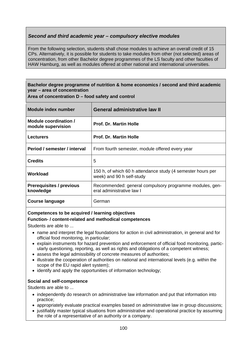# *Second and third academic year – compulsory elective modules*

From the following selection, students shall chose modules to achieve an overall credit of 15 CPs. Alternatively, it is possible for students to take modules from other (not selected) areas of concentration, from other Bachelor degree programmes of the LS faculty and other faculties of HAW Hamburg, as well as modules offered at other national and international universities.

## **Bachelor degree programme of nutrition & home economics / second and third academic year – area of concentration**

**Area of concentration D – food safety and control** 

| Module index number                          | <b>General administrative law II</b>                                                     |
|----------------------------------------------|------------------------------------------------------------------------------------------|
| Module coordination /<br>module supervision  | <b>Prof. Dr. Martin Holle</b>                                                            |
| <b>Lecturers</b>                             | <b>Prof. Dr. Martin Holle</b>                                                            |
| Period / semester / interval                 | From fourth semester, module offered every year                                          |
| <b>Credits</b>                               | 5                                                                                        |
| Workload                                     | 150 h, of which 60 h attendance study (4 semester hours per<br>week) and 90 h self-study |
| <b>Prerequisites / previous</b><br>knowledge | Recommended: general compulsory programme modules, gen-<br>eral administrative law I     |
| Course language                              | German                                                                                   |

## **Competences to be acquired / learning objectives**

## **Function- / content-related and methodical competences**

Students are able to ...

- name and interpret the legal foundations for action in civil administration, in general and for official food monitoring, in particular;
- explain instruments for hazard prevention and enforcement of official food monitoring, particularly questioning, reporting, as well as rights and obligations of a competent witness;
- assess the legal admissibility of concrete measures of authorities:
- illustrate the cooperation of authorities on national and international levels (e.g. within the scope of the EU rapid alert system);
- identify and apply the opportunities of information technology;

## **Social and self-competence**

- independently do research on administrative law information and put that information into practice;
- appropriately evaluate practical examples based on administrative law in group discussions;
- justifiably master typical situations from administrative and operational practice by assuming the role of a representative of an authority or a company.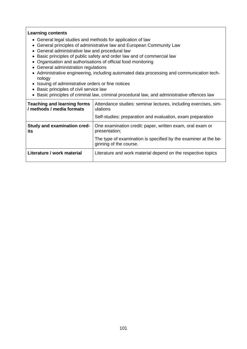- General legal studies and methods for application of law
- General principles of administrative law and European Community Law
- General administrative law and procedural law
- Basic principles of public safety and order law and of commercial law
- Organisation and authorisations of official food monitoring
- General administration regulations
- Administrative engineering, including automated data processing and communication technology
- Issuing of administrative orders or fine notices
- Basic principles of civil service law
- Basic principles of criminal law, criminal procedural law, and administrative offences law

| <b>Teaching and learning forms</b><br>/ methods / media formats | Attendance studies: seminar lectures, including exercises, sim-<br>ulations<br>Self-studies: preparation and evaluation, exam preparation |
|-----------------------------------------------------------------|-------------------------------------------------------------------------------------------------------------------------------------------|
| Study and examination cred-<br>its                              | One examination credit: paper, written exam, oral exam or<br>presentation;                                                                |
|                                                                 | The type of examination is specified by the examiner at the be-<br>ginning of the course.                                                 |
| Literature / work material                                      | Literature and work material depend on the respective topics                                                                              |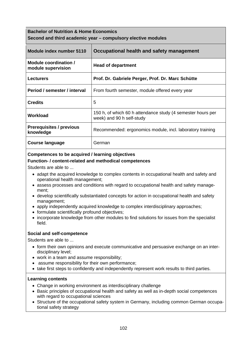# **Bachelor of Nutrition & Home Economics Second and third academic year – compulsory elective modules**

| Module index number 5110                     | Occupational health and safety management                                                |
|----------------------------------------------|------------------------------------------------------------------------------------------|
| Module coordination /<br>module supervision  | <b>Head of department</b>                                                                |
| <b>Lecturers</b>                             | Prof. Dr. Gabriele Perger, Prof. Dr. Marc Schütte                                        |
| Period / semester / interval                 | From fourth semester, module offered every year                                          |
| <b>Credits</b>                               | 5                                                                                        |
| Workload                                     | 150 h, of which 60 h attendance study (4 semester hours per<br>week) and 90 h self-study |
| <b>Prerequisites / previous</b><br>knowledge | Recommended: ergonomics module, incl. laboratory training                                |
| Course language                              | German                                                                                   |

## **Competences to be acquired / learning objectives**

## **Function- / content-related and methodical competences**

Students are able to ...

- adapt the acquired knowledge to complex contents in occupational health and safety and operational health management;
- assess processes and conditions with regard to occupational health and safety management;
- develop scientifically substantiated concepts for action in occupational health and safety management;
- apply independently acquired knowledge to complex interdisciplinary approaches;
- formulate scientifically profound objectives;
- incorporate knowledge from other modules to find solutions for issues from the specialist field.

## **Social and self-competence**

Students are able to ...

- form their own opinions and execute communicative and persuasive exchange on an interdisciplinary level;
- work in a team and assume responsibility;
- assume responsibility for their own performance;
- take first steps to confidently and independently represent work results to third parties.

- Change in working environment as interdisciplinary challenge
- Basic principles of occupational health and safety as well as in-depth social competences with regard to occupational sciences
- Structure of the occupational safety system in Germany, including common German occupational safety strategy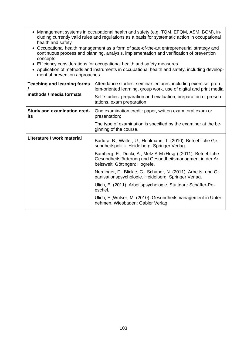- Management systems in occupational health and safety (e.g. TQM, EFQM, ASM, BGM), including currently valid rules and regulations as a basis for systematic action in occupational health and safety
- Occupational health management as a form of sate-of-the-art entrepreneurial strategy and continuous process and planning, analysis, implementation and verification of prevention concepts
- Efficiency considerations for occupational health and safety measures
- Application of methods and instruments in occupational health and safety, including development of prevention approaches

| <b>Teaching and learning forms</b><br>methods / media formats | Attendance studies: seminar lectures, including exercise, prob-<br>lem-oriented learning, group work, use of digital and print media<br>Self-studies: preparation and evaluation, preparation of presen-<br>tations, exam preparation |
|---------------------------------------------------------------|---------------------------------------------------------------------------------------------------------------------------------------------------------------------------------------------------------------------------------------|
| <b>Study and examination cred-</b><br>its                     | One examination credit: paper, written exam, oral exam or<br>presentation;                                                                                                                                                            |
|                                                               | The type of examination is specified by the examiner at the be-<br>ginning of the course.                                                                                                                                             |
| Literature / work material                                    | Badura, B., Walter, U., Hehlmann, T. (2010). Betriebliche Ge-<br>sundheitspolitik. Heidelberg: Springer Verlag.                                                                                                                       |
|                                                               | Bamberg, E., Ducki, A., Metz A-M (Hrsg.) (2011). Betriebliche<br>Gesundheitsförderung und Gesundheitsmanagment in der Ar-<br>beitswelt. Göttingen: Hogrefe.                                                                           |
|                                                               | Nerdinger, F., Blickle, G., Schaper, N. (2011). Arbeits- und Or-<br>ganisationspsychologie. Heidelberg: Springer Verlag.                                                                                                              |
|                                                               | Ulich, E. (2011). Arbeitspsychologie. Stuttgart: Schäffer-Po-<br>eschel.                                                                                                                                                              |
|                                                               | Ulich, E., Wülser, M. (2010). Gesundheitsmanagement in Unter-<br>nehmen. Wiesbaden: Gabler Verlag.                                                                                                                                    |
|                                                               |                                                                                                                                                                                                                                       |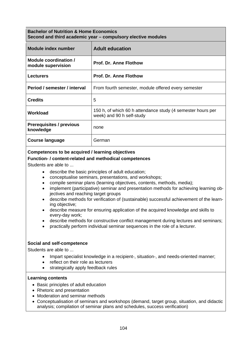## **Bachelor of Nutrition & Home Economics Second and third academic year – compulsory elective modules**

| Module index number                          | <b>Adult education</b>                                                                   |
|----------------------------------------------|------------------------------------------------------------------------------------------|
| Module coordination /<br>module supervision  | Prof. Dr. Anne Flothow                                                                   |
| <b>Lecturers</b>                             | <b>Prof. Dr. Anne Flothow</b>                                                            |
| Period / semester / interval                 | From fourth semester, module offered every semester                                      |
| <b>Credits</b>                               | 5                                                                                        |
| Workload                                     | 150 h, of which 60 h attendance study (4 semester hours per<br>week) and 90 h self-study |
| <b>Prerequisites / previous</b><br>knowledge | none                                                                                     |
| <b>Course language</b>                       | German                                                                                   |

## **Competences to be acquired / learning objectives**

## **Function- / content-related and methodical competences**

Students are able to ...

- describe the basic principles of adult education;
- conceptualise seminars, presentations, and workshops;
- compile seminar plans (learning objectives, contents, methods, media);
- implement (participative) seminar and presentation methods for achieving learning objectives and reaching target groups
- describe methods for verification of (sustainable) successful achievement of the learning objective;
- describe measure for ensuring application of the acquired knowledge and skills to every-day work;
- describe methods for constructive conflict management during lectures and seminars;
- practically perform individual seminar sequences in the role of a lecturer.

#### **Social and self-competence**

Students are able to ...

- Impart specialist knowledge in a recipient-, situation-, and needs-oriented manner;
- reflect on their role as lecturers
- strategically apply feedback rules

- Basic principles of adult education
- Rhetoric and presentation
- Moderation and seminar methods
- Conceptualisation of seminars and workshops (demand, target group, situation, and didactic analysis; compilation of seminar plans and schedules, success verification)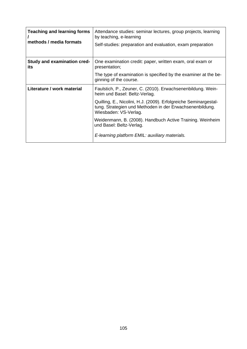| <b>Teaching and learning forms</b><br>methods / media formats | Attendance studies: seminar lectures, group projects, learning<br>by teaching, e-learning<br>Self-studies: preparation and evaluation, exam preparation |
|---------------------------------------------------------------|---------------------------------------------------------------------------------------------------------------------------------------------------------|
| <b>Study and examination cred-</b><br>its                     | One examination credit: paper, written exam, oral exam or<br>presentation;                                                                              |
|                                                               | The type of examination is specified by the examiner at the be-<br>ginning of the course.                                                               |
| Literature / work material                                    | Faulstich, P., Zeuner, C. (2010). Erwachsenenbildung. Wein-<br>heim und Basel: Beltz-Verlag.                                                            |
|                                                               | Quilling, E., Nicolini, H.J. (2009). Erfolgreiche Seminargestal-<br>tung. Strategien und Methoden in der Erwachsenenbildung.<br>Wiesbaden: VS-Verlag.   |
|                                                               | Weidenmann, B. (2008). Handbuch Active Training. Weinheim<br>und Basel: Beltz-Verlag.                                                                   |
|                                                               | E-learning platform EMIL: auxiliary materials.                                                                                                          |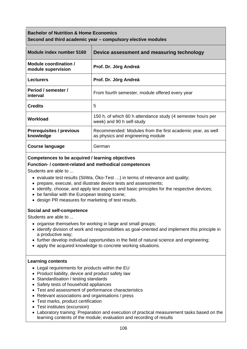| <b>Bachelor of Nutrition &amp; Home Economics</b><br>Second and third academic year – compulsory elective modules |                                                                                                 |
|-------------------------------------------------------------------------------------------------------------------|-------------------------------------------------------------------------------------------------|
| Module index number 5160                                                                                          | Device assessment and measuring technology                                                      |
| Module coordination /<br>module supervision                                                                       | Prof. Dr. Jörg Andreä                                                                           |
| Lecturers                                                                                                         | Prof. Dr. Jörg Andreä                                                                           |
| Period / semester /<br>interval                                                                                   | From fourth semester, module offered every year                                                 |
| <b>Credits</b>                                                                                                    | 5                                                                                               |
| Workload                                                                                                          | 150 h, of which 60 h attendance study (4 semester hours per<br>week) and 90 h self-study        |
| <b>Prerequisites / previous</b><br>knowledge                                                                      | Recommended: Modules from the first academic year, as well<br>as physics and engineering module |
| <b>Course language</b>                                                                                            | German                                                                                          |

## **Competences to be acquired / learning objectives**

## **Function- / content-related and methodical competences**

Students are able to ...

- evaluate test results (StiWa, Öko-Test …) in terms of relevance and quality;
- prepare, execute, and illustrate device tests and assessments;
- identify, choose, and apply test aspects and basic principles for the respective devices;
- be familiar with the European testing scene;
- design PR measures for marketing of test results.

## **Social and self-competence**

Students are able to ...

- organise themselves for working in large and small groups;
- identify division of work and responsibilities as goal-oriented and implement this principle in a productive way;
- further develop individual opportunities in the field of natural science and engineering;
- apply the acquired knowledge to concrete working situations.

- Legal requirements for products within the EU
- Product liability, device and product safety law
- Standardisation / testing standards
- Safety tests of household appliances
- Test and assessment of performance characteristics
- Relevant associations and organisations / press
- Test marks, product certification
- Test institutes (excursion)
- Laboratory training: Preparation and execution of practical measurement tasks based on the learning contents of the module; evaluation and recording of results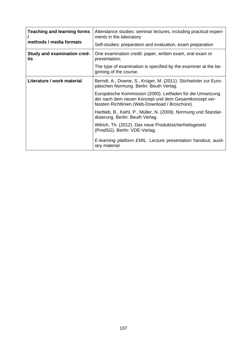| <b>Teaching and learning forms</b><br>methods / media formats | Attendance studies: seminar lectures, including practical experi-<br>ments in the laboratory                                                                           |
|---------------------------------------------------------------|------------------------------------------------------------------------------------------------------------------------------------------------------------------------|
|                                                               | Self-studies: preparation and evaluation, exam preparation                                                                                                             |
| <b>Study and examination cred-</b><br>its                     | One examination credit: paper, written exam, oral exam or<br>presentation;                                                                                             |
|                                                               | The type of examination is specified by the examiner at the be-<br>ginning of the course.                                                                              |
| Literature / work material                                    | Berndt, A., Downe, S., Krüger, M. (2011). Stichwörter zur Euro-<br>päischen Normung. Berlin: Beuth Verlag.                                                             |
|                                                               | Europäische Kommission (2000). Leitfaden für die Umsetzung<br>der nach dem neuen Konzept und dem Gesamtkonzept ver-<br>fassten Richtlinien (Web-Download / Broschüre). |
|                                                               | Hartlieb, B., Kiehl, P., Müller, N. (2009). Normung und Standar-<br>disierung. Berlin: Beuth Verlag.                                                                   |
|                                                               | Wilrich, Th. (2012). Das neue Produktsicherheitsgesetz<br>(ProdSG). Berlin: VDE-Verlag.                                                                                |
|                                                               | E-learning platform EMIL: Lecture presentation handout, auxil-<br>iary material                                                                                        |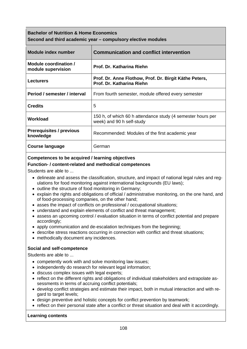| <b>Bachelor of Nutrition &amp; Home Economics</b><br>Second and third academic year – compulsory elective modules |                                                                                          |
|-------------------------------------------------------------------------------------------------------------------|------------------------------------------------------------------------------------------|
| Module index number                                                                                               | <b>Communication and conflict intervention</b>                                           |
| Module coordination /<br>module supervision                                                                       | Prof. Dr. Katharina Riehn                                                                |
| <b>Lecturers</b>                                                                                                  | Prof. Dr. Anne Flothow, Prof. Dr. Birgit Käthe Peters,<br>Prof. Dr. Katharina Riehn      |
| Period / semester / interval                                                                                      | From fourth semester, module offered every semester                                      |
| <b>Credits</b>                                                                                                    | 5                                                                                        |
| Workload                                                                                                          | 150 h, of which 60 h attendance study (4 semester hours per<br>week) and 90 h self-study |
| <b>Prerequisites / previous</b><br>knowledge                                                                      | Recommended: Modules of the first academic year                                          |
| <b>Course language</b>                                                                                            | German                                                                                   |

# **Competences to be acquired / learning objectives**

## **Function- / content-related and methodical competences**

Students are able to ...

- delineate and assess the classification, structure, and impact of national legal rules and regulations for food monitoring against international backgrounds (EU laws);
- outline the structure of food monitoring in Germany;
- explain the rights and obligations of official / administrative monitoring, on the one hand, and of food-processing companies, on the other hand;
- asses the impact of conflicts on professional / occupational situations;
- understand and explain elements of conflict and threat management;
- assess an upcoming control / evaluation situation in terms of conflict potential and prepare accordingly;
- apply communication and de-escalation techniques from the beginning;
- describe stress reactions occurring in connection with conflict and threat situations;
- methodically document any incidences.

## **Social and self-competence**

Students are able to ...

- competently work with and solve monitoring law issues;
- independently do research for relevant legal information;
- discuss complex issues with legal experts;
- reflect on the different rights and obligations of individual stakeholders and extrapolate assessments in terms of accruing conflict potentials;
- develop conflict strategies and estimate their impact, both in mutual interaction and with regard to target levels;
- design preventive and holistic concepts for conflict prevention by teamwork;
- reflect on their personal state after a conflict or threat situation and deal with it accordingly.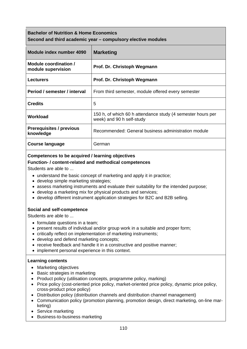| <b>Bachelor of Nutrition &amp; Home Economics</b><br>Second and third academic year – compulsory elective modules |                                                                                          |  |
|-------------------------------------------------------------------------------------------------------------------|------------------------------------------------------------------------------------------|--|
| Module index number 4090                                                                                          | <b>Marketing</b>                                                                         |  |
| Module coordination /<br>module supervision                                                                       | Prof. Dr. Christoph Wegmann                                                              |  |
| <b>Lecturers</b>                                                                                                  | Prof. Dr. Christoph Wegmann                                                              |  |
| Period / semester / interval                                                                                      | From third semester, module offered every semester                                       |  |
| <b>Credits</b>                                                                                                    | 5                                                                                        |  |
| Workload                                                                                                          | 150 h, of which 60 h attendance study (4 semester hours per<br>week) and 90 h self-study |  |
| <b>Prerequisites / previous</b><br>knowledge                                                                      | Recommended: General business administration module                                      |  |
| Course language                                                                                                   | German                                                                                   |  |

## **Competences to be acquired / learning objectives**

## **Function- / content-related and methodical competences**

Students are able to ...

- understand the basic concept of marketing and apply it in practice;
- develop simple marketing strategies;
- assess marketing instruments and evaluate their suitability for the intended purpose;
- develop a marketing mix for physical products and services;
- develop different instrument application strategies for B2C and B2B selling.

## **Social and self-competence**

Students are able to ...

- formulate questions in a team;
- present results of individual and/or group work in a suitable and proper form;
- critically reflect on implementation of marketing instruments;
- develop and defend marketing concepts;
- receive feedback and handle it in a constructive and positive manner;
- implement personal experience in this context.

- Marketing objectives
- Basic strategies in marketing
- Product policy (utilisation concepts, programme policy, marking)
- Price policy (cost-oriented price policy, market-oriented price policy, dynamic price policy, cross-product price policy)
- Distribution policy (distribution channels and distribution channel management)
- Communication policy (promotion planning, promotion design, direct marketing, on-line marketing)
- Service marketing
- Business-to-business marketing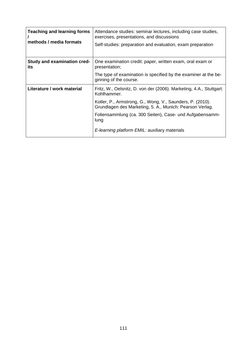| <b>Teaching and learning forms</b><br>methods / media formats | Attendance studies: seminar lectures, including case studies,<br>exercises, presentations, and discussions<br>Self-studies: preparation and evaluation, exam preparation |
|---------------------------------------------------------------|--------------------------------------------------------------------------------------------------------------------------------------------------------------------------|
| <b>Study and examination cred-</b><br>its                     | One examination credit: paper, written exam, oral exam or<br>presentation;                                                                                               |
|                                                               | The type of examination is specified by the examiner at the be-<br>ginning of the course.                                                                                |
| Literature / work material                                    | Fritz, W., Oelsnitz, D. von der (2006). Marketing, 4.A., Stuttgart:<br>Kohlhammer.                                                                                       |
|                                                               | Kotler, P., Armstrong, G., Wong, V., Saunders, P. (2010).<br>Grundlagen des Marketing, 5. A., Munich: Pearson Verlag.                                                    |
|                                                               | Foliensammlung (ca. 300 Seiten), Case- und Aufgabensamm-<br>lung                                                                                                         |
|                                                               | E-learning platform EMIL: auxiliary materials                                                                                                                            |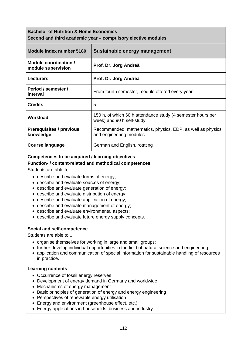| <b>Bachelor of Nutrition &amp; Home Economics</b><br>Second and third academic year – compulsory elective modules |                                                                                          |  |
|-------------------------------------------------------------------------------------------------------------------|------------------------------------------------------------------------------------------|--|
| Module index number 5180                                                                                          | Sustainable energy management                                                            |  |
| Module coordination /<br>module supervision                                                                       | Prof. Dr. Jörg Andreä                                                                    |  |
| <b>Lecturers</b>                                                                                                  | Prof. Dr. Jörg Andreä                                                                    |  |
| Period / semester /<br>interval                                                                                   | From fourth semester, module offered every year                                          |  |
| <b>Credits</b>                                                                                                    | 5                                                                                        |  |
| Workload                                                                                                          | 150 h, of which 60 h attendance study (4 semester hours per<br>week) and 90 h self-study |  |
| <b>Prerequisites / previous</b><br>knowledge                                                                      | Recommended: mathematics, physics, EDP, as well as physics<br>and engineering modules    |  |
| <b>Course language</b>                                                                                            | German and English, rotating                                                             |  |

## **Competences to be acquired / learning objectives**

## **Function- / content-related and methodical competences**

Students are able to ...

- describe and evaluate forms of energy;
- describe and evaluate sources of energy;
- describe and evaluate generation of energy;
- describe and evaluate distribution of energy;
- describe and evaluate application of energy;
- describe and evaluate management of energy;
- describe and evaluate environmental aspects;
- describe and evaluate future energy supply concepts.

#### **Social and self-competence**

Students are able to ...

- organise themselves for working in large and small groups;
- further develop individual opportunities in the field of natural science and engineering;
- application and communication of special information for sustainable handling of resources in practice.

- Occurrence of fossil energy reserves
- Development of energy demand in Germany and worldwide
- Mechanisms of energy management
- Basic principles of generation of energy and energy engineering
- Perspectives of renewable energy utilisation
- Energy and environment (greenhouse effect, etc.)
- Energy applications in households, business and industry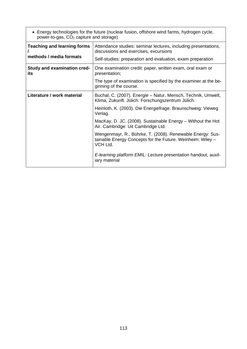| • Energy technologies for the future (nuclear fusion, offshore wind farms, hydrogen cycle,<br>power-to-gas, CO <sub>2</sub> capture and storage) |                                                                                                                                     |  |
|--------------------------------------------------------------------------------------------------------------------------------------------------|-------------------------------------------------------------------------------------------------------------------------------------|--|
| <b>Teaching and learning forms</b>                                                                                                               | Attendance studies: seminar lectures, including presentations,<br>discussions and exercises, excursions                             |  |
| methods / media formats                                                                                                                          | Self-studies: preparation and evaluation, exam preparation                                                                          |  |
| <b>Study and examination cred-</b><br>its                                                                                                        | One examination credit: paper, written exam, oral exam or<br>presentation;                                                          |  |
|                                                                                                                                                  | The type of examination is specified by the examiner at the be-<br>ginning of the course.                                           |  |
| Literature / work material                                                                                                                       | Buchal, C. (2007). Energie - Natur, Mensch, Technik, Umwelt,<br>Klima, Zukunft. Jülich: Forschungszentrum Jülich.                   |  |
|                                                                                                                                                  | Heinloth, K. (2003). Die Energiefrage. Braunschweig: Vieweg<br>Verlag.                                                              |  |
|                                                                                                                                                  | MacKay, D. JC. (2008). Sustainable Energy – Without the Hot<br>Air. Cambridge: Uit Cambridge Ltd.                                   |  |
|                                                                                                                                                  | Wengenmayr, R., Bührke, T. (2008). Renewable Energy: Sus-<br>tainable Energy Concepts for the Future. Weinheim: Wiley -<br>VCH Ltd. |  |
|                                                                                                                                                  | E-learning platform EMIL: Lecture presentation handout, auxil-<br>iary material                                                     |  |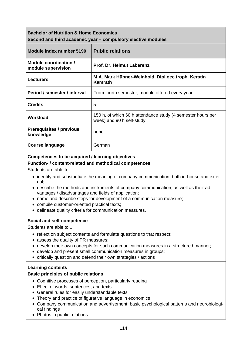| <b>Bachelor of Nutrition &amp; Home Economics</b><br>Second and third academic year – compulsory elective modules |                                                                                          |  |
|-------------------------------------------------------------------------------------------------------------------|------------------------------------------------------------------------------------------|--|
| Module index number 5190                                                                                          | <b>Public relations</b>                                                                  |  |
| Module coordination /<br>module supervision                                                                       | Prof. Dr. Helmut Laberenz                                                                |  |
| <b>Lecturers</b>                                                                                                  | M.A. Mark Hübner-Weinhold, Dipl.oec.troph. Kerstin<br>Kamrath                            |  |
| Period / semester / interval                                                                                      | From fourth semester, module offered every year                                          |  |
| <b>Credits</b>                                                                                                    | 5                                                                                        |  |
| <b>Workload</b>                                                                                                   | 150 h, of which 60 h attendance study (4 semester hours per<br>week) and 90 h self-study |  |
| <b>Prerequisites / previous</b><br>knowledge                                                                      | none                                                                                     |  |
| Course language                                                                                                   | German                                                                                   |  |

## **Competences to be acquired / learning objectives**

## **Function- / content-related and methodical competences**

Students are able to ...

- identify and substantiate the meaning of company communication, both in-house and external;
- describe the methods and instruments of company communication, as well as their advantages / disadvantages and fields of application;
- name and describe steps for development of a communication measure;
- compile customer-oriented practical texts;
- delineate quality criteria for communication measures.

## **Social and self-competence**

Students are able to ...

- reflect on subject contents and formulate questions to that respect;
- assess the quality of PR measures;
- develop their own concepts for such communication measures in a structured manner;
- develop and present small communication measures in groups;
- critically question and defend their own strategies / actions

#### **Learning contents**

#### **Basic principles of public relations**

- Cognitive processes of perception, particularly reading
- Effect of words, sentences, and texts
- General rules for easily understandable texts
- Theory and practice of figurative language in economics
- Company communication and advertisement: basic psychological patterns and neurobiological findings
- Photos in public relations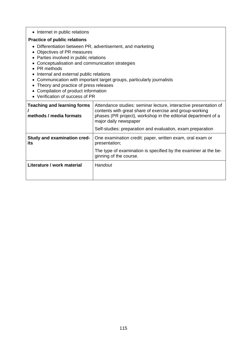| • Internet in public relations                                                                                                                                                                                                                                                                                                                                                                                                                                           |                                                                                                                                                                                                                                                                                      |  |
|--------------------------------------------------------------------------------------------------------------------------------------------------------------------------------------------------------------------------------------------------------------------------------------------------------------------------------------------------------------------------------------------------------------------------------------------------------------------------|--------------------------------------------------------------------------------------------------------------------------------------------------------------------------------------------------------------------------------------------------------------------------------------|--|
| <b>Practice of public relations</b><br>Differentiation between PR, advertisement, and marketing<br>Objectives of PR measures<br>Parties involved in public relations<br>Conceptualisation and communication strategies<br>PR methods<br>Internal and external public relations<br>Communication with important target groups, particularly journalists<br>Theory and practice of press releases<br>Compilation of product information<br>• Verification of success of PR |                                                                                                                                                                                                                                                                                      |  |
| <b>Teaching and learning forms</b><br>methods / media formats                                                                                                                                                                                                                                                                                                                                                                                                            | Attendance studies: seminar lecture, interactive presentation of<br>contents with great share of exercise and group-working<br>phases (PR project), workshop in the editorial department of a<br>major daily newspaper<br>Self-studies: preparation and evaluation, exam preparation |  |
| <b>Study and examination cred-</b><br>its                                                                                                                                                                                                                                                                                                                                                                                                                                | One examination credit: paper, written exam, oral exam or<br>presentation;<br>The type of examination is specified by the examiner at the be-<br>ginning of the course.                                                                                                              |  |
| Literature / work material                                                                                                                                                                                                                                                                                                                                                                                                                                               | Handout                                                                                                                                                                                                                                                                              |  |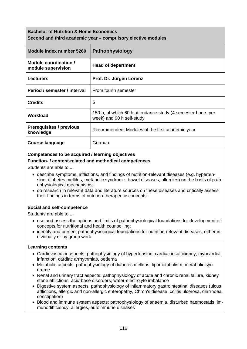## **Bachelor of Nutrition & Home Economics Second and third academic year – compulsory elective modules**

| Module index number 5260                     | Pathophysiology                                                                          |
|----------------------------------------------|------------------------------------------------------------------------------------------|
| Module coordination /<br>module supervision  | <b>Head of department</b>                                                                |
| <b>Lecturers</b>                             | Prof. Dr. Jürgen Lorenz                                                                  |
| Period / semester / interval                 | From fourth semester                                                                     |
| <b>Credits</b>                               | 5                                                                                        |
| Workload                                     | 150 h, of which 60 h attendance study (4 semester hours per<br>week) and 90 h self-study |
| <b>Prerequisites / previous</b><br>knowledge | Recommended: Modules of the first academic year                                          |
| Course language                              | German                                                                                   |

## **Competences to be acquired / learning objectives**

## **Function- / content-related and methodical competences**

Students are able to ...

- describe symptoms, afflictions, and findings of nutrition-relevant diseases (e.g. hypertension, diabetes mellitus, metabolic syndrome, bowel diseases, allergies) on the basis of pathophysiological mechanisms;
- do research in relevant data and literature sources on these diseases and critically assess their findings in terms of nutrition-therapeutic concepts.

## **Social and self-competence**

Students are able to ...

- use and assess the options and limits of pathophysiological foundations for development of concepts for nutritional and health counselling;
- identify and present pathophysiological foundations for nutrition-relevant diseases, either individually or by group work.

- Cardiovascular aspects: pathophysiology of hypertension, cardiac insufficiency, myocardial infarction, cardiac arrhythmias, oedema
- Metabolic aspects: pathophysiology of diabetes mellitus, lipometabolism, metabolic syndrome
- Renal and urinary tract aspects: pathophysiology of acute and chronic renal failure, kidney stone afflictions, acid-base disorders, water-electrolyte imbalance
- Digestive system aspects: pathophysiology of inflammatory gastrointestinal diseases (ulcus afflictions, allergic and non-allergic enteropathy, Chron's disease, colitis ulcerosa, diarrhoea, constipation)
- Blood and immune system aspects: pathophysiology of anaemia, disturbed haemostatis, immunodifficiency, allergies, autoimmune diseases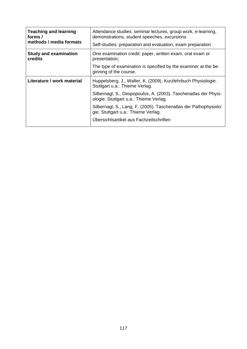| <b>Teaching and learning</b><br>forms /<br>methods / media formats | Attendance studies: seminar lectures, group work, e-learning,<br>demonstrations, student speeches, excursions<br>Self-studies: preparation and evaluation, exam preparation |
|--------------------------------------------------------------------|-----------------------------------------------------------------------------------------------------------------------------------------------------------------------------|
| <b>Study and examination</b><br>credits                            | One examination credit: paper, written exam, oral exam or<br>presentation;                                                                                                  |
|                                                                    | The type of examination is specified by the examiner at the be-<br>ginning of the course.                                                                                   |
| Literature / work material                                         | Huppelsberg, J., Walter, K. (2009). Kurzlehrbuch Physiologie.<br>Stuttgart u.a.: Thieme Verlag.                                                                             |
|                                                                    | Silbernagl, S., Despopoulos, A. (2003). Taschenatlas der Physi-<br>ologie. Stuttgart u.a.: Thieme Verlag.                                                                   |
|                                                                    | Silbernagl, S., Lang, F. (2005). Taschenatlas der Pathophysiolo-<br>gie. Stuttgart u.a.: Thieme Verlag.                                                                     |
|                                                                    | Übersichtsartikel aus Fachzeitschriften                                                                                                                                     |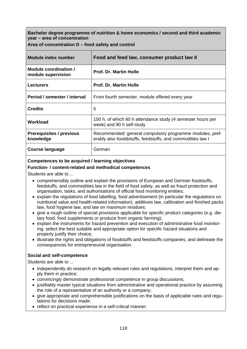**Bachelor degree programme of nutrition & home economics / second and third academic year – area of concentration** 

|  | Area of concentration D – food safety and control |  |  |  |
|--|---------------------------------------------------|--|--|--|
|--|---------------------------------------------------|--|--|--|

| Module index number                          | Food and feed law, consumer product law II                                                                             |
|----------------------------------------------|------------------------------------------------------------------------------------------------------------------------|
| Module coordination /<br>module supervision  | <b>Prof. Dr. Martin Holle</b>                                                                                          |
| <b>Lecturers</b>                             | <b>Prof. Dr. Martin Holle</b>                                                                                          |
| Period / semester / interval                 | From fourth semester, module offered every year                                                                        |
| <b>Credits</b>                               | 5                                                                                                                      |
| Workload                                     | 150 h, of which 60 h attendance study (4 semester hours per<br>week) and 90 h self-study                               |
| <b>Prerequisites / previous</b><br>knowledge | Recommended: general compulsory programme modules, pref-<br>erably also fooddstuffs, feedstuffs, and commodities law I |
| <b>Course language</b>                       | German                                                                                                                 |

## **Competences to be acquired / learning objectives**

## **Function- / content-related and methodical competences**

Students are able to ...

- comprehensibly outline and explain the provisions of European and German foodstuffs, feedstuffs, and commodities law in the field of food safety, as well as fraud protection and organisation, tasks, and authorisations of official food monitoring entities;
- explain the regulations of food labelling, food advertisement (in particular the regulations on nutritional value and health-related information), additives law, calibration and finished packs law, food hygiene law, and law on maximum residues;
- give a rough outline of special provisions applicable for specific product categories (e.g. dietary food, food supplements or produce from organic farming);
- explain the instruments for hazard prevention and execution of administrative food monitoring, select the best suitable and appropriate option for specific hazard situations and properly justify their choice;
- illustrate the rights and obligations of foodstuffs and feedstuffs companies, and delineate the consequences for entrepreneurial organisation.

#### **Social and self-competence**

Students are able to ...

- independently do research on legally relevant rules and regulations, interpret them and apply them in practice;
- convincingly demonstrate professional competence in group discussions;
- justifiably master typical situations from administrative and operational practice by assuming the role of a representative of an authority or a company;
- give appropriate and comprehensible justifications on the basis of applicable rules and regulations for decisions made;
- reflect on practical experience in a self-critical manner.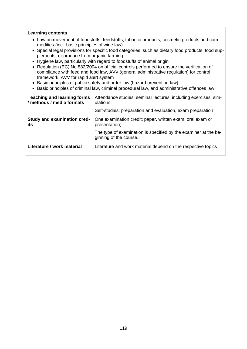- Law on movement of foodstuffs, feedstuffs, tobacco products, cosmetic products and commodities (incl. basic principles of wine law)
- Special legal provisions for specific food categories, such as dietary food products, food supplements, or produce from organic farming
- Hygiene law, particularly with regard to foodstuffs of animal origin
- Regulation (EC) No 882/2004 on official controls performed to ensure the verification of compliance with feed and food law, AVV (general administrative regulation) for control framework, AVV for rapid alert system
- Basic principles of public safety and order law (hazard prevention law)
- Basic principles of criminal law, criminal procedural law, and administrative offences law

| <b>Teaching and learning forms</b><br>/ methods / media formats | Attendance studies: seminar lectures, including exercises, sim-<br>ulations<br>Self-studies: preparation and evaluation, exam preparation |
|-----------------------------------------------------------------|-------------------------------------------------------------------------------------------------------------------------------------------|
|                                                                 |                                                                                                                                           |
| Study and examination cred-<br>its                              | One examination credit: paper, written exam, oral exam or<br>presentation;                                                                |
|                                                                 | The type of examination is specified by the examiner at the be-<br>ginning of the course.                                                 |
| Literature / work material                                      | Literature and work material depend on the respective topics                                                                              |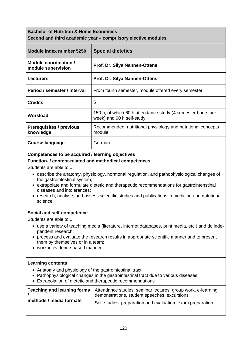## **Bachelor of Nutrition & Home Economics Second and third academic year – compulsory elective modules**

| Module index number 5250                     | <b>Special dietetics</b>                                                                 |
|----------------------------------------------|------------------------------------------------------------------------------------------|
| Module coordination /<br>module supervision  | <b>Prof. Dr. Silya Nannen-Ottens</b>                                                     |
| <b>Lecturers</b>                             | <b>Prof. Dr. Silya Nannen-Ottens</b>                                                     |
| Period / semester / interval                 | From fourth semester, module offered every semester                                      |
| <b>Credits</b>                               | 5                                                                                        |
| Workload                                     | 150 h, of which 60 h attendance study (4 semester hours per<br>week) and 90 h self-study |
| <b>Prerequisites / previous</b><br>knowledge | Recommended: nutritional physiology and nutritional concepts<br>module                   |
| Course language                              | German                                                                                   |

## **Competences to be acquired / learning objectives**

## **Function- / content-related and methodical competences**

Students are able to ...

- describe the anatomy, physiology, hormonal regulation, and pathophysiological changes of the gastrointestinal system;
- extrapolate and formulate dietetic and therapeutic recommendations for gastrointenstinal diseases and intolerances;
- research, analyse, and assess scientific studies and publications in medicine and nutritional science.

## **Social and self-competence**

Students are able to ...

- use a variety of teaching media (literature, internet databases, print media, etc.) and do independent research;
- process and evaluate the research results in appropriate scientific manner and to present them by themselves or in a team;
- work in evidence-based manner.

- Anatomy and physiology of the gastrointestinal tract
- Pathophysiological changes in the gastrointestinal tract due to various diseases
- Extrapolation of dietetic and therapeutic recommendations

|                         | Teaching and learning forms   Attendance studies: seminar lectures, group work, e-learning,<br>demonstrations, student speeches, excursions |
|-------------------------|---------------------------------------------------------------------------------------------------------------------------------------------|
| methods / media formats | Self-studies: preparation and evaluation, exam preparation                                                                                  |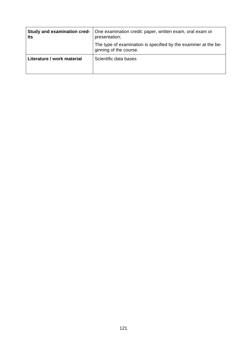| Study and examination cred-<br>its | One examination credit: paper, written exam, oral exam or<br>presentation;                |
|------------------------------------|-------------------------------------------------------------------------------------------|
|                                    | The type of examination is specified by the examiner at the be-<br>ginning of the course. |
| Literature / work material         | Scientific data bases                                                                     |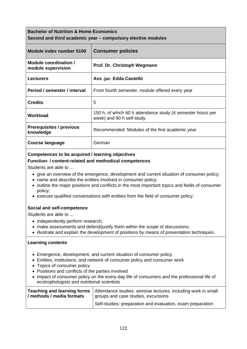# **Bachelor of Nutrition & Home Economics Second and third academic year – compulsory elective modules**

| Module index number 5100                     | <b>Consumer policies</b>                                                                 |
|----------------------------------------------|------------------------------------------------------------------------------------------|
| Module coordination /<br>module supervision  | Prof. Dr. Christoph Wegmann                                                              |
| <b>Lecturers</b>                             | Ass.jur. Edda Castelló                                                                   |
| Period / semester / interval                 | From fourth semester, module offered every year                                          |
| <b>Credits</b>                               | 5                                                                                        |
| Workload                                     | 150 h, of which 60 h attendance study (4 semester hours per<br>week) and 90 h self-study |
| <b>Prerequisites / previous</b><br>knowledge | Recommended: Modules of the first academic year                                          |
| Course language                              | German                                                                                   |

## **Competences to be acquired / learning objectives**

## **Function- / content-related and methodical competences**

Students are able to ...

- give an overview of the emergence, development and current situation of consumer policy;
- name and describe the entities involved in consumer policy;
- outline the major positions and conflicts in the most important topics and fields of consumer policy;
- execute qualified conversations with entities from the field of consumer policy.

## **Social and self-competence**

Students are able to ...

- independently perform research;
- make assessments and defend/justify them within the scope of discussions;
- illustrate and explain the development of positions by means of presentation techniques.

- Emergence, development, and current situation of consumer policy
- Entities, institutions, and network of consumer policy and consumer work
- Topics of consumer policy
- Positions and conflicts of the parties involved
- Impact of consumer policy on the every-day life of consumers and the professional life of ecotrophologists and nutritional scientists

| / methods / media formats | <b>Teaching and learning forms</b> Attendance studies: seminar lectures, including work in small<br>groups and case studies, excursions |
|---------------------------|-----------------------------------------------------------------------------------------------------------------------------------------|
|                           | Self-studies: preparation and evaluation, exam preparation                                                                              |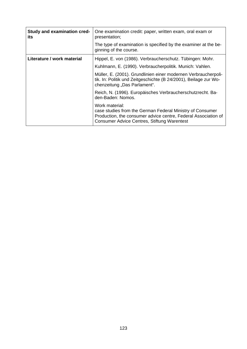| Study and examination cred-<br>its | One examination credit: paper, written exam, oral exam or<br>presentation;                                                                                                                          |
|------------------------------------|-----------------------------------------------------------------------------------------------------------------------------------------------------------------------------------------------------|
|                                    | The type of examination is specified by the examiner at the be-<br>ginning of the course.                                                                                                           |
| Literature / work material         | Hippel, E. von (1986). Verbraucherschutz. Tübingen: Mohr.                                                                                                                                           |
|                                    | Kuhlmann, E. (1990). Verbraucherpolitik. Munich: Vahlen.                                                                                                                                            |
|                                    | Müller, E. (2001). Grundlinien einer modernen Verbraucherpoli-<br>tik. In: Politik und Zeitgeschichte (B 24/2001), Beilage zur Wo-<br>chenzeitung "Das Parlament".                                  |
|                                    | Reich, N. (1996). Europäisches Verbraucherschutzrecht. Ba-<br>den-Baden: Nomos.                                                                                                                     |
|                                    | Work material:<br>case studies from the German Federal Ministry of Consumer<br>Production, the consumer advice centre, Federal Association of<br><b>Consumer Advice Centres, Stiftung Warentest</b> |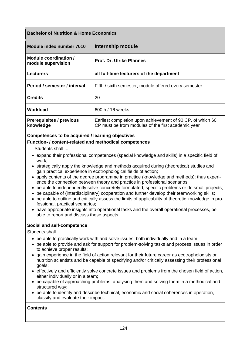## **Bachelor of Nutrition & Home Economics**

| Module index number 7010                     | Internship module                                                                                                |
|----------------------------------------------|------------------------------------------------------------------------------------------------------------------|
| Module coordination /<br>module supervision  | <b>Prof. Dr. Ulrike Pfannes</b>                                                                                  |
| <b>Lecturers</b>                             | all full-time lecturers of the department                                                                        |
| Period / semester / interval                 | Fifth / sixth semester, module offered every semester                                                            |
| <b>Credits</b>                               | 20                                                                                                               |
| Workload                                     | 600 h / 16 weeks                                                                                                 |
| <b>Prerequisites / previous</b><br>knowledge | Earliest completion upon achievement of 90 CP, of which 60<br>CP must be from modules of the first academic year |

## **Competences to be acquired / learning objectives Function- / content-related and methodical competences**

Students shall ...

- expand their professional competences (special knowledge and skills) in a specific field of work;
- strategically apply the knowledge and methods acquired during (theoretical) studies and gain practical experience in ecotrophological fields of action;
- apply contents of the degree programme in practice (knowledge and methods); thus experience the connection between theory and practice in professional scenarios;
- be able to independently solve concretely formulated, specific problems or do small projects;
- be capable of (interdisciplinary) cooperation and further develop their teamworking skills;
- be able to outline and critically assess the limits of applicability of theoretic knowledge in professional, practical scenarios;
- have appropriate insights into operational tasks and the overall operational processes, be able to report and discuss these aspects.

#### **Social and self-competence**

Students shall ...

- be able to practically work with and solve issues, both individually and in a team;
- be able to provide and ask for support for problem-solving tasks and process issues in order to achieve proper results;
- gain experience in the field of action relevant for their future career as ecotrophologists or nutrition scientists and be capable of specifying and/or critically assessing their professional goals;
- effectively and efficiently solve concrete issues and problems from the chosen field of action, either individually or in a team;
- be capable of approaching problems, analysing them and solving them in a methodical and structured way;
- be able to identify and describe technical, economic and social coherences in operation, classify and evaluate their impact.

#### **Contents**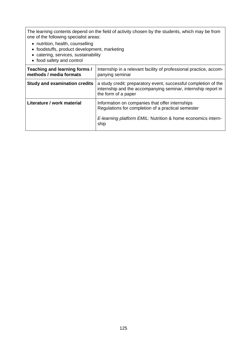The learning contents depend on the field of activity chosen by the students, which may be from one of the following specialist areas:

- nutrition, health, counselling
- foodstuffs, product development, marketing
- catering, services, sustainability
- food safety and control

| Teaching and learning forms /<br>methods / media formats | Internship in a relevant facility of professional practice, accom-<br>panying seminar                                                                                         |
|----------------------------------------------------------|-------------------------------------------------------------------------------------------------------------------------------------------------------------------------------|
| <b>Study and examination credits</b>                     | a study credit: preparatory event, successful completion of the<br>internship and the accompanying seminar, internship report in<br>the form of a paper                       |
| Literature / work material                               | Information on companies that offer internships<br>Regulations for completion of a practical semester<br>E-learning platform EMIL: Nutrition & home economics intern-<br>ship |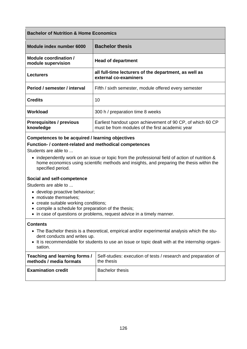## **Bachelor of Nutrition & Home Economics**

| Module index number 6000                     | <b>Bachelor thesis</b>                                                                                        |
|----------------------------------------------|---------------------------------------------------------------------------------------------------------------|
| Module coordination /<br>module supervision  | <b>Head of department</b>                                                                                     |
| <b>Lecturers</b>                             | all full-time lecturers of the department, as well as<br>external co-examiners                                |
| Period / semester / interval                 | Fifth / sixth semester, module offered every semester                                                         |
| <b>Credits</b>                               | 10                                                                                                            |
| Workload                                     | 300 h / preparation time 8 weeks                                                                              |
| <b>Prerequisites / previous</b><br>knowledge | Earliest handout upon achievement of 90 CP, of which 60 CP<br>must be from modules of the first academic year |

## **Competences to be acquired / learning objectives**

#### **Function- / content-related and methodical competences**

Students are able to ...

• independently work on an issue or topic from the professional field of action of nutrition & home economics using scientific methods and insights, and preparing the thesis within the specified period.

#### **Social and self-competence**

Students are able to ...

- develop proactive behaviour;
- motivate themselves:
- create suitable working conditions;
- compile a schedule for preparation of the thesis;
- in case of questions or problems, request advice in a timely manner.

#### **Contents**

- The Bachelor thesis is a theoretical, empirical and/or experimental analysis which the student conducts and writes up.
- It is recommendable for students to use an issue or topic dealt with at the internship organisation.

| Teaching and learning forms / | Self-studies: execution of tests / research and preparation of |
|-------------------------------|----------------------------------------------------------------|
| methods / media formats       | the thesis                                                     |
| <b>Examination credit</b>     | <b>Bachelor thesis</b>                                         |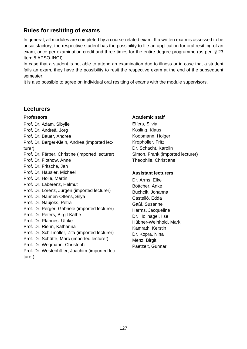# **Rules for resitting of exams**

In general, all modules are completed by a course-related exam. If a written exam is assessed to be unsatisfactory, the respective student has the possibility to file an application for oral resitting of an exam, once per examination credit and three times for the entire degree programme (as per: § 23 Item 5 APSO-INGI).

In case that a student is not able to attend an examination due to illness or in case that a student fails an exam, they have the possibility to resit the respective exam at the end of the subsequent semester.

It is also possible to agree on individual oral resitting of exams with the module supervisors.

## **Lecturers**

## **Professors**

Prof. Dr. Adam, Sibylle Prof. Dr. Andreä, Jörg Prof. Dr. Bauer, Andrea Prof. Dr. Berger-Klein, Andrea (imported lecturer) Prof. Dr. Färber, Christine (imported lecturer) Prof. Dr. Flothow, Anne Prof. Dr. Fritsche, Jan Prof. Dr. Häusler, Michael Prof. Dr. Holle, Martin Prof. Dr. Laberenz, Helmut Prof. Dr. Lorenz, Jürgen (imported lecturer) Prof. Dr. Nannen-Ottens, Silya Prof. Dr. Naujoks, Petra Prof. Dr. Perger, Gabriele (imported lecturer) Prof. Dr. Peters, Birgit Käthe Prof. Dr. Pfannes, Ulrike Prof. Dr. Riehn, Katharina Prof. Dr. Schillmöller, Zita (imported lecturer) Prof. Dr. Schütte, Marc (imported lecturer) Prof. Dr. Wegmann, Christoph Prof. Dr. Westenhöfer, Joachim (imported lecturer)

## **Academic staff**

Elfers, Silvia Kösling, Klaus Koopmann, Holger Kropholler, Fritz Dr. Schacht, Karolin Simon, Frank (imported lecturer) Theophile, Christiane

## **Assistant lecturers**

Dr. Arms, Elke Böttcher, Anke Buchcik, Johanna Castelló, Edda Gaßl, Susanne Harms, Jacqueline Dr. Hollnagel, Ilse Hübner-Weinhold, Mark Kamrath, Kerstin Dr. Kopra, Nina Menz, Birgit Paetzelt, Gunnar